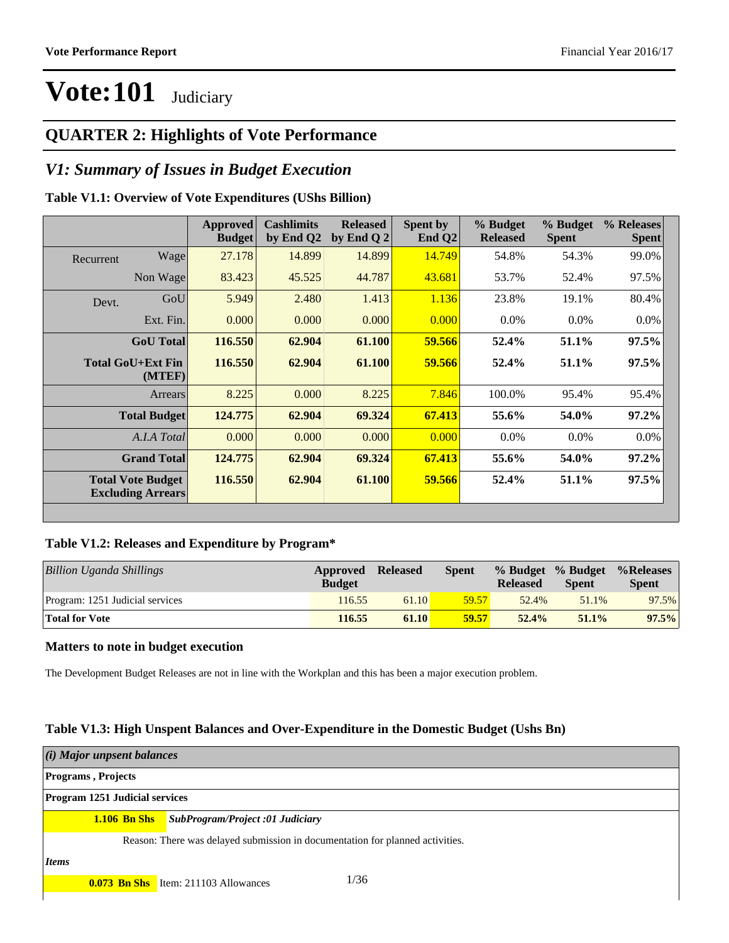#### **QUARTER 2: Highlights of Vote Performance**

#### *V1: Summary of Issues in Budget Execution*

#### **Table V1.1: Overview of Vote Expenditures (UShs Billion)**

|                             |                                                      | Approved<br><b>Budget</b> | <b>Cashlimits</b><br>by End Q2 | <b>Released</b><br>by End Q $2$ | Spent by<br>End $Q2$ | % Budget<br><b>Released</b> | % Budget<br><b>Spent</b> | % Releases<br><b>Spent</b> |
|-----------------------------|------------------------------------------------------|---------------------------|--------------------------------|---------------------------------|----------------------|-----------------------------|--------------------------|----------------------------|
| Recurrent                   | Wage                                                 | 27.178                    | 14.899                         | 14.899                          | 14.749               | 54.8%                       | 54.3%                    | 99.0%                      |
|                             | Non Wage                                             | 83.423                    | 45.525                         | 44.787                          | 43.681               | 53.7%                       | 52.4%                    | 97.5%                      |
| Devt.                       | GoU                                                  | 5.949                     | 2.480                          | 1.413                           | 1.136                | 23.8%                       | 19.1%                    | 80.4%                      |
|                             | Ext. Fin.                                            | 0.000                     | 0.000                          | 0.000                           | 0.000                | $0.0\%$                     | $0.0\%$                  | $0.0\%$                    |
|                             | <b>GoU</b> Total                                     | 116.550                   | 62.904                         | 61.100                          | 59.566               | 52.4%                       | 51.1%                    | $97.5\%$                   |
| Total GoU+Ext Fin<br>(MTEF) |                                                      | 116.550                   | 62.904                         | 61.100                          | 59.566               | 52.4%                       | 51.1%                    | $97.5\%$                   |
|                             | Arrears                                              | 8.225                     | 0.000                          | 8.225                           | 7.846                | 100.0%                      | 95.4%                    | 95.4%                      |
|                             | <b>Total Budget</b>                                  | 124.775                   | 62.904                         | 69.324                          | 67.413               | 55.6%                       | 54.0%                    | $97.2\%$                   |
|                             | A.I.A Total                                          | 0.000                     | 0.000                          | 0.000                           | 0.000                | $0.0\%$                     | $0.0\%$                  | 0.0%                       |
|                             | <b>Grand Total</b>                                   | 124.775                   | 62.904                         | 69.324                          | 67.413               | 55.6%                       | 54.0%                    | 97.2%                      |
|                             | <b>Total Vote Budget</b><br><b>Excluding Arrears</b> | 116.550                   | 62.904                         | 61.100                          | 59.566               | 52.4%                       | 51.1%                    | $97.5\%$                   |
|                             |                                                      |                           |                                |                                 |                      |                             |                          |                            |

#### **Table V1.2: Releases and Expenditure by Program\***

| Billion Uganda Shillings        | Approved<br><b>Budget</b> | <b>Released</b> | Spent | <b>Released</b> | % Budget % Budget<br><b>Spent</b> | %Releases<br><b>Spent</b> |
|---------------------------------|---------------------------|-----------------|-------|-----------------|-----------------------------------|---------------------------|
| Program: 1251 Judicial services | 116.55                    | 61.10           | 59.57 | 52.4%           | 51.1%                             | 97.5%                     |
| <b>Total for Vote</b>           | 116.55                    | 61.10           | 59.57 | 52.4%           | $51.1\%$                          | $97.5\%$                  |

#### **Matters to note in budget execution**

The Development Budget Releases are not in line with the Workplan and this has been a major execution problem.

#### **Table V1.3: High Unspent Balances and Over-Expenditure in the Domestic Budget (Ushs Bn)**

| (i) Major unpsent balances            |                                                                               |  |  |  |  |  |
|---------------------------------------|-------------------------------------------------------------------------------|--|--|--|--|--|
| <b>Programs</b> , Projects            |                                                                               |  |  |  |  |  |
| <b>Program 1251 Judicial services</b> |                                                                               |  |  |  |  |  |
| $1.106$ Bn Shs                        | SubProgram/Project :01 Judiciary                                              |  |  |  |  |  |
|                                       | Reason: There was delayed submission in documentation for planned activities. |  |  |  |  |  |
| Items                                 |                                                                               |  |  |  |  |  |
|                                       | 1/36<br><b>0.073 Bn Shs</b> Item: 211103 Allowances                           |  |  |  |  |  |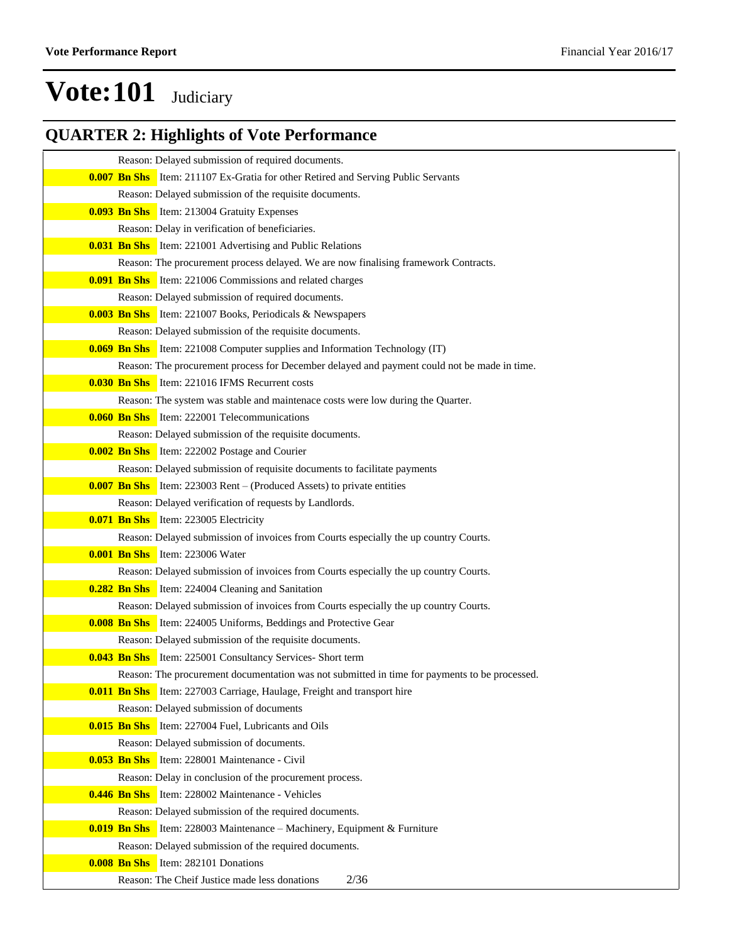### **QUARTER 2: Highlights of Vote Performance**

| Reason: Delayed submission of required documents.                                             |
|-----------------------------------------------------------------------------------------------|
| <b>0.007 Bn Shs</b> Item: 211107 Ex-Gratia for other Retired and Serving Public Servants      |
| Reason: Delayed submission of the requisite documents.                                        |
| <b>0.093 Bn Shs</b> Item: 213004 Gratuity Expenses                                            |
| Reason: Delay in verification of beneficiaries.                                               |
| <b>0.031 Bn Shs</b> Item: 221001 Advertising and Public Relations                             |
| Reason: The procurement process delayed. We are now finalising framework Contracts.           |
| <b>0.091 Bn Shs</b> Item: 221006 Commissions and related charges                              |
| Reason: Delayed submission of required documents.                                             |
| <b>0.003 Bn Shs</b> Item: 221007 Books, Periodicals & Newspapers                              |
| Reason: Delayed submission of the requisite documents.                                        |
| <b>0.069 Bn Shs</b> Item: 221008 Computer supplies and Information Technology (IT)            |
| Reason: The procurement process for December delayed and payment could not be made in time.   |
| <b>0.030 Bn Shs</b> Item: 221016 IFMS Recurrent costs                                         |
| Reason: The system was stable and maintenace costs were low during the Quarter.               |
| <b>0.060 Bn Shs</b> Item: 222001 Telecommunications                                           |
| Reason: Delayed submission of the requisite documents.                                        |
| <b>0.002 Bn Shs</b> Item: 222002 Postage and Courier                                          |
| Reason: Delayed submission of requisite documents to facilitate payments                      |
| <b>0.007 Bn Shs</b> Item: 223003 Rent – (Produced Assets) to private entities                 |
| Reason: Delayed verification of requests by Landlords.                                        |
| <b>0.071 Bn Shs</b> Item: 223005 Electricity                                                  |
| Reason: Delayed submission of invoices from Courts especially the up country Courts.          |
| <b>0.001 Bn Shs</b> Item: 223006 Water                                                        |
| Reason: Delayed submission of invoices from Courts especially the up country Courts.          |
| <b>0.282 Bn Shs</b> Item: 224004 Cleaning and Sanitation                                      |
| Reason: Delayed submission of invoices from Courts especially the up country Courts.          |
| <b>0.008 Bn Shs</b> Item: 224005 Uniforms, Beddings and Protective Gear                       |
| Reason: Delayed submission of the requisite documents.                                        |
| <b>0.043 Bn Shs</b> Item: 225001 Consultancy Services- Short term                             |
| Reason: The procurement documentation was not submitted in time for payments to be processed. |
| <b>0.011 Bn Shs</b> Item: 227003 Carriage, Haulage, Freight and transport hire                |
| Reason: Delayed submission of documents                                                       |
| <b>0.015 Bn Shs</b> Item: 227004 Fuel, Lubricants and Oils                                    |
| Reason: Delayed submission of documents.                                                      |
| <b>0.053 Bn Shs</b> Item: 228001 Maintenance - Civil                                          |
| Reason: Delay in conclusion of the procurement process.                                       |
| <b>0.446 Bn Shs</b> Item: 228002 Maintenance - Vehicles                                       |
| Reason: Delayed submission of the required documents.                                         |
| <b>0.019 Bn Shs</b> Item: 228003 Maintenance – Machinery, Equipment & Furniture               |
| Reason: Delayed submission of the required documents.                                         |
| <b>0.008 Bn Shs</b> Item: 282101 Donations                                                    |
| 2/36<br>Reason: The Cheif Justice made less donations                                         |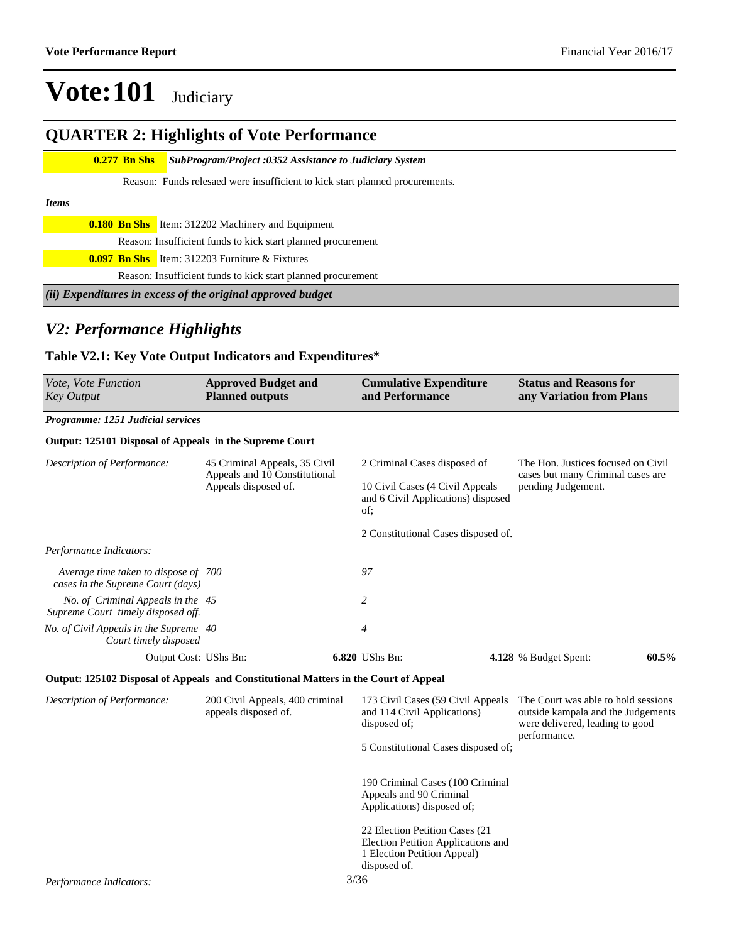### **QUARTER 2: Highlights of Vote Performance**

|       |                                                                              | $0.277$ Bn Shs | <b>SubProgram/Project :0352 Assistance to Judiciary System</b> |  |  |  |  |
|-------|------------------------------------------------------------------------------|----------------|----------------------------------------------------------------|--|--|--|--|
|       | Reason: Funds relesaed were insufficient to kick start planned procurements. |                |                                                                |  |  |  |  |
| Items |                                                                              |                |                                                                |  |  |  |  |
|       |                                                                              |                | <b>0.180 Bn Shs</b> Item: 312202 Machinery and Equipment       |  |  |  |  |
|       | Reason: Insufficient funds to kick start planned procurement                 |                |                                                                |  |  |  |  |
|       |                                                                              |                | <b>0.097 Bn Shs</b> Item: 312203 Furniture $\&$ Fixtures       |  |  |  |  |
|       |                                                                              |                | Reason: Insufficient funds to kick start planned procurement   |  |  |  |  |
|       |                                                                              |                | (ii) Expenditures in excess of the original approved budget    |  |  |  |  |

#### *V2: Performance Highlights*

#### **Table V2.1: Key Vote Output Indicators and Expenditures\***

| Vote, Vote Function<br>Key Output                                                    | <b>Approved Budget and</b><br><b>Planned outputs</b>    | <b>Cumulative Expenditure</b><br>and Performance                                                                     | <b>Status and Reasons for</b><br>any Variation from Plans                                                                    |
|--------------------------------------------------------------------------------------|---------------------------------------------------------|----------------------------------------------------------------------------------------------------------------------|------------------------------------------------------------------------------------------------------------------------------|
| Programme: 1251 Judicial services                                                    |                                                         |                                                                                                                      |                                                                                                                              |
| Output: 125101 Disposal of Appeals in the Supreme Court                              |                                                         |                                                                                                                      |                                                                                                                              |
| Description of Performance:                                                          | 45 Criminal Appeals, 35 Civil                           | 2 Criminal Cases disposed of                                                                                         | The Hon. Justices focused on Civil                                                                                           |
|                                                                                      | Appeals and 10 Constitutional<br>Appeals disposed of.   | 10 Civil Cases (4 Civil Appeals<br>and 6 Civil Applications) disposed<br>of;                                         | cases but many Criminal cases are<br>pending Judgement.                                                                      |
|                                                                                      |                                                         | 2 Constitutional Cases disposed of.                                                                                  |                                                                                                                              |
| Performance Indicators:                                                              |                                                         |                                                                                                                      |                                                                                                                              |
| Average time taken to dispose of 700<br>cases in the Supreme Court (days)            |                                                         | 97                                                                                                                   |                                                                                                                              |
| No. of Criminal Appeals in the 45<br>Supreme Court timely disposed off.              |                                                         | 2                                                                                                                    |                                                                                                                              |
| No. of Civil Appeals in the Supreme 40<br>Court timely disposed                      |                                                         | $\overline{4}$                                                                                                       |                                                                                                                              |
| Output Cost: UShs Bn:                                                                |                                                         | 6.820 UShs Bn:                                                                                                       | 60.5%<br>4.128 % Budget Spent:                                                                                               |
| Output: 125102 Disposal of Appeals and Constitutional Matters in the Court of Appeal |                                                         |                                                                                                                      |                                                                                                                              |
| Description of Performance:                                                          | 200 Civil Appeals, 400 criminal<br>appeals disposed of. | 173 Civil Cases (59 Civil Appeals<br>and 114 Civil Applications)<br>disposed of;                                     | The Court was able to hold sessions<br>outside kampala and the Judgements<br>were delivered, leading to good<br>performance. |
|                                                                                      |                                                         | 5 Constitutional Cases disposed of;                                                                                  |                                                                                                                              |
|                                                                                      |                                                         | 190 Criminal Cases (100 Criminal<br>Appeals and 90 Criminal<br>Applications) disposed of;                            |                                                                                                                              |
|                                                                                      |                                                         | 22 Election Petition Cases (21)<br>Election Petition Applications and<br>1 Election Petition Appeal)<br>disposed of. |                                                                                                                              |
| Performance Indicators:                                                              |                                                         | 3/36                                                                                                                 |                                                                                                                              |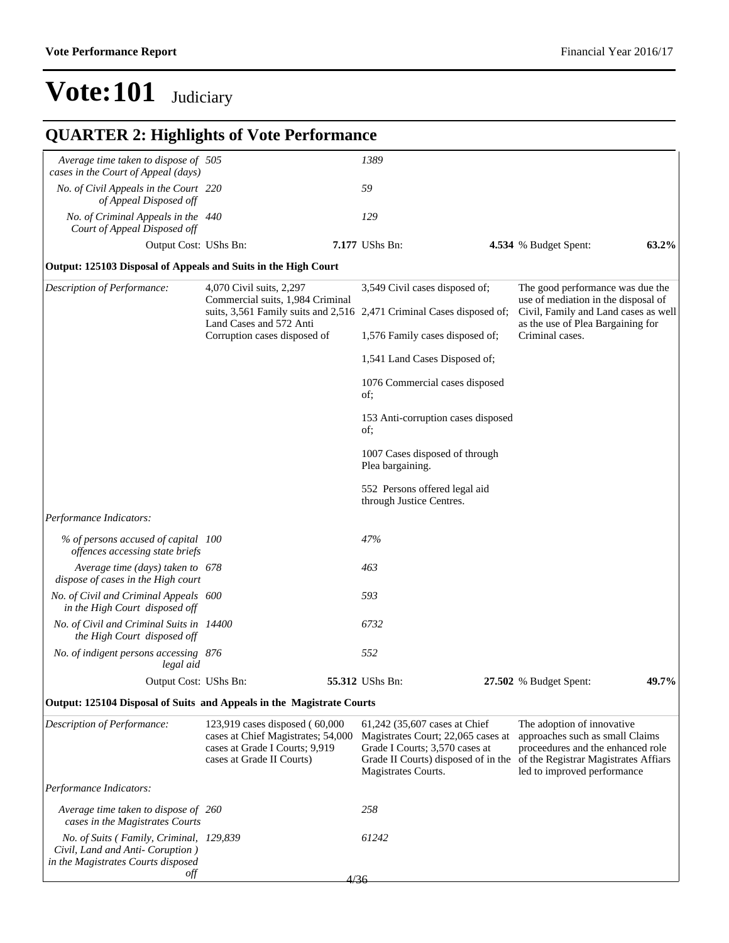| <b>QUARTER 2: Highlights of Vote Performance</b>                                                                    |                                                                                                                                     |                                                                       |                                                                                                                                                                                                          |                                                                         |                                                                                                                                   |       |  |
|---------------------------------------------------------------------------------------------------------------------|-------------------------------------------------------------------------------------------------------------------------------------|-----------------------------------------------------------------------|----------------------------------------------------------------------------------------------------------------------------------------------------------------------------------------------------------|-------------------------------------------------------------------------|-----------------------------------------------------------------------------------------------------------------------------------|-------|--|
| Average time taken to dispose of 505<br>cases in the Court of Appeal (days)                                         |                                                                                                                                     |                                                                       | 1389                                                                                                                                                                                                     |                                                                         |                                                                                                                                   |       |  |
| No. of Civil Appeals in the Court 220<br>of Appeal Disposed off                                                     |                                                                                                                                     |                                                                       | 59                                                                                                                                                                                                       |                                                                         |                                                                                                                                   |       |  |
| No. of Criminal Appeals in the 440<br>Court of Appeal Disposed off                                                  |                                                                                                                                     |                                                                       | 129                                                                                                                                                                                                      |                                                                         |                                                                                                                                   |       |  |
| Output Cost: UShs Bn:                                                                                               |                                                                                                                                     |                                                                       | 7.177 UShs Bn:                                                                                                                                                                                           |                                                                         | 4.534 % Budget Spent:                                                                                                             | 63.2% |  |
| Output: 125103 Disposal of Appeals and Suits in the High Court                                                      |                                                                                                                                     |                                                                       |                                                                                                                                                                                                          |                                                                         |                                                                                                                                   |       |  |
| Description of Performance:                                                                                         | 4,070 Civil suits, 2,297<br>Commercial suits, 1,984 Criminal                                                                        |                                                                       | 3,549 Civil cases disposed of;                                                                                                                                                                           | The good performance was due the<br>use of mediation in the disposal of |                                                                                                                                   |       |  |
|                                                                                                                     | Land Cases and 572 Anti                                                                                                             | suits, 3,561 Family suits and 2,516 2,471 Criminal Cases disposed of; |                                                                                                                                                                                                          |                                                                         | Civil, Family and Land cases as well<br>as the use of Plea Bargaining for                                                         |       |  |
|                                                                                                                     | Corruption cases disposed of                                                                                                        |                                                                       | 1,576 Family cases disposed of;                                                                                                                                                                          |                                                                         | Criminal cases.                                                                                                                   |       |  |
|                                                                                                                     |                                                                                                                                     |                                                                       | 1,541 Land Cases Disposed of;                                                                                                                                                                            |                                                                         |                                                                                                                                   |       |  |
|                                                                                                                     |                                                                                                                                     |                                                                       | 1076 Commercial cases disposed<br>of;                                                                                                                                                                    |                                                                         |                                                                                                                                   |       |  |
|                                                                                                                     |                                                                                                                                     |                                                                       | 153 Anti-corruption cases disposed<br>of;                                                                                                                                                                |                                                                         |                                                                                                                                   |       |  |
|                                                                                                                     |                                                                                                                                     |                                                                       | 1007 Cases disposed of through<br>Plea bargaining.                                                                                                                                                       |                                                                         |                                                                                                                                   |       |  |
|                                                                                                                     |                                                                                                                                     |                                                                       | 552 Persons offered legal aid<br>through Justice Centres.                                                                                                                                                |                                                                         |                                                                                                                                   |       |  |
| Performance Indicators:                                                                                             |                                                                                                                                     |                                                                       |                                                                                                                                                                                                          |                                                                         |                                                                                                                                   |       |  |
| % of persons accused of capital 100<br>offences accessing state briefs                                              |                                                                                                                                     |                                                                       | 47%                                                                                                                                                                                                      |                                                                         |                                                                                                                                   |       |  |
| Average time (days) taken to 678<br>dispose of cases in the High court                                              |                                                                                                                                     |                                                                       | 463                                                                                                                                                                                                      |                                                                         |                                                                                                                                   |       |  |
| No. of Civil and Criminal Appeals 600<br>in the High Court disposed off                                             |                                                                                                                                     |                                                                       | 593                                                                                                                                                                                                      |                                                                         |                                                                                                                                   |       |  |
| No. of Civil and Criminal Suits in 14400<br>the High Court disposed off                                             |                                                                                                                                     |                                                                       | 6732                                                                                                                                                                                                     |                                                                         |                                                                                                                                   |       |  |
| No. of indigent persons accessing 876<br>legal aid                                                                  |                                                                                                                                     |                                                                       | 552                                                                                                                                                                                                      |                                                                         |                                                                                                                                   |       |  |
| Output Cost: UShs Bn:                                                                                               |                                                                                                                                     |                                                                       | 55.312 UShs Bn:                                                                                                                                                                                          |                                                                         | 27.502 % Budget Spent:                                                                                                            | 49.7% |  |
| Output: 125104 Disposal of Suits and Appeals in the Magistrate Courts                                               |                                                                                                                                     |                                                                       |                                                                                                                                                                                                          |                                                                         |                                                                                                                                   |       |  |
| Description of Performance:                                                                                         | 123,919 cases disposed (60,000<br>cases at Chief Magistrates; 54,000<br>cases at Grade I Courts; 9,919<br>cases at Grade II Courts) |                                                                       | 61,242 (35,607 cases at Chief<br>Magistrates Court; 22,065 cases at<br>Grade I Courts; 3,570 cases at<br>Grade II Courts) disposed of in the of the Registrar Magistrates Affiars<br>Magistrates Courts. |                                                                         | The adoption of innovative<br>approaches such as small Claims<br>proceedures and the enhanced role<br>led to improved performance |       |  |
| Performance Indicators:                                                                                             |                                                                                                                                     |                                                                       |                                                                                                                                                                                                          |                                                                         |                                                                                                                                   |       |  |
| Average time taken to dispose of 260<br>cases in the Magistrates Courts                                             |                                                                                                                                     |                                                                       | 258                                                                                                                                                                                                      |                                                                         |                                                                                                                                   |       |  |
| No. of Suits (Family, Criminal, 129,839)<br>Civil, Land and Anti- Coruption )<br>in the Magistrates Courts disposed |                                                                                                                                     |                                                                       | 61242                                                                                                                                                                                                    |                                                                         |                                                                                                                                   |       |  |
| off                                                                                                                 |                                                                                                                                     | 4/36                                                                  |                                                                                                                                                                                                          |                                                                         |                                                                                                                                   |       |  |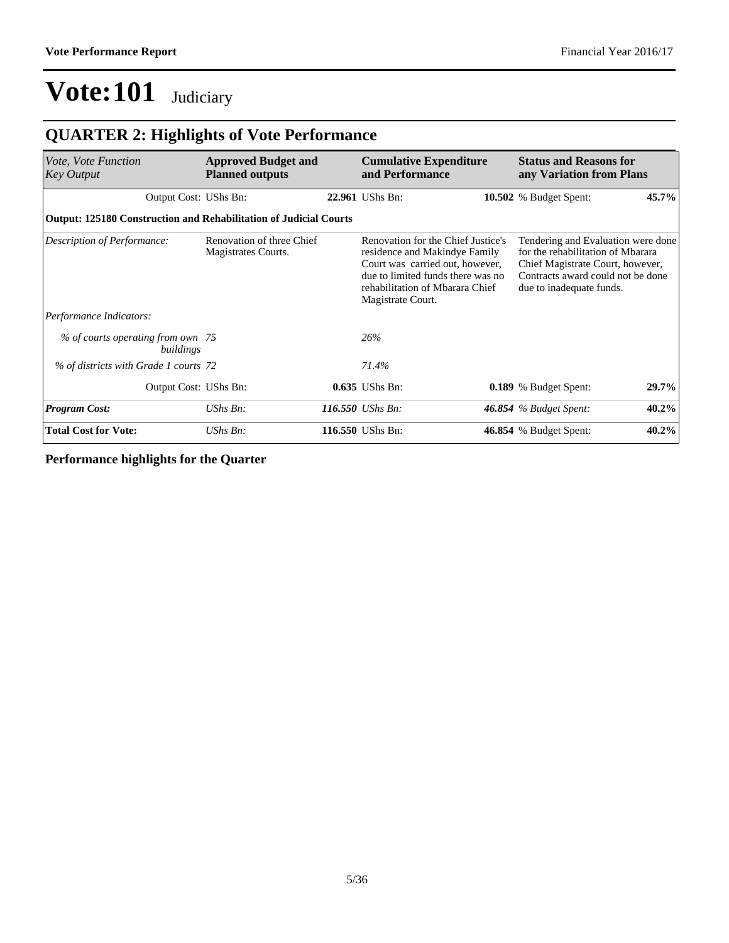### **QUARTER 2: Highlights of Vote Performance**

| Vote, Vote Function<br><b>Key Output</b>                                 | <b>Approved Budget and</b><br><b>Planned outputs</b> |  | <b>Cumulative Expenditure</b><br>and Performance                                                                                                                                                    | <b>Status and Reasons for</b><br>any Variation from Plans                                                                                                                    |       |  |
|--------------------------------------------------------------------------|------------------------------------------------------|--|-----------------------------------------------------------------------------------------------------------------------------------------------------------------------------------------------------|------------------------------------------------------------------------------------------------------------------------------------------------------------------------------|-------|--|
| Output Cost: UShs Bn:                                                    |                                                      |  | 22.961 UShs Bn:                                                                                                                                                                                     | 10.502 % Budget Spent:                                                                                                                                                       | 45.7% |  |
| <b>Output: 125180 Construction and Rehabilitation of Judicial Courts</b> |                                                      |  |                                                                                                                                                                                                     |                                                                                                                                                                              |       |  |
| Description of Performance:                                              | Renovation of three Chief<br>Magistrates Courts.     |  | Renovation for the Chief Justice's<br>residence and Makindye Family<br>Court was carried out, however,<br>due to limited funds there was no<br>rehabilitation of Mbarara Chief<br>Magistrate Court. | Tendering and Evaluation were done<br>for the rehabilitation of Mbarara<br>Chief Magistrate Court, however,<br>Contracts award could not be done<br>due to inadequate funds. |       |  |
| Performance Indicators:                                                  |                                                      |  |                                                                                                                                                                                                     |                                                                                                                                                                              |       |  |
| % of courts operating from own 75<br>buildings                           |                                                      |  | 26%                                                                                                                                                                                                 |                                                                                                                                                                              |       |  |
| % of districts with Grade 1 courts 72                                    |                                                      |  | 71.4%                                                                                                                                                                                               |                                                                                                                                                                              |       |  |
| Output Cost: UShs Bn:                                                    |                                                      |  | 0.635 UShs Bn:                                                                                                                                                                                      | 0.189 % Budget Spent:                                                                                                                                                        | 29.7% |  |
| <b>Program Cost:</b>                                                     | $UShs Bn$ :                                          |  | 116.550 <i>UShs Bn</i> :                                                                                                                                                                            | <b>46.854</b> % Budget Spent:                                                                                                                                                | 40.2% |  |
| <b>Total Cost for Vote:</b>                                              | UShs Bn:                                             |  | 116.550 UShs Bn:                                                                                                                                                                                    | 46.854 % Budget Spent:                                                                                                                                                       | 40.2% |  |

**Performance highlights for the Quarter**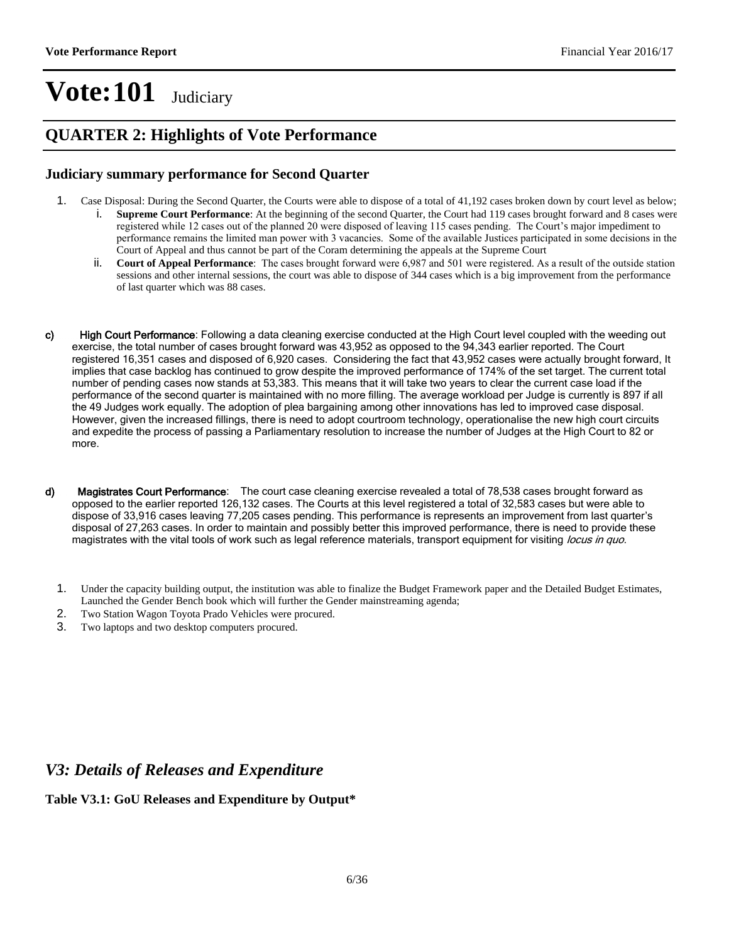#### **QUARTER 2: Highlights of Vote Performance**

#### **Judiciary summary performance for Second Quarter**

- 1. Case Disposal: During the Second Quarter, the Courts were able to dispose of a total of 41,192 cases broken down by court level as below;
	- i. **Supreme Court Performance**: At the beginning of the second Quarter, the Court had 119 cases brought forward and 8 cases were registered while 12 cases out of the planned 20 were disposed of leaving 115 cases pending. The Court's major impediment to performance remains the limited man power with 3 vacancies. Some of the available Justices participated in some decisions in the Court of Appeal and thus cannot be part of the Coram determining the appeals at the Supreme Court
	- ii. **Court of Appeal Performance**: The cases brought forward were 6,987 and 501 were registered. As a result of the outside station sessions and other internal sessions, the court was able to dispose of 344 cases which is a big improvement from the performance of last quarter which was 88 cases.
- c) High Court Performance: Following a data cleaning exercise conducted at the High Court level coupled with the weeding out exercise, the total number of cases brought forward was 43,952 as opposed to the 94,343 earlier reported. The Court registered 16,351 cases and disposed of 6,920 cases. Considering the fact that 43,952 cases were actually brought forward, It implies that case backlog has continued to grow despite the improved performance of 174% of the set target. The current total number of pending cases now stands at 53,383. This means that it will take two years to clear the current case load if the performance of the second quarter is maintained with no more filling. The average workload per Judge is currently is 897 if all the 49 Judges work equally. The adoption of plea bargaining among other innovations has led to improved case disposal. However, given the increased fillings, there is need to adopt courtroom technology, operationalise the new high court circuits and expedite the process of passing a Parliamentary resolution to increase the number of Judges at the High Court to 82 or more.
- d) Magistrates Court Performance: The court case cleaning exercise revealed a total of 78,538 cases brought forward as opposed to the earlier reported 126,132 cases. The Courts at this level registered a total of 32,583 cases but were able to dispose of 33,916 cases leaving 77,205 cases pending. This performance is represents an improvement from last quarter's disposal of 27,263 cases. In order to maintain and possibly better this improved performance, there is need to provide these magistrates with the vital tools of work such as legal reference materials, transport equipment for visiting locus in quo.
	- 1. Under the capacity building output, the institution was able to finalize the Budget Framework paper and the Detailed Budget Estimates, Launched the Gender Bench book which will further the Gender mainstreaming agenda;
	- 2. Two Station Wagon Toyota Prado Vehicles were procured.
	- 3. Two laptops and two desktop computers procured.

#### *V3: Details of Releases and Expenditure*

#### **Table V3.1: GoU Releases and Expenditure by Output\***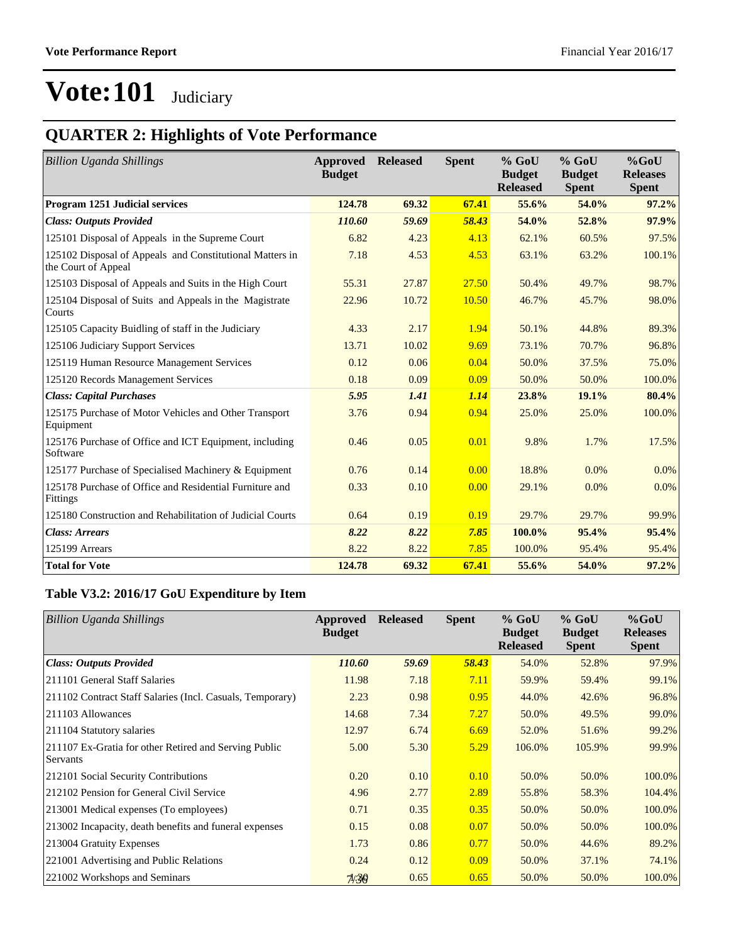### **QUARTER 2: Highlights of Vote Performance**

| <b>Billion Uganda Shillings</b>                                                 | Approved<br><b>Budget</b> | <b>Released</b> | <b>Spent</b> | $%$ GoU<br><b>Budget</b><br><b>Released</b> | $%$ GoU<br><b>Budget</b><br><b>Spent</b> | $%$ GoU<br><b>Releases</b><br><b>Spent</b> |
|---------------------------------------------------------------------------------|---------------------------|-----------------|--------------|---------------------------------------------|------------------------------------------|--------------------------------------------|
| Program 1251 Judicial services                                                  | 124.78                    | 69.32           | 67.41        | 55.6%                                       | 54.0%                                    | 97.2%                                      |
| <b>Class: Outputs Provided</b>                                                  | 110.60                    | 59.69           | 58.43        | 54.0%                                       | 52.8%                                    | 97.9%                                      |
| 125101 Disposal of Appeals in the Supreme Court                                 | 6.82                      | 4.23            | 4.13         | 62.1%                                       | 60.5%                                    | 97.5%                                      |
| 125102 Disposal of Appeals and Constitutional Matters in<br>the Court of Appeal | 7.18                      | 4.53            | 4.53         | 63.1%                                       | 63.2%                                    | 100.1%                                     |
| 125103 Disposal of Appeals and Suits in the High Court                          | 55.31                     | 27.87           | 27.50        | 50.4%                                       | 49.7%                                    | 98.7%                                      |
| 125104 Disposal of Suits and Appeals in the Magistrate<br>Courts                | 22.96                     | 10.72           | 10.50        | 46.7%                                       | 45.7%                                    | 98.0%                                      |
| 125105 Capacity Buidling of staff in the Judiciary                              | 4.33                      | 2.17            | 1.94         | 50.1%                                       | 44.8%                                    | 89.3%                                      |
| 125106 Judiciary Support Services                                               | 13.71                     | 10.02           | 9.69         | 73.1%                                       | 70.7%                                    | 96.8%                                      |
| 125119 Human Resource Management Services                                       | 0.12                      | 0.06            | 0.04         | 50.0%                                       | 37.5%                                    | 75.0%                                      |
| 125120 Records Management Services                                              | 0.18                      | 0.09            | 0.09         | 50.0%                                       | 50.0%                                    | 100.0%                                     |
| <b>Class: Capital Purchases</b>                                                 | 5.95                      | 1.41            | 1.14         | 23.8%                                       | 19.1%                                    | 80.4%                                      |
| 125175 Purchase of Motor Vehicles and Other Transport<br>Equipment              | 3.76                      | 0.94            | 0.94         | 25.0%                                       | 25.0%                                    | 100.0%                                     |
| 125176 Purchase of Office and ICT Equipment, including<br>Software              | 0.46                      | 0.05            | 0.01         | 9.8%                                        | 1.7%                                     | 17.5%                                      |
| 125177 Purchase of Specialised Machinery & Equipment                            | 0.76                      | 0.14            | 0.00         | 18.8%                                       | 0.0%                                     | $0.0\%$                                    |
| 125178 Purchase of Office and Residential Furniture and<br>Fittings             | 0.33                      | 0.10            | 0.00         | 29.1%                                       | 0.0%                                     | $0.0\%$                                    |
| 125180 Construction and Rehabilitation of Judicial Courts                       | 0.64                      | 0.19            | 0.19         | 29.7%                                       | 29.7%                                    | 99.9%                                      |
| <b>Class: Arrears</b>                                                           | 8.22                      | 8.22            | 7.85         | 100.0%                                      | 95.4%                                    | 95.4%                                      |
| 125199 Arrears                                                                  | 8.22                      | 8.22            | 7.85         | 100.0%                                      | 95.4%                                    | 95.4%                                      |
| <b>Total for Vote</b>                                                           | 124.78                    | 69.32           | 67.41        | 55.6%                                       | 54.0%                                    | 97.2%                                      |

#### **Table V3.2: 2016/17 GoU Expenditure by Item**

| <b>Billion Uganda Shillings</b>                                   | Approved<br><b>Budget</b> | <b>Released</b> | <b>Spent</b> | $%$ GoU<br><b>Budget</b><br><b>Released</b> | $%$ GoU<br><b>Budget</b><br><b>Spent</b> | $%$ GoU<br><b>Releases</b><br><b>Spent</b> |
|-------------------------------------------------------------------|---------------------------|-----------------|--------------|---------------------------------------------|------------------------------------------|--------------------------------------------|
| <b>Class: Outputs Provided</b>                                    | 110.60                    | 59.69           | 58.43        | 54.0%                                       | 52.8%                                    | 97.9%                                      |
| 211101 General Staff Salaries                                     | 11.98                     | 7.18            | 7.11         | 59.9%                                       | 59.4%                                    | 99.1%                                      |
| 211102 Contract Staff Salaries (Incl. Casuals, Temporary)         | 2.23                      | 0.98            | 0.95         | 44.0%                                       | 42.6%                                    | 96.8%                                      |
| 211103 Allowances                                                 | 14.68                     | 7.34            | 7.27         | 50.0%                                       | 49.5%                                    | 99.0%                                      |
| 211104 Statutory salaries                                         | 12.97                     | 6.74            | 6.69         | 52.0%                                       | 51.6%                                    | 99.2%                                      |
| 211107 Ex-Gratia for other Retired and Serving Public<br>Servants | 5.00                      | 5.30            | 5.29         | 106.0%                                      | 105.9%                                   | 99.9%                                      |
| 212101 Social Security Contributions                              | 0.20                      | 0.10            | 0.10         | 50.0%                                       | 50.0%                                    | 100.0%                                     |
| 212102 Pension for General Civil Service                          | 4.96                      | 2.77            | 2.89         | 55.8%                                       | 58.3%                                    | 104.4%                                     |
| 213001 Medical expenses (To employees)                            | 0.71                      | 0.35            | 0.35         | 50.0%                                       | 50.0%                                    | 100.0%                                     |
| 213002 Incapacity, death benefits and funeral expenses            | 0.15                      | 0.08            | 0.07         | 50.0%                                       | 50.0%                                    | 100.0%                                     |
| 213004 Gratuity Expenses                                          | 1.73                      | 0.86            | 0.77         | 50.0%                                       | 44.6%                                    | 89.2%                                      |
| 221001 Advertising and Public Relations                           | 0.24                      | 0.12            | 0.09         | 50.0%                                       | 37.1%                                    | 74.1%                                      |
| 221002 Workshops and Seminars                                     | 7/30                      | 0.65            | 0.65         | 50.0%                                       | 50.0%                                    | 100.0%                                     |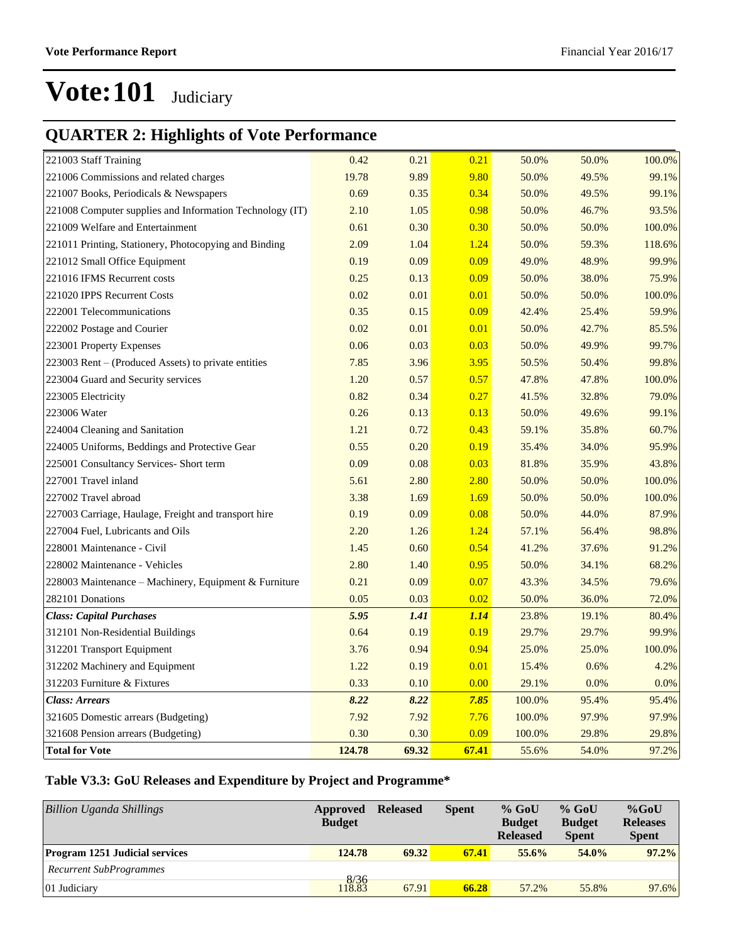### **QUARTER 2: Highlights of Vote Performance**

| 221003 Staff Training                                    | 0.42   | 0.21  | 0.21        | 50.0%  | 50.0% | 100.0% |
|----------------------------------------------------------|--------|-------|-------------|--------|-------|--------|
| 221006 Commissions and related charges                   | 19.78  | 9.89  | 9.80        | 50.0%  | 49.5% | 99.1%  |
| 221007 Books, Periodicals & Newspapers                   | 0.69   | 0.35  | 0.34        | 50.0%  | 49.5% | 99.1%  |
| 221008 Computer supplies and Information Technology (IT) | 2.10   | 1.05  | 0.98        | 50.0%  | 46.7% | 93.5%  |
| 221009 Welfare and Entertainment                         | 0.61   | 0.30  | 0.30        | 50.0%  | 50.0% | 100.0% |
| 221011 Printing, Stationery, Photocopying and Binding    | 2.09   | 1.04  | 1.24        | 50.0%  | 59.3% | 118.6% |
| 221012 Small Office Equipment                            | 0.19   | 0.09  | 0.09        | 49.0%  | 48.9% | 99.9%  |
| 221016 IFMS Recurrent costs                              | 0.25   | 0.13  | 0.09        | 50.0%  | 38.0% | 75.9%  |
| 221020 IPPS Recurrent Costs                              | 0.02   | 0.01  | 0.01        | 50.0%  | 50.0% | 100.0% |
| 222001 Telecommunications                                | 0.35   | 0.15  | 0.09        | 42.4%  | 25.4% | 59.9%  |
| 222002 Postage and Courier                               | 0.02   | 0.01  | 0.01        | 50.0%  | 42.7% | 85.5%  |
| 223001 Property Expenses                                 | 0.06   | 0.03  | 0.03        | 50.0%  | 49.9% | 99.7%  |
| 223003 Rent – (Produced Assets) to private entities      | 7.85   | 3.96  | 3.95        | 50.5%  | 50.4% | 99.8%  |
| 223004 Guard and Security services                       | 1.20   | 0.57  | 0.57        | 47.8%  | 47.8% | 100.0% |
| 223005 Electricity                                       | 0.82   | 0.34  | 0.27        | 41.5%  | 32.8% | 79.0%  |
| 223006 Water                                             | 0.26   | 0.13  | 0.13        | 50.0%  | 49.6% | 99.1%  |
| 224004 Cleaning and Sanitation                           | 1.21   | 0.72  | 0.43        | 59.1%  | 35.8% | 60.7%  |
| 224005 Uniforms, Beddings and Protective Gear            | 0.55   | 0.20  | 0.19        | 35.4%  | 34.0% | 95.9%  |
| 225001 Consultancy Services- Short term                  | 0.09   | 0.08  | 0.03        | 81.8%  | 35.9% | 43.8%  |
| 227001 Travel inland                                     | 5.61   | 2.80  | 2.80        | 50.0%  | 50.0% | 100.0% |
| 227002 Travel abroad                                     | 3.38   | 1.69  | 1.69        | 50.0%  | 50.0% | 100.0% |
| 227003 Carriage, Haulage, Freight and transport hire     | 0.19   | 0.09  | 0.08        | 50.0%  | 44.0% | 87.9%  |
| 227004 Fuel, Lubricants and Oils                         | 2.20   | 1.26  | 1.24        | 57.1%  | 56.4% | 98.8%  |
| 228001 Maintenance - Civil                               | 1.45   | 0.60  | 0.54        | 41.2%  | 37.6% | 91.2%  |
| 228002 Maintenance - Vehicles                            | 2.80   | 1.40  | 0.95        | 50.0%  | 34.1% | 68.2%  |
| 228003 Maintenance - Machinery, Equipment & Furniture    | 0.21   | 0.09  | 0.07        | 43.3%  | 34.5% | 79.6%  |
| 282101 Donations                                         | 0.05   | 0.03  | 0.02        | 50.0%  | 36.0% | 72.0%  |
| <b>Class: Capital Purchases</b>                          | 5.95   | 1.41  | <u>1.14</u> | 23.8%  | 19.1% | 80.4%  |
| 312101 Non-Residential Buildings                         | 0.64   | 0.19  | 0.19        | 29.7%  | 29.7% | 99.9%  |
| 312201 Transport Equipment                               | 3.76   | 0.94  | 0.94        | 25.0%  | 25.0% | 100.0% |
| 312202 Machinery and Equipment                           | 1.22   | 0.19  | 0.01        | 15.4%  | 0.6%  | 4.2%   |
| 312203 Furniture & Fixtures                              | 0.33   | 0.10  | 0.00        | 29.1%  | 0.0%  | 0.0%   |
| <b>Class: Arrears</b>                                    | 8.22   | 8.22  | 7.85        | 100.0% | 95.4% | 95.4%  |
| 321605 Domestic arrears (Budgeting)                      | 7.92   | 7.92  | 7.76        | 100.0% | 97.9% | 97.9%  |
| 321608 Pension arrears (Budgeting)                       | 0.30   | 0.30  | 0.09        | 100.0% | 29.8% | 29.8%  |
| <b>Total for Vote</b>                                    | 124.78 | 69.32 | 67.41       | 55.6%  | 54.0% | 97.2%  |

#### **Table V3.3: GoU Releases and Expenditure by Project and Programme\***

| <b>Billion Uganda Shillings</b>       | Approved<br><b>Budget</b> | <b>Released</b> | <b>Spent</b> | $%$ GoU<br><b>Budget</b><br><b>Released</b> | $%$ GoU<br><b>Budget</b><br><b>Spent</b> | $%$ GoU<br><b>Releases</b><br><b>Spent</b> |
|---------------------------------------|---------------------------|-----------------|--------------|---------------------------------------------|------------------------------------------|--------------------------------------------|
| <b>Program 1251 Judicial services</b> | 124.78                    | 69.32           | 67.41        | 55.6%                                       | $54.0\%$                                 | 97.2%                                      |
| Recurrent SubProgrammes               |                           |                 |              |                                             |                                          |                                            |
| 01 Judiciary                          | $\frac{8}{3}$             | 67.91           | 66.28        | 57.2%                                       | 55.8%                                    | 97.6%                                      |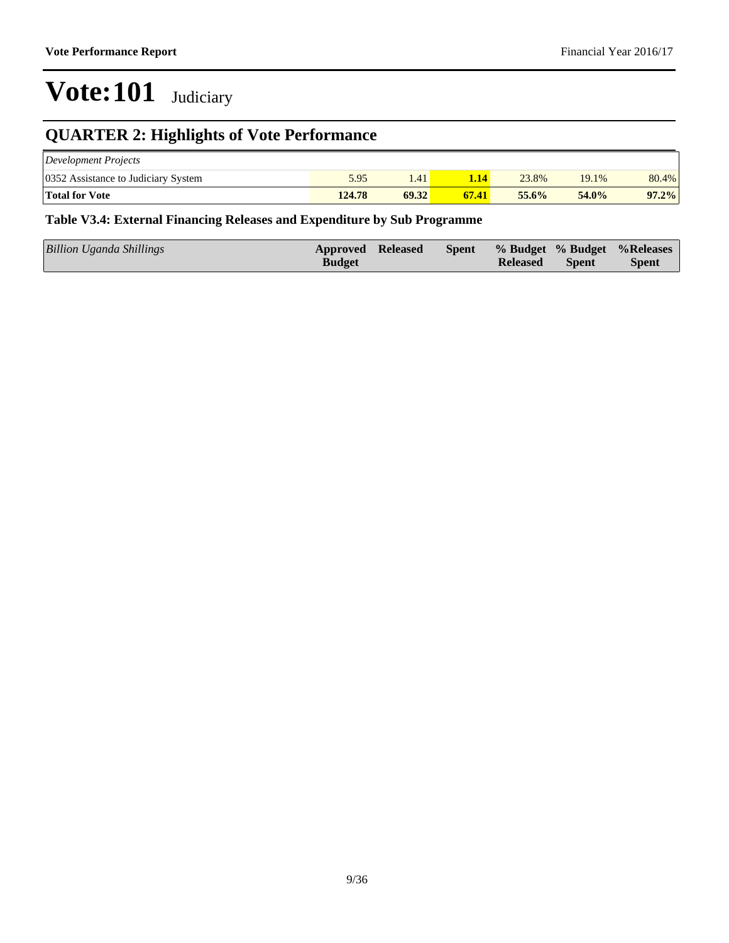### **QUARTER 2: Highlights of Vote Performance**

| Development Projects                |        |       |       |       |          |       |
|-------------------------------------|--------|-------|-------|-------|----------|-------|
| 0352 Assistance to Judiciary System | 5.95   | 1.41  |       | 23.8% | 19.1%    | 80.4% |
| <b>Total for Vote</b>               | 124.78 | 69.32 | 67.41 | 55.6% | $54.0\%$ | 97.2% |

#### **Table V3.4: External Financing Releases and Expenditure by Sub Programme**

| Billion Uganda Shillings | <b>Approved Released</b> | Spent |                 |              | % Budget % Budget % Releases |
|--------------------------|--------------------------|-------|-----------------|--------------|------------------------------|
|                          | <b>Budget</b>            |       | <b>Released</b> | <b>Spent</b> | <b>Spent</b>                 |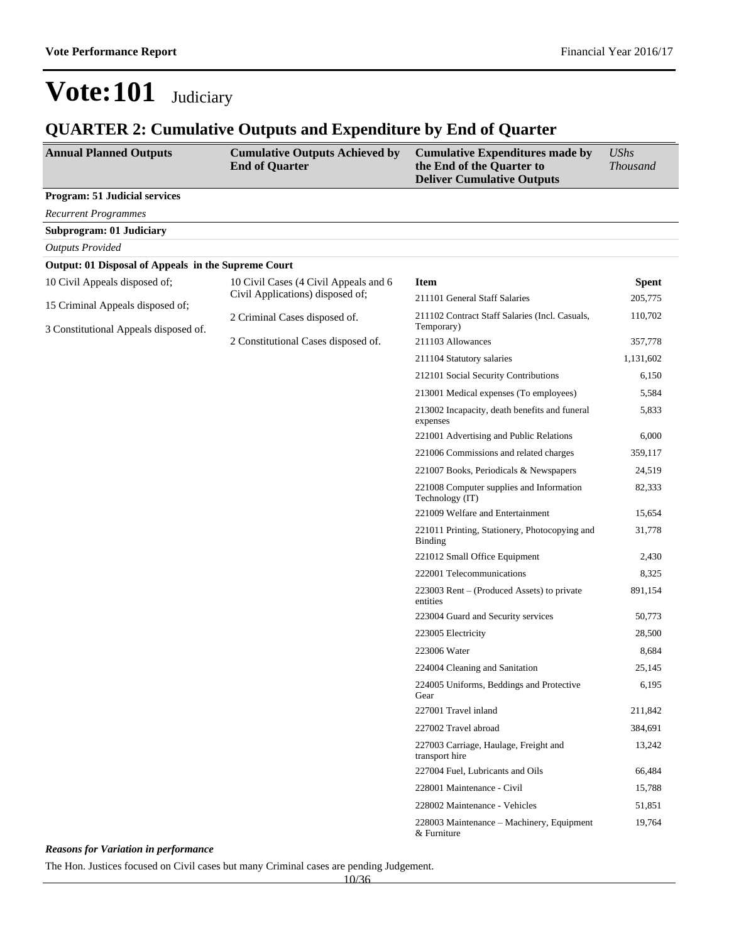### **QUARTER 2: Cumulative Outputs and Expenditure by End of Quarter**

| <b>Annual Planned Outputs</b>                       | <b>Cumulative Outputs Achieved by</b><br><b>End of Quarter</b> | <b>Cumulative Expenditures made by</b><br>the End of the Quarter to<br><b>Deliver Cumulative Outputs</b> | <b>UShs</b><br><b>Thousand</b> |  |
|-----------------------------------------------------|----------------------------------------------------------------|----------------------------------------------------------------------------------------------------------|--------------------------------|--|
| <b>Program: 51 Judicial services</b>                |                                                                |                                                                                                          |                                |  |
| <b>Recurrent Programmes</b>                         |                                                                |                                                                                                          |                                |  |
| <b>Subprogram: 01 Judiciary</b>                     |                                                                |                                                                                                          |                                |  |
| <b>Outputs Provided</b>                             |                                                                |                                                                                                          |                                |  |
| Output: 01 Disposal of Appeals in the Supreme Court |                                                                |                                                                                                          |                                |  |
| 10 Civil Appeals disposed of;                       | 10 Civil Cases (4 Civil Appeals and 6                          | <b>Item</b>                                                                                              | <b>Spent</b>                   |  |
| 15 Criminal Appeals disposed of;                    | Civil Applications) disposed of;                               | 211101 General Staff Salaries                                                                            | 205,775                        |  |
| 3 Constitutional Appeals disposed of.               | 2 Criminal Cases disposed of.                                  | 211102 Contract Staff Salaries (Incl. Casuals,<br>Temporary)                                             | 110,702                        |  |
|                                                     | 2 Constitutional Cases disposed of.                            | 211103 Allowances                                                                                        | 357,778                        |  |
|                                                     |                                                                | 211104 Statutory salaries                                                                                | 1,131,602                      |  |
|                                                     |                                                                | 212101 Social Security Contributions                                                                     | 6,150                          |  |
|                                                     |                                                                | 213001 Medical expenses (To employees)                                                                   | 5,584                          |  |
|                                                     |                                                                | 213002 Incapacity, death benefits and funeral<br>expenses                                                | 5,833                          |  |
|                                                     |                                                                | 221001 Advertising and Public Relations                                                                  | 6,000                          |  |
|                                                     |                                                                | 221006 Commissions and related charges                                                                   | 359,117                        |  |
|                                                     |                                                                | 221007 Books, Periodicals & Newspapers                                                                   | 24,519                         |  |
|                                                     |                                                                | 221008 Computer supplies and Information<br>Technology (IT)                                              | 82,333                         |  |
|                                                     |                                                                | 221009 Welfare and Entertainment                                                                         | 15,654                         |  |
|                                                     |                                                                | 221011 Printing, Stationery, Photocopying and<br>Binding                                                 | 31,778                         |  |
|                                                     |                                                                | 221012 Small Office Equipment                                                                            | 2,430                          |  |
|                                                     |                                                                | 222001 Telecommunications                                                                                | 8,325                          |  |
|                                                     |                                                                | $223003$ Rent – (Produced Assets) to private<br>entities                                                 | 891,154                        |  |
|                                                     |                                                                | 223004 Guard and Security services                                                                       | 50,773                         |  |
|                                                     |                                                                | 223005 Electricity                                                                                       | 28,500                         |  |
|                                                     |                                                                | 223006 Water                                                                                             | 8,684                          |  |
|                                                     |                                                                | 224004 Cleaning and Sanitation                                                                           | 25,145                         |  |
|                                                     |                                                                | 224005 Uniforms, Beddings and Protective<br>Gear                                                         | 6,195                          |  |
|                                                     |                                                                | 227001 Travel inland                                                                                     | 211,842                        |  |
|                                                     |                                                                | 227002 Travel abroad                                                                                     | 384,691                        |  |
|                                                     |                                                                | 227003 Carriage, Haulage, Freight and<br>transport hire                                                  | 13,242                         |  |
|                                                     |                                                                | 227004 Fuel, Lubricants and Oils                                                                         | 66,484                         |  |
|                                                     |                                                                | 228001 Maintenance - Civil                                                                               | 15,788                         |  |
|                                                     |                                                                | 228002 Maintenance - Vehicles                                                                            | 51,851                         |  |
|                                                     |                                                                | 228003 Maintenance – Machinery, Equipment<br>& Furniture                                                 | 19,764                         |  |

*Reasons for Variation in performance*

The Hon. Justices focused on Civil cases but many Criminal cases are pending Judgement.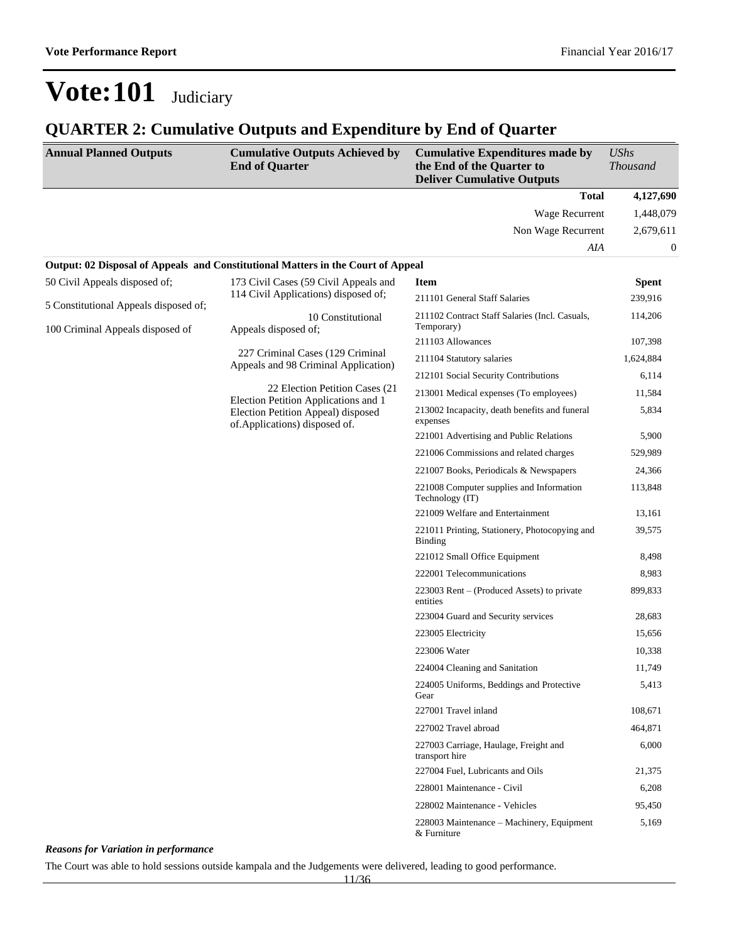#### **QUARTER 2: Cumulative Outputs and Expenditure by End of Quarter**

| <b>Annual Planned Outputs</b>         | <b>Cumulative Outputs Achieved by</b><br><b>End of Quarter</b>                          | <b>Cumulative Expenditures made by</b><br>the End of the Quarter to<br><b>Deliver Cumulative Outputs</b> | <b>UShs</b><br><b>Thousand</b> |
|---------------------------------------|-----------------------------------------------------------------------------------------|----------------------------------------------------------------------------------------------------------|--------------------------------|
|                                       |                                                                                         | <b>Total</b>                                                                                             | 4,127,690                      |
|                                       |                                                                                         | Wage Recurrent                                                                                           | 1,448,079                      |
|                                       |                                                                                         | Non Wage Recurrent                                                                                       | 2,679,611                      |
|                                       |                                                                                         | AIA                                                                                                      | $\boldsymbol{0}$               |
|                                       | <b>Output: 02 Disposal of Appeals and Constitutional Matters in the Court of Appeal</b> |                                                                                                          |                                |
| 50 Civil Appeals disposed of;         | 173 Civil Cases (59 Civil Appeals and                                                   | <b>Item</b>                                                                                              | <b>Spent</b>                   |
| 5 Constitutional Appeals disposed of; | 114 Civil Applications) disposed of;                                                    | 211101 General Staff Salaries                                                                            | 239,916                        |
| 100 Criminal Appeals disposed of      | 10 Constitutional<br>Appeals disposed of;                                               | 211102 Contract Staff Salaries (Incl. Casuals,<br>Temporary)                                             | 114,206                        |
|                                       |                                                                                         | 211103 Allowances                                                                                        | 107,398                        |
|                                       | 227 Criminal Cases (129 Criminal<br>Appeals and 98 Criminal Application)                | 211104 Statutory salaries                                                                                | 1,624,884                      |
|                                       |                                                                                         | 212101 Social Security Contributions                                                                     | 6,114                          |
|                                       | 22 Election Petition Cases (21)<br>Election Petition Applications and 1                 | 213001 Medical expenses (To employees)                                                                   | 11,584                         |
|                                       | Election Petition Appeal) disposed<br>of.Applications) disposed of.                     | 213002 Incapacity, death benefits and funeral<br>expenses                                                | 5,834                          |
|                                       |                                                                                         | 221001 Advertising and Public Relations                                                                  | 5,900                          |
|                                       |                                                                                         | 221006 Commissions and related charges                                                                   | 529,989                        |
|                                       |                                                                                         | 221007 Books, Periodicals & Newspapers                                                                   | 24,366                         |
|                                       |                                                                                         | 221008 Computer supplies and Information<br>Technology (IT)                                              | 113,848                        |
|                                       |                                                                                         | 221009 Welfare and Entertainment                                                                         | 13,161                         |
|                                       |                                                                                         | 221011 Printing, Stationery, Photocopying and<br>Binding                                                 | 39,575                         |
|                                       |                                                                                         | 221012 Small Office Equipment                                                                            | 8,498                          |
|                                       |                                                                                         | 222001 Telecommunications                                                                                | 8,983                          |
|                                       |                                                                                         | 223003 Rent – (Produced Assets) to private<br>entities                                                   | 899,833                        |
|                                       |                                                                                         | 223004 Guard and Security services                                                                       | 28,683                         |
|                                       |                                                                                         | 223005 Electricity                                                                                       | 15,656                         |
|                                       |                                                                                         | 223006 Water                                                                                             | 10,338                         |
|                                       |                                                                                         | 224004 Cleaning and Sanitation                                                                           | 11,749                         |
|                                       |                                                                                         | 224005 Uniforms, Beddings and Protective<br>Gear                                                         | 5,413                          |
|                                       |                                                                                         | 227001 Travel inland                                                                                     | 108,671                        |
|                                       |                                                                                         | 227002 Travel abroad                                                                                     | 464,871                        |
|                                       |                                                                                         | 227003 Carriage, Haulage, Freight and<br>transport hire                                                  | 6,000                          |
|                                       |                                                                                         | 227004 Fuel, Lubricants and Oils                                                                         | 21,375                         |
|                                       |                                                                                         | 228001 Maintenance - Civil                                                                               | 6,208                          |
|                                       |                                                                                         | 228002 Maintenance - Vehicles                                                                            | 95,450                         |
|                                       |                                                                                         | 228003 Maintenance - Machinery, Equipment<br>& Furniture                                                 | 5,169                          |

*Reasons for Variation in performance*

The Court was able to hold sessions outside kampala and the Judgements were delivered, leading to good performance.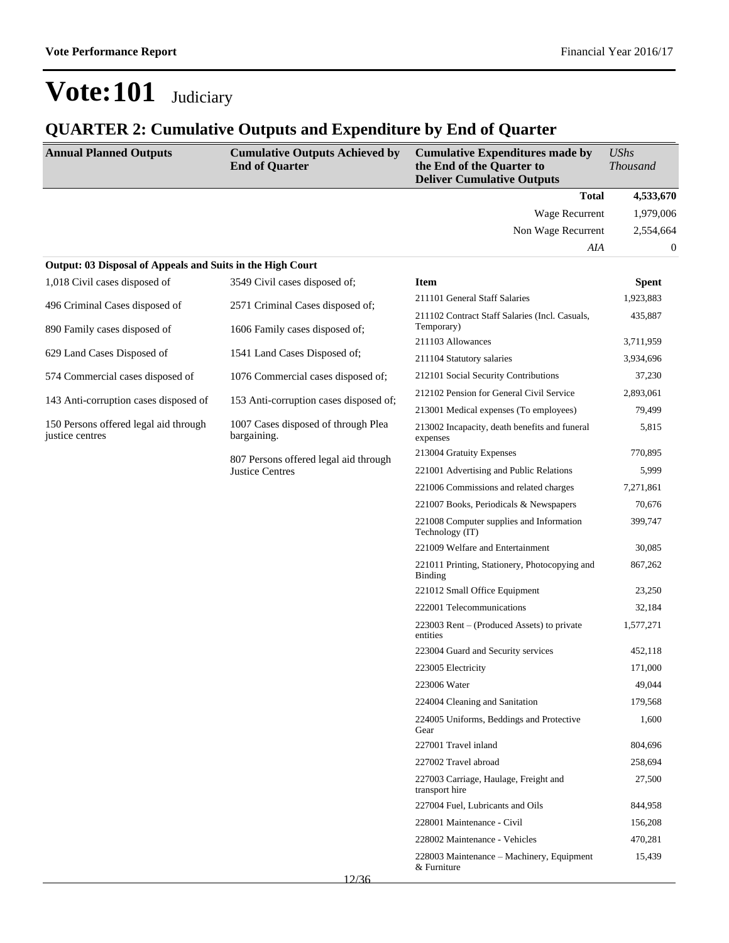| <b>Annual Planned Outputs</b>                              | <b>Cumulative Outputs Achieved by</b><br><b>End of Quarter</b>  | <b>Cumulative Expenditures made by</b><br>the End of the Quarter to<br><b>Deliver Cumulative Outputs</b> | <b>UShs</b><br><b>Thousand</b> |
|------------------------------------------------------------|-----------------------------------------------------------------|----------------------------------------------------------------------------------------------------------|--------------------------------|
|                                                            |                                                                 | <b>Total</b>                                                                                             | 4,533,670                      |
|                                                            |                                                                 | Wage Recurrent                                                                                           | 1,979,006                      |
|                                                            |                                                                 | Non Wage Recurrent                                                                                       | 2,554,664                      |
|                                                            |                                                                 | AIA                                                                                                      | 0                              |
| Output: 03 Disposal of Appeals and Suits in the High Court |                                                                 |                                                                                                          |                                |
| 1,018 Civil cases disposed of                              | 3549 Civil cases disposed of;                                   | <b>Item</b>                                                                                              | <b>Spent</b>                   |
| 496 Criminal Cases disposed of                             | 2571 Criminal Cases disposed of;                                | 211101 General Staff Salaries                                                                            | 1,923,883                      |
| 890 Family cases disposed of                               | 1606 Family cases disposed of;                                  | 211102 Contract Staff Salaries (Incl. Casuals,<br>Temporary)                                             | 435,887                        |
|                                                            |                                                                 | 211103 Allowances                                                                                        | 3,711,959                      |
| 629 Land Cases Disposed of                                 | 1541 Land Cases Disposed of;                                    | 211104 Statutory salaries                                                                                | 3,934,696                      |
| 574 Commercial cases disposed of                           | 1076 Commercial cases disposed of;                              | 212101 Social Security Contributions                                                                     | 37,230                         |
|                                                            |                                                                 | 212102 Pension for General Civil Service                                                                 | 2,893,061                      |
| 143 Anti-corruption cases disposed of                      | 153 Anti-corruption cases disposed of;                          | 213001 Medical expenses (To employees)                                                                   | 79,499                         |
| 150 Persons offered legal aid through<br>justice centres   | 1007 Cases disposed of through Plea<br>bargaining.              | 213002 Incapacity, death benefits and funeral<br>expenses                                                | 5,815                          |
|                                                            | 807 Persons offered legal aid through<br><b>Justice Centres</b> | 213004 Gratuity Expenses                                                                                 | 770,895                        |
|                                                            |                                                                 | 221001 Advertising and Public Relations                                                                  | 5,999                          |
|                                                            |                                                                 | 221006 Commissions and related charges                                                                   | 7,271,861                      |
|                                                            |                                                                 | 221007 Books, Periodicals & Newspapers                                                                   | 70,676                         |
|                                                            |                                                                 | 221008 Computer supplies and Information<br>Technology (IT)                                              | 399,747                        |
|                                                            |                                                                 | 221009 Welfare and Entertainment                                                                         | 30,085                         |
|                                                            |                                                                 | 221011 Printing, Stationery, Photocopying and<br>Binding                                                 | 867,262                        |
|                                                            |                                                                 | 221012 Small Office Equipment                                                                            | 23,250                         |
|                                                            |                                                                 | 222001 Telecommunications                                                                                | 32,184                         |
|                                                            |                                                                 | 223003 Rent – (Produced Assets) to private<br>entities                                                   | 1,577,271                      |
|                                                            |                                                                 | 223004 Guard and Security services                                                                       | 452,118                        |
|                                                            |                                                                 | 223005 Electricity                                                                                       | 171,000                        |
|                                                            |                                                                 | 223006 Water                                                                                             | 49,044                         |
|                                                            |                                                                 | 224004 Cleaning and Sanitation                                                                           | 179,568                        |
|                                                            |                                                                 | 224005 Uniforms, Beddings and Protective<br>Gear                                                         | 1,600                          |
|                                                            |                                                                 | 227001 Travel inland                                                                                     | 804,696                        |
|                                                            |                                                                 | 227002 Travel abroad                                                                                     | 258,694                        |
|                                                            |                                                                 | 227003 Carriage, Haulage, Freight and<br>transport hire                                                  | 27,500                         |
|                                                            |                                                                 | 227004 Fuel, Lubricants and Oils                                                                         | 844,958                        |
|                                                            |                                                                 | 228001 Maintenance - Civil                                                                               | 156,208                        |
|                                                            |                                                                 | 228002 Maintenance - Vehicles                                                                            | 470,281                        |
|                                                            |                                                                 | 228003 Maintenance – Machinery, Equipment<br>& Furniture                                                 | 15,439                         |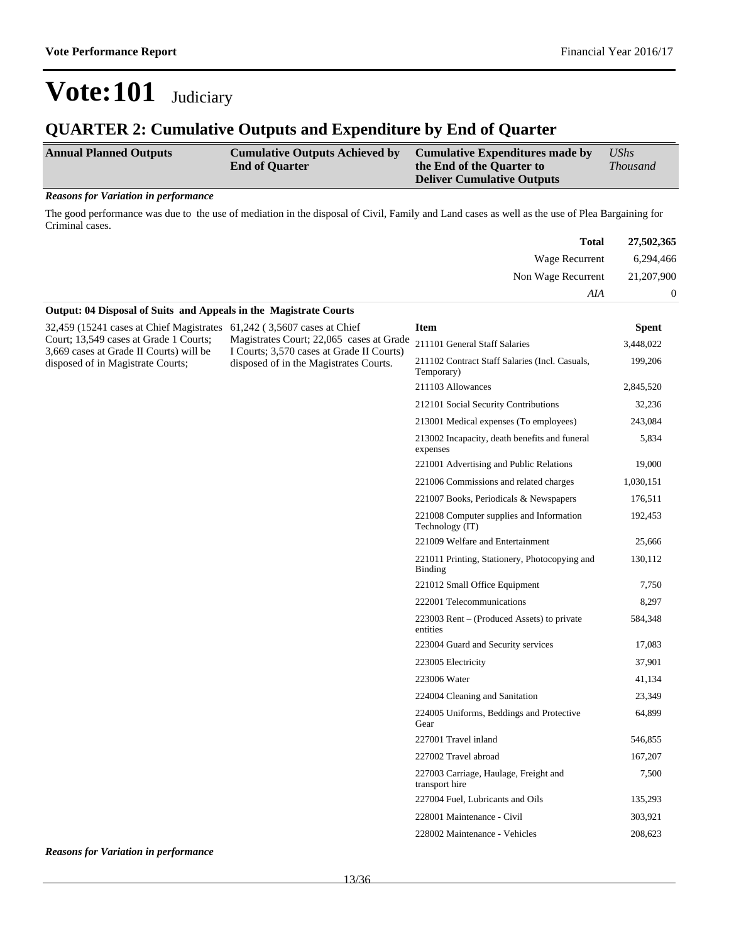#### **QUARTER 2: Cumulative Outputs and Expenditure by End of Quarter**

| <b>Annual Planned Outputs</b> | <b>Cumulative Outputs Achieved by</b><br><b>End of Quarter</b> | Cumulative Expenditures made by<br>the End of the Quarter to<br><b>Deliver Cumulative Outputs</b> | <b>UShs</b><br><i>Thousand</i> |
|-------------------------------|----------------------------------------------------------------|---------------------------------------------------------------------------------------------------|--------------------------------|
|                               |                                                                |                                                                                                   |                                |

#### *Reasons for Variation in performance*

The good performance was due to the use of mediation in the disposal of Civil, Family and Land cases as well as the use of Plea Bargaining for Criminal cases.

| <b>Total</b>                                                      | 27,502,365 |
|-------------------------------------------------------------------|------------|
| Wage Recurrent                                                    | 6,294,466  |
| Non Wage Recurrent                                                | 21,207,900 |
| AIA                                                               | $\Omega$   |
| Output: 04 Disposal of Suits and Appeals in the Magistrate Courts |            |

| 32,459 (15241 cases at Chief Magistrates<br>Court; 13,549 cases at Grade 1 Courts;<br>3,669 cases at Grade II Courts) will be | 61,242 (3,5607 cases at Chief                                                                                                   | <b>Item</b>                                                     | <b>Spent</b> |
|-------------------------------------------------------------------------------------------------------------------------------|---------------------------------------------------------------------------------------------------------------------------------|-----------------------------------------------------------------|--------------|
|                                                                                                                               | Magistrates Court; 22,065 cases at Grade<br>I Courts; 3,570 cases at Grade II Courts)<br>disposed of in the Magistrates Courts. | 211101 General Staff Salaries                                   | 3,448,022    |
| disposed of in Magistrate Courts;                                                                                             |                                                                                                                                 | 211102 Contract Staff Salaries (Incl. Casuals,<br>Temporary)    | 199,206      |
|                                                                                                                               |                                                                                                                                 | 211103 Allowances                                               | 2,845,520    |
|                                                                                                                               |                                                                                                                                 | 212101 Social Security Contributions                            | 32,236       |
|                                                                                                                               |                                                                                                                                 | 213001 Medical expenses (To employees)                          | 243,084      |
|                                                                                                                               |                                                                                                                                 | 213002 Incapacity, death benefits and funeral<br>expenses       | 5,834        |
|                                                                                                                               |                                                                                                                                 | 221001 Advertising and Public Relations                         | 19,000       |
|                                                                                                                               |                                                                                                                                 | 221006 Commissions and related charges                          | 1,030,151    |
|                                                                                                                               |                                                                                                                                 | 221007 Books, Periodicals & Newspapers                          | 176,511      |
|                                                                                                                               |                                                                                                                                 | 221008 Computer supplies and Information<br>Technology (IT)     | 192,453      |
|                                                                                                                               |                                                                                                                                 | 221009 Welfare and Entertainment                                | 25,666       |
|                                                                                                                               |                                                                                                                                 | 221011 Printing, Stationery, Photocopying and<br><b>Binding</b> | 130,112      |
|                                                                                                                               |                                                                                                                                 | 221012 Small Office Equipment                                   | 7,750        |
|                                                                                                                               |                                                                                                                                 | 222001 Telecommunications                                       | 8,297        |
|                                                                                                                               |                                                                                                                                 | $223003$ Rent – (Produced Assets) to private<br>entities        | 584,348      |
|                                                                                                                               |                                                                                                                                 | 223004 Guard and Security services                              | 17,083       |
|                                                                                                                               |                                                                                                                                 | 223005 Electricity                                              | 37,901       |
|                                                                                                                               |                                                                                                                                 | 223006 Water                                                    | 41,134       |
|                                                                                                                               |                                                                                                                                 | 224004 Cleaning and Sanitation                                  | 23,349       |
|                                                                                                                               |                                                                                                                                 | 224005 Uniforms, Beddings and Protective<br>Gear                | 64,899       |
|                                                                                                                               |                                                                                                                                 | 227001 Travel inland                                            | 546,855      |
|                                                                                                                               |                                                                                                                                 | 227002 Travel abroad                                            | 167,207      |
|                                                                                                                               |                                                                                                                                 | 227003 Carriage, Haulage, Freight and<br>transport hire         | 7,500        |
|                                                                                                                               |                                                                                                                                 | 227004 Fuel, Lubricants and Oils                                | 135,293      |
|                                                                                                                               |                                                                                                                                 | 228001 Maintenance - Civil                                      | 303,921      |
|                                                                                                                               |                                                                                                                                 | 228002 Maintenance - Vehicles                                   | 208,623      |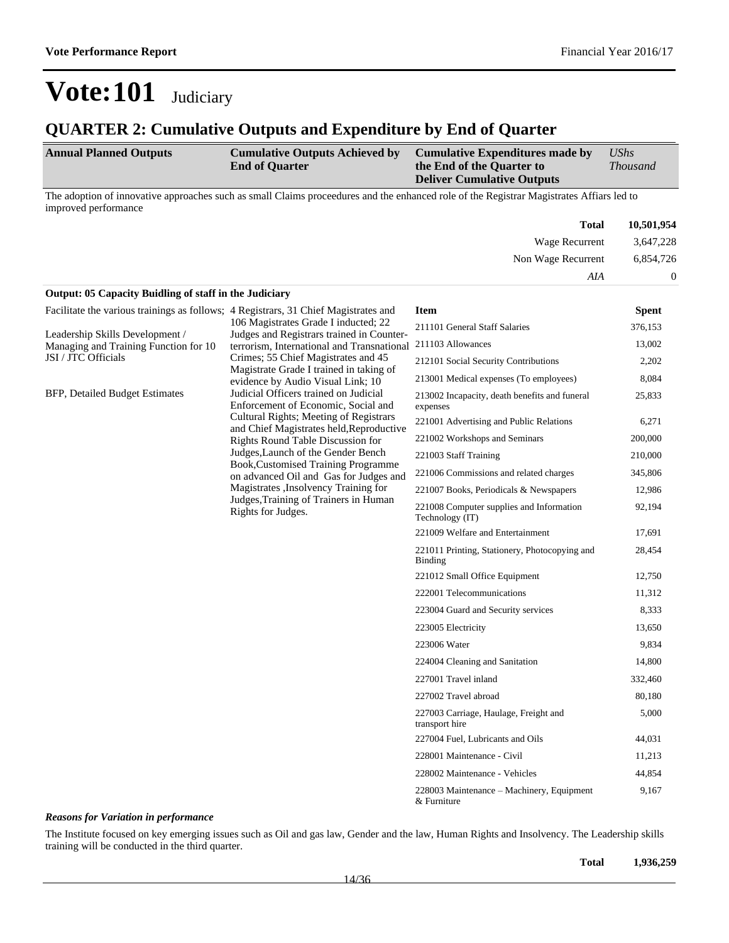#### **QUARTER 2: Cumulative Outputs and Expenditure by End of Quarter**

| <b>Annual Planned Outputs</b> |  |  | <b>Cumulative Outputs Achieved by</b><br><b>End of Quarter</b> |  |  | Cumulative Expenditures made by<br>the End of the Quarter to |  |  | UShs |  |  |                                   |                 |  |
|-------------------------------|--|--|----------------------------------------------------------------|--|--|--------------------------------------------------------------|--|--|------|--|--|-----------------------------------|-----------------|--|
|                               |  |  |                                                                |  |  |                                                              |  |  |      |  |  |                                   | <b>Thousand</b> |  |
|                               |  |  |                                                                |  |  |                                                              |  |  |      |  |  | <b>Deliver Cumulative Outputs</b> |                 |  |
|                               |  |  |                                                                |  |  | ------                                                       |  |  |      |  |  | .                                 |                 |  |

The adoption of innovative approaches such as small Claims proceedures and the enhanced role of the Registrar Magistrates Affiars led to improved performance

| <b>Total</b>                                                  | 10,501,954 |
|---------------------------------------------------------------|------------|
| Wage Recurrent                                                | 3,647,228  |
| Non Wage Recurrent                                            | 6,854,726  |
| AIA                                                           |            |
| <b>Output: 05 Capacity Buidling of staff in the Judiciary</b> |            |

| Facilitate the various trainings as follows; 4 Registrars, 31 Chief Magistrates and |                                                                                                                                                                                                                                | Item                                                        | <b>Spent</b> |        |
|-------------------------------------------------------------------------------------|--------------------------------------------------------------------------------------------------------------------------------------------------------------------------------------------------------------------------------|-------------------------------------------------------------|--------------|--------|
|                                                                                     | 106 Magistrates Grade I inducted; 22                                                                                                                                                                                           | 211101 General Staff Salaries                               | 376,153      |        |
| Leadership Skills Development /<br>Managing and Training Function for 10            | Judges and Registrars trained in Counter-<br>211103 Allowances<br>terrorism, International and Transnational                                                                                                                   |                                                             | 13,002       |        |
| JSI / JTC Officials                                                                 | Crimes; 55 Chief Magistrates and 45                                                                                                                                                                                            | 212101 Social Security Contributions                        | 2,202        |        |
|                                                                                     | Magistrate Grade I trained in taking of<br>evidence by Audio Visual Link; 10                                                                                                                                                   | 213001 Medical expenses (To employees)                      | 8,084        |        |
| <b>BFP, Detailed Budget Estimates</b>                                               | Judicial Officers trained on Judicial<br>213002 Incapacity, death benefits and funeral<br>Enforcement of Economic, Social and<br>expenses<br>Cultural Rights; Meeting of Registrars<br>221001 Advertising and Public Relations |                                                             |              | 25,833 |
|                                                                                     |                                                                                                                                                                                                                                | 6,271                                                       |              |        |
|                                                                                     | and Chief Magistrates held, Reproductive<br>Rights Round Table Discussion for                                                                                                                                                  | 221002 Workshops and Seminars                               | 200,000      |        |
|                                                                                     | Judges, Launch of the Gender Bench<br>Book, Customised Training Programme<br>on advanced Oil and Gas for Judges and<br>Magistrates , Insolvency Training for<br>Judges, Training of Trainers in Human<br>Rights for Judges.    | 221003 Staff Training                                       | 210,000      |        |
|                                                                                     |                                                                                                                                                                                                                                | 221006 Commissions and related charges                      | 345,806      |        |
|                                                                                     |                                                                                                                                                                                                                                | 221007 Books, Periodicals & Newspapers                      | 12,986       |        |
|                                                                                     |                                                                                                                                                                                                                                | 221008 Computer supplies and Information<br>Technology (IT) |              |        |
|                                                                                     |                                                                                                                                                                                                                                | 221009 Welfare and Entertainment                            | 17,691       |        |
|                                                                                     |                                                                                                                                                                                                                                | 221011 Printing, Stationery, Photocopying and<br>Binding    | 28,454       |        |
|                                                                                     |                                                                                                                                                                                                                                | 221012 Small Office Equipment                               | 12,750       |        |
|                                                                                     |                                                                                                                                                                                                                                | 222001 Telecommunications                                   | 11,312       |        |
|                                                                                     |                                                                                                                                                                                                                                | 223004 Guard and Security services                          | 8,333        |        |
|                                                                                     |                                                                                                                                                                                                                                | 223005 Electricity                                          | 13,650       |        |
|                                                                                     |                                                                                                                                                                                                                                | 223006 Water                                                | 9,834        |        |
|                                                                                     |                                                                                                                                                                                                                                | 224004 Cleaning and Sanitation                              | 14,800       |        |
|                                                                                     |                                                                                                                                                                                                                                | 227001 Travel inland                                        | 332,460      |        |
|                                                                                     |                                                                                                                                                                                                                                | 227002 Travel abroad                                        | 80,180       |        |
|                                                                                     |                                                                                                                                                                                                                                | 227003 Carriage, Haulage, Freight and<br>transport hire     | 5,000        |        |
|                                                                                     |                                                                                                                                                                                                                                | 227004 Fuel, Lubricants and Oils                            | 44,031       |        |
|                                                                                     |                                                                                                                                                                                                                                | 228001 Maintenance - Civil                                  | 11,213       |        |
|                                                                                     |                                                                                                                                                                                                                                | 228002 Maintenance - Vehicles                               | 44,854       |        |
|                                                                                     |                                                                                                                                                                                                                                | 228003 Maintenance – Machinery, Equipment<br>& Furniture    | 9,167        |        |

#### *Reasons for Variation in performance*

The Institute focused on key emerging issues such as Oil and gas law, Gender and the law, Human Rights and Insolvency. The Leadership skills training will be conducted in the third quarter.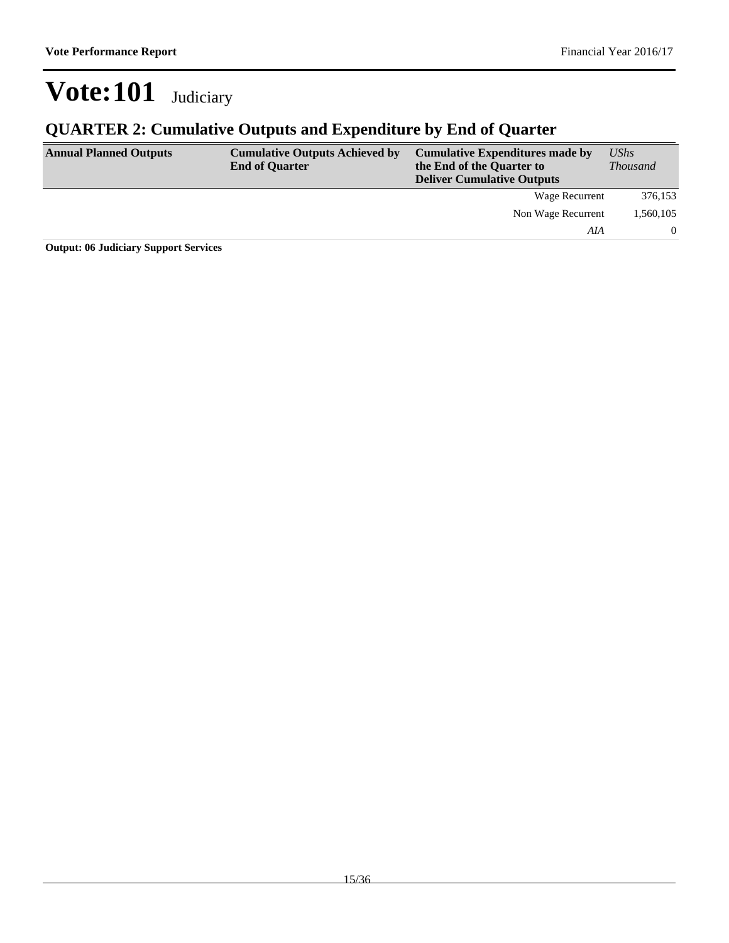### **QUARTER 2: Cumulative Outputs and Expenditure by End of Quarter**

| <b>Annual Planned Outputs</b> | <b>Cumulative Outputs Achieved by</b><br><b>End of Quarter</b> | <b>Cumulative Expenditures made by</b><br>the End of the Quarter to<br><b>Deliver Cumulative Outputs</b> | <b>UShs</b><br><i>Thousand</i> |
|-------------------------------|----------------------------------------------------------------|----------------------------------------------------------------------------------------------------------|--------------------------------|
|                               |                                                                | Wage Recurrent                                                                                           | 376,153                        |
|                               |                                                                | Non Wage Recurrent                                                                                       | 1,560,105                      |
|                               |                                                                | AIA                                                                                                      | $\Omega$                       |

**Output: 06 Judiciary Support Services**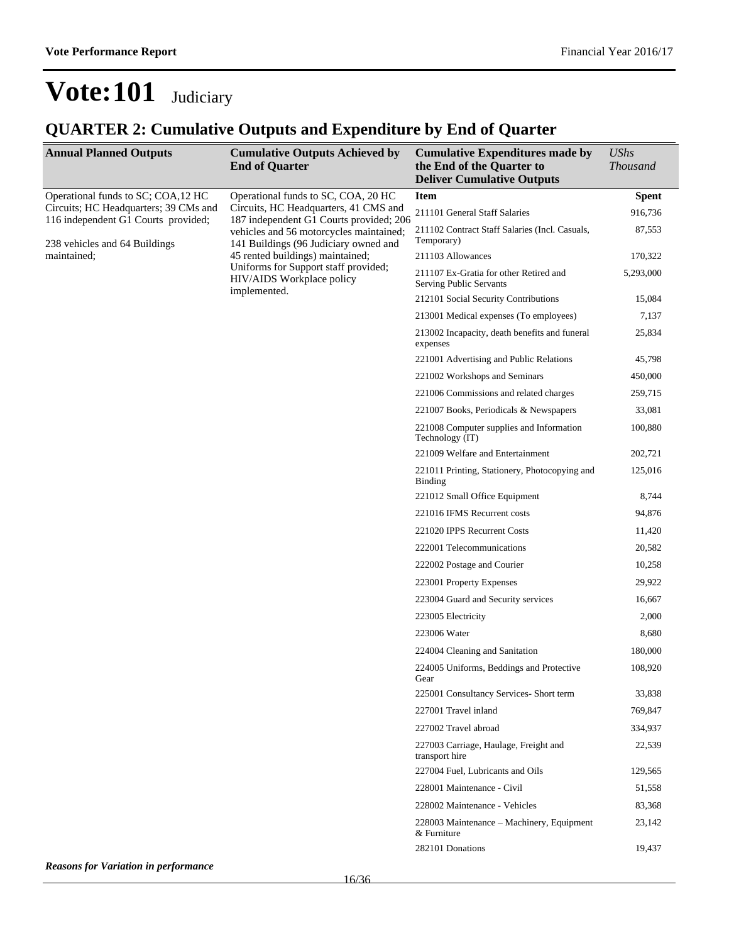| <b>Annual Planned Outputs</b>                                                | <b>Cumulative Outputs Achieved by</b><br><b>End of Quarter</b>                   | <b>Cumulative Expenditures made by</b><br>the End of the Quarter to<br><b>Deliver Cumulative Outputs</b> | <b>UShs</b><br><b>Thousand</b> |
|------------------------------------------------------------------------------|----------------------------------------------------------------------------------|----------------------------------------------------------------------------------------------------------|--------------------------------|
| Operational funds to SC; COA,12 HC                                           | Operational funds to SC, COA, 20 HC                                              | <b>Item</b>                                                                                              | <b>Spent</b>                   |
| Circuits; HC Headquarters; 39 CMs and<br>116 independent G1 Courts provided; | Circuits, HC Headquarters, 41 CMS and<br>187 independent G1 Courts provided; 206 | 211101 General Staff Salaries                                                                            | 916,736                        |
| 238 vehicles and 64 Buildings                                                | vehicles and 56 motorcycles maintained;<br>141 Buildings (96 Judiciary owned and | 211102 Contract Staff Salaries (Incl. Casuals,<br>Temporary)                                             | 87,553                         |
| maintained;                                                                  | 45 rented buildings) maintained;                                                 | 211103 Allowances                                                                                        | 170,322                        |
|                                                                              | Uniforms for Support staff provided;<br>HIV/AIDS Workplace policy                | 211107 Ex-Gratia for other Retired and<br><b>Serving Public Servants</b>                                 | 5,293,000                      |
|                                                                              | implemented.                                                                     | 212101 Social Security Contributions                                                                     | 15,084                         |
|                                                                              |                                                                                  | 213001 Medical expenses (To employees)                                                                   | 7,137                          |
|                                                                              |                                                                                  | 213002 Incapacity, death benefits and funeral<br>expenses                                                | 25,834                         |
|                                                                              |                                                                                  | 221001 Advertising and Public Relations                                                                  | 45,798                         |
|                                                                              |                                                                                  | 221002 Workshops and Seminars                                                                            | 450,000                        |
|                                                                              |                                                                                  | 221006 Commissions and related charges                                                                   | 259,715                        |
|                                                                              |                                                                                  | 221007 Books, Periodicals & Newspapers                                                                   | 33,081                         |
|                                                                              |                                                                                  | 221008 Computer supplies and Information<br>Technology (IT)                                              | 100,880                        |
|                                                                              |                                                                                  | 221009 Welfare and Entertainment                                                                         | 202,721                        |
|                                                                              |                                                                                  | 221011 Printing, Stationery, Photocopying and<br><b>Binding</b>                                          | 125,016                        |
|                                                                              |                                                                                  | 221012 Small Office Equipment                                                                            | 8,744                          |
|                                                                              |                                                                                  | 221016 IFMS Recurrent costs                                                                              | 94,876                         |
|                                                                              |                                                                                  | 221020 IPPS Recurrent Costs                                                                              | 11,420                         |
|                                                                              |                                                                                  | 222001 Telecommunications                                                                                | 20,582                         |
|                                                                              |                                                                                  | 222002 Postage and Courier                                                                               | 10,258                         |
|                                                                              |                                                                                  | 223001 Property Expenses                                                                                 | 29,922                         |
|                                                                              |                                                                                  | 223004 Guard and Security services                                                                       | 16,667                         |
|                                                                              |                                                                                  | 223005 Electricity                                                                                       | 2,000                          |
|                                                                              |                                                                                  | 223006 Water                                                                                             | 8,680                          |
|                                                                              |                                                                                  | 224004 Cleaning and Sanitation                                                                           | 180,000                        |
|                                                                              |                                                                                  | 224005 Uniforms, Beddings and Protective<br>Gear                                                         | 108,920                        |
|                                                                              |                                                                                  | 225001 Consultancy Services- Short term                                                                  | 33,838                         |
|                                                                              |                                                                                  | 227001 Travel inland                                                                                     | 769,847                        |
|                                                                              |                                                                                  | 227002 Travel abroad                                                                                     | 334,937                        |
|                                                                              |                                                                                  | 227003 Carriage, Haulage, Freight and<br>transport hire                                                  | 22,539                         |
|                                                                              |                                                                                  | 227004 Fuel, Lubricants and Oils                                                                         | 129,565                        |
|                                                                              |                                                                                  | 228001 Maintenance - Civil                                                                               | 51,558                         |
|                                                                              |                                                                                  | 228002 Maintenance - Vehicles                                                                            | 83,368                         |
|                                                                              |                                                                                  | 228003 Maintenance – Machinery, Equipment<br>& Furniture                                                 | 23,142                         |
|                                                                              |                                                                                  | 282101 Donations                                                                                         | 19,437                         |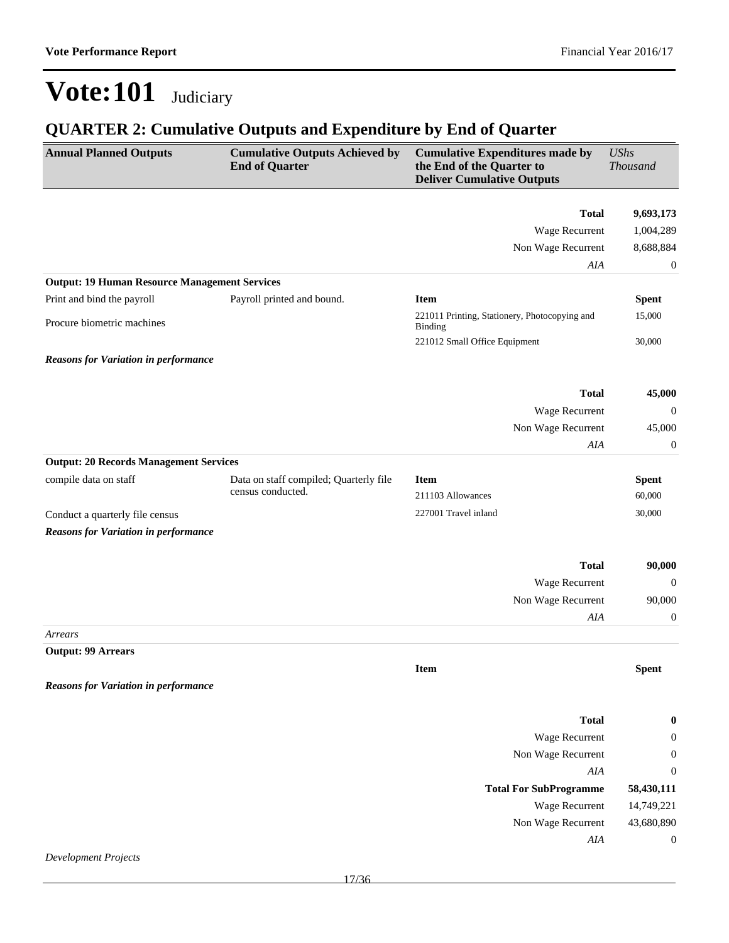| <b>Annual Planned Outputs</b>                        | <b>Cumulative Outputs Achieved by</b><br><b>End of Quarter</b> | <b>Cumulative Expenditures made by</b><br>the End of the Quarter to<br><b>Deliver Cumulative Outputs</b> | <b>UShs</b><br><b>Thousand</b> |
|------------------------------------------------------|----------------------------------------------------------------|----------------------------------------------------------------------------------------------------------|--------------------------------|
|                                                      |                                                                | <b>Total</b>                                                                                             | 9,693,173                      |
|                                                      |                                                                | Wage Recurrent                                                                                           | 1,004,289                      |
|                                                      |                                                                | Non Wage Recurrent                                                                                       | 8,688,884                      |
|                                                      |                                                                | AIA                                                                                                      | $\boldsymbol{0}$               |
| <b>Output: 19 Human Resource Management Services</b> |                                                                |                                                                                                          |                                |
| Print and bind the payroll                           | Payroll printed and bound.                                     | <b>Item</b>                                                                                              | <b>Spent</b>                   |
|                                                      |                                                                | 221011 Printing, Stationery, Photocopying and                                                            | 15,000                         |
| Procure biometric machines                           |                                                                | <b>Binding</b>                                                                                           |                                |
|                                                      |                                                                | 221012 Small Office Equipment                                                                            | 30,000                         |
| <b>Reasons for Variation in performance</b>          |                                                                |                                                                                                          |                                |
|                                                      |                                                                | <b>Total</b>                                                                                             | 45,000                         |
|                                                      |                                                                | Wage Recurrent                                                                                           | $\mathbf{0}$                   |
|                                                      |                                                                | Non Wage Recurrent                                                                                       | 45,000                         |
|                                                      |                                                                | AIA                                                                                                      | $\boldsymbol{0}$               |
| <b>Output: 20 Records Management Services</b>        |                                                                |                                                                                                          |                                |
| compile data on staff                                | Data on staff compiled; Quarterly file                         | <b>Item</b>                                                                                              | <b>Spent</b>                   |
|                                                      | census conducted.                                              | 211103 Allowances                                                                                        | 60,000                         |
| Conduct a quarterly file census                      |                                                                | 227001 Travel inland                                                                                     | 30,000                         |
| <b>Reasons for Variation in performance</b>          |                                                                |                                                                                                          |                                |
|                                                      |                                                                |                                                                                                          |                                |
|                                                      |                                                                | <b>Total</b>                                                                                             | 90,000                         |
|                                                      |                                                                | Wage Recurrent                                                                                           | $\mathbf{0}$                   |
|                                                      |                                                                | Non Wage Recurrent                                                                                       | 90,000                         |
|                                                      |                                                                | AIA                                                                                                      | $\boldsymbol{0}$               |
| Arrears<br><b>Output: 99 Arrears</b>                 |                                                                |                                                                                                          |                                |
|                                                      |                                                                | <b>Item</b>                                                                                              | <b>Spent</b>                   |
| <b>Reasons for Variation in performance</b>          |                                                                |                                                                                                          |                                |
|                                                      |                                                                |                                                                                                          |                                |
|                                                      |                                                                | <b>Total</b>                                                                                             | $\boldsymbol{0}$               |
|                                                      |                                                                | Wage Recurrent                                                                                           | $\boldsymbol{0}$               |
|                                                      |                                                                | Non Wage Recurrent                                                                                       | $\boldsymbol{0}$               |
|                                                      |                                                                | AIA                                                                                                      | $\boldsymbol{0}$               |
|                                                      |                                                                | <b>Total For SubProgramme</b>                                                                            | 58,430,111                     |
|                                                      |                                                                | Wage Recurrent                                                                                           | 14,749,221                     |
|                                                      |                                                                | Non Wage Recurrent                                                                                       | 43,680,890                     |
|                                                      |                                                                | AIA                                                                                                      | $\boldsymbol{0}$               |
| <b>Development Projects</b>                          |                                                                |                                                                                                          |                                |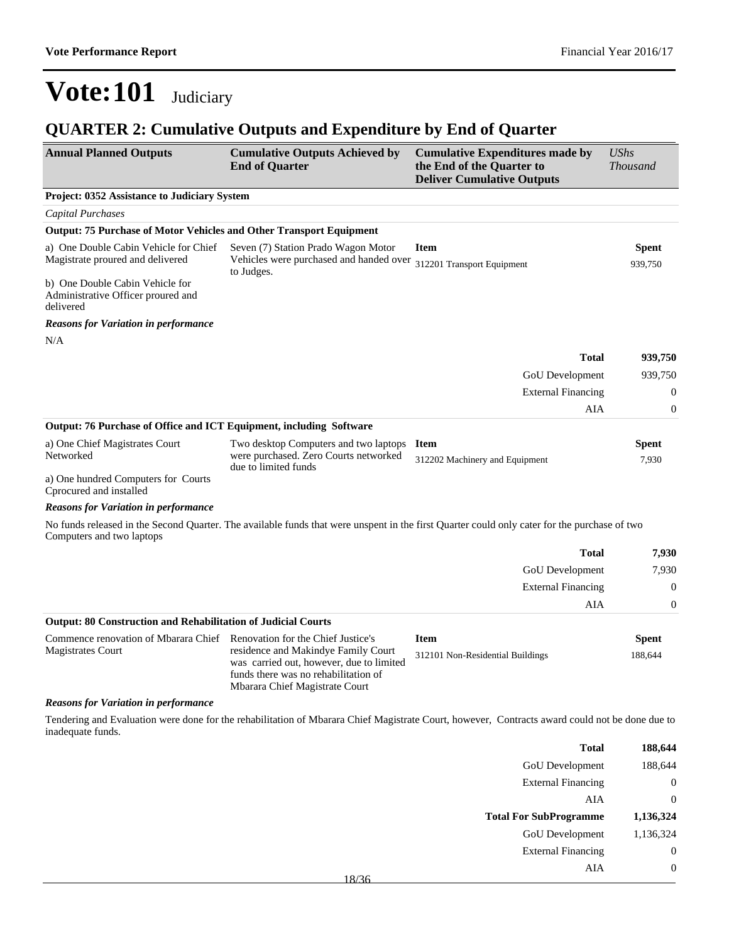| <b>Annual Planned Outputs</b>                                                      | <b>Cumulative Outputs Achieved by</b><br><b>End of Quarter</b>                                                                                                                                  | <b>Cumulative Expenditures made by</b><br>the End of the Quarter to<br><b>Deliver Cumulative Outputs</b>                                       | <b>UShs</b><br><b>Thousand</b> |
|------------------------------------------------------------------------------------|-------------------------------------------------------------------------------------------------------------------------------------------------------------------------------------------------|------------------------------------------------------------------------------------------------------------------------------------------------|--------------------------------|
| Project: 0352 Assistance to Judiciary System                                       |                                                                                                                                                                                                 |                                                                                                                                                |                                |
| Capital Purchases                                                                  |                                                                                                                                                                                                 |                                                                                                                                                |                                |
| <b>Output: 75 Purchase of Motor Vehicles and Other Transport Equipment</b>         |                                                                                                                                                                                                 |                                                                                                                                                |                                |
| a) One Double Cabin Vehicle for Chief<br>Magistrate proured and delivered          | Seven (7) Station Prado Wagon Motor<br>Vehicles were purchased and handed over<br>to Judges.                                                                                                    | <b>Item</b><br>312201 Transport Equipment                                                                                                      | <b>Spent</b><br>939,750        |
| b) One Double Cabin Vehicle for<br>Administrative Officer proured and<br>delivered |                                                                                                                                                                                                 |                                                                                                                                                |                                |
| <b>Reasons for Variation in performance</b>                                        |                                                                                                                                                                                                 |                                                                                                                                                |                                |
| N/A                                                                                |                                                                                                                                                                                                 |                                                                                                                                                |                                |
|                                                                                    |                                                                                                                                                                                                 | <b>Total</b>                                                                                                                                   | 939,750                        |
|                                                                                    |                                                                                                                                                                                                 | GoU Development                                                                                                                                | 939,750                        |
|                                                                                    |                                                                                                                                                                                                 | <b>External Financing</b>                                                                                                                      | $\boldsymbol{0}$               |
|                                                                                    |                                                                                                                                                                                                 | AIA                                                                                                                                            | $\boldsymbol{0}$               |
| <b>Output: 76 Purchase of Office and ICT Equipment, including Software</b>         |                                                                                                                                                                                                 |                                                                                                                                                |                                |
| a) One Chief Magistrates Court<br>Networked                                        | Two desktop Computers and two laptops<br>were purchased. Zero Courts networked<br>due to limited funds                                                                                          | <b>Item</b><br>312202 Machinery and Equipment                                                                                                  | Spent<br>7,930                 |
| a) One hundred Computers for Courts<br>Cprocured and installed                     |                                                                                                                                                                                                 |                                                                                                                                                |                                |
| <b>Reasons for Variation in performance</b>                                        |                                                                                                                                                                                                 |                                                                                                                                                |                                |
| Computers and two laptops                                                          |                                                                                                                                                                                                 | No funds released in the Second Quarter. The available funds that were unspent in the first Quarter could only cater for the purchase of two   |                                |
|                                                                                    |                                                                                                                                                                                                 | <b>Total</b>                                                                                                                                   | 7,930                          |
|                                                                                    |                                                                                                                                                                                                 | <b>GoU</b> Development                                                                                                                         | 7,930                          |
|                                                                                    |                                                                                                                                                                                                 | <b>External Financing</b>                                                                                                                      | $\theta$                       |
|                                                                                    |                                                                                                                                                                                                 | AIA                                                                                                                                            | $\boldsymbol{0}$               |
| <b>Output: 80 Construction and Rehabilitation of Judicial Courts</b>               |                                                                                                                                                                                                 |                                                                                                                                                |                                |
| Commence renovation of Mbarara Chief<br><b>Magistrates Court</b>                   | Renovation for the Chief Justice's<br>residence and Makindye Family Court<br>was carried out, however, due to limited<br>funds there was no rehabilitation of<br>Mbarara Chief Magistrate Court | <b>Item</b><br>312101 Non-Residential Buildings                                                                                                | <b>Spent</b><br>188,644        |
| <b>Reasons for Variation in performance</b>                                        |                                                                                                                                                                                                 |                                                                                                                                                |                                |
| inadequate funds.                                                                  |                                                                                                                                                                                                 | Tendering and Evaluation were done for the rehabilitation of Mbarara Chief Magistrate Court, however, Contracts award could not be done due to |                                |
|                                                                                    |                                                                                                                                                                                                 |                                                                                                                                                |                                |

| 188,644   | <b>Total</b>                  |
|-----------|-------------------------------|
| 188,644   | <b>GoU</b> Development        |
| $^{(1)}$  | <b>External Financing</b>     |
| $\theta$  | AIA                           |
|           |                               |
| 1,136,324 | <b>Total For SubProgramme</b> |
| 1,136,324 | <b>GoU</b> Development        |
| 0         | <b>External Financing</b>     |
|           | AIA                           |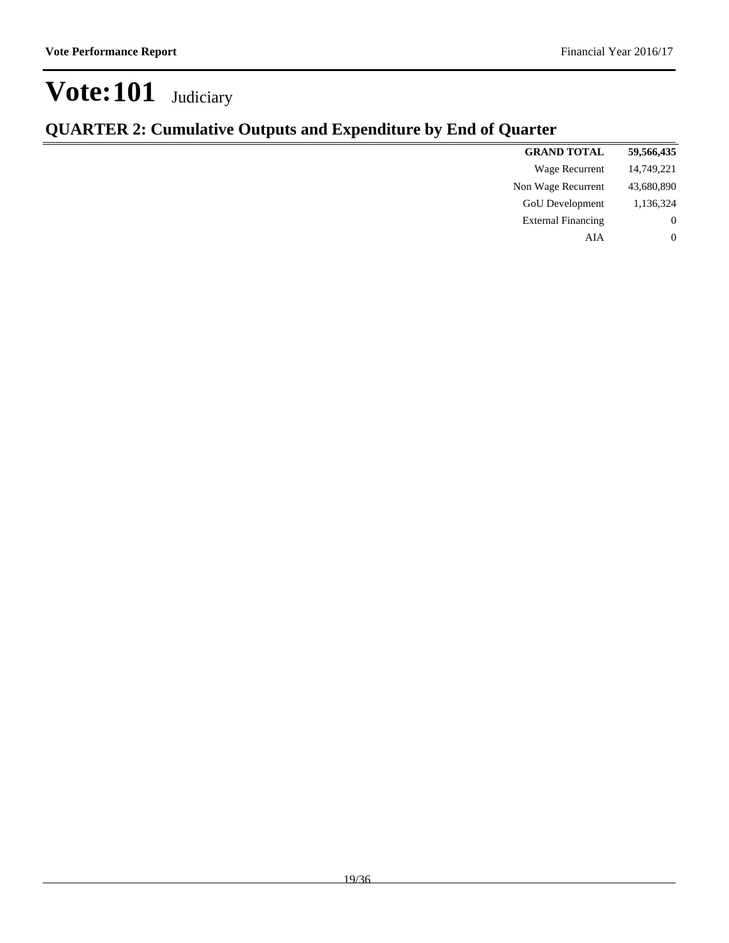| 59,566,435 | <b>GRAND TOTAL</b>        |
|------------|---------------------------|
| 14,749,221 | Wage Recurrent            |
| 43,680,890 | Non Wage Recurrent        |
| 1,136,324  | <b>GoU</b> Development    |
| $\theta$   | <b>External Financing</b> |
| $\theta$   | AIA                       |
|            |                           |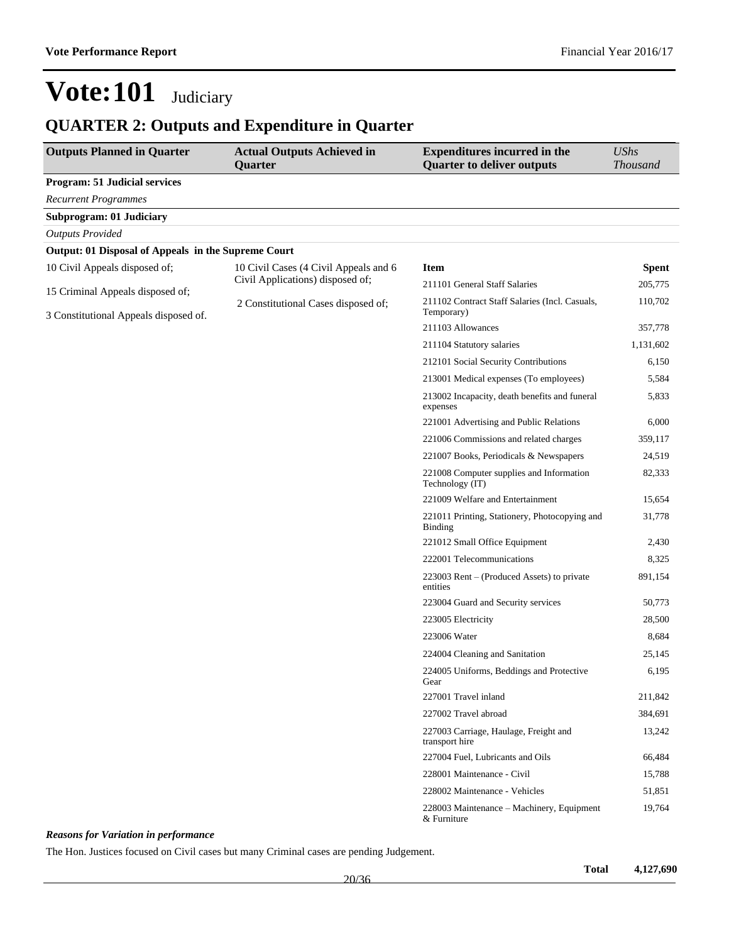### **QUARTER 2: Outputs and Expenditure in Quarter**

| <b>Outputs Planned in Quarter</b>                   | <b>Actual Outputs Achieved in</b><br>Quarter                              | <b>Expenditures incurred in the</b><br><b>Quarter to deliver outputs</b> | <b>UShs</b><br><b>Thousand</b> |
|-----------------------------------------------------|---------------------------------------------------------------------------|--------------------------------------------------------------------------|--------------------------------|
| <b>Program: 51 Judicial services</b>                |                                                                           |                                                                          |                                |
| <b>Recurrent Programmes</b>                         |                                                                           |                                                                          |                                |
| <b>Subprogram: 01 Judiciary</b>                     |                                                                           |                                                                          |                                |
| <b>Outputs Provided</b>                             |                                                                           |                                                                          |                                |
| Output: 01 Disposal of Appeals in the Supreme Court |                                                                           |                                                                          |                                |
| 10 Civil Appeals disposed of;                       | 10 Civil Cases (4 Civil Appeals and 6<br>Civil Applications) disposed of; | <b>Item</b>                                                              | <b>Spent</b>                   |
| 15 Criminal Appeals disposed of;                    |                                                                           | 211101 General Staff Salaries                                            | 205,775                        |
| 3 Constitutional Appeals disposed of.               | 2 Constitutional Cases disposed of;                                       | 211102 Contract Staff Salaries (Incl. Casuals,<br>Temporary)             | 110,702                        |
|                                                     |                                                                           | 211103 Allowances                                                        | 357,778                        |
|                                                     |                                                                           | 211104 Statutory salaries                                                | 1,131,602                      |
|                                                     |                                                                           | 212101 Social Security Contributions                                     | 6,150                          |
|                                                     |                                                                           | 213001 Medical expenses (To employees)                                   | 5,584                          |
|                                                     |                                                                           | 213002 Incapacity, death benefits and funeral<br>expenses                | 5,833                          |
|                                                     |                                                                           | 221001 Advertising and Public Relations                                  | 6,000                          |
|                                                     |                                                                           | 221006 Commissions and related charges                                   | 359,117                        |
|                                                     |                                                                           | 221007 Books, Periodicals & Newspapers                                   | 24,519                         |
|                                                     |                                                                           | 221008 Computer supplies and Information<br>Technology (IT)              | 82,333                         |
|                                                     |                                                                           | 221009 Welfare and Entertainment                                         | 15,654                         |
|                                                     |                                                                           | 221011 Printing, Stationery, Photocopying and<br><b>Binding</b>          | 31,778                         |
|                                                     |                                                                           | 221012 Small Office Equipment                                            | 2,430                          |
|                                                     |                                                                           | 222001 Telecommunications                                                | 8,325                          |
|                                                     |                                                                           | 223003 Rent – (Produced Assets) to private<br>entities                   | 891,154                        |
|                                                     |                                                                           | 223004 Guard and Security services                                       | 50,773                         |
|                                                     |                                                                           | 223005 Electricity                                                       | 28,500                         |
|                                                     |                                                                           | 223006 Water                                                             | 8,684                          |
|                                                     |                                                                           | 224004 Cleaning and Sanitation                                           | 25,145                         |
|                                                     |                                                                           | 224005 Uniforms, Beddings and Protective<br>Gear                         | 6,195                          |
|                                                     |                                                                           | 227001 Travel inland                                                     | 211,842                        |
|                                                     |                                                                           | 227002 Travel abroad                                                     | 384,691                        |
|                                                     |                                                                           | 227003 Carriage, Haulage, Freight and<br>transport hire                  | 13,242                         |
|                                                     |                                                                           | 227004 Fuel, Lubricants and Oils                                         | 66,484                         |
|                                                     |                                                                           | 228001 Maintenance - Civil                                               | 15,788                         |
|                                                     |                                                                           | 228002 Maintenance - Vehicles                                            | 51,851                         |
|                                                     |                                                                           | 228003 Maintenance - Machinery, Equipment<br>& Furniture                 | 19,764                         |

#### *Reasons for Variation in performance*

The Hon. Justices focused on Civil cases but many Criminal cases are pending Judgement.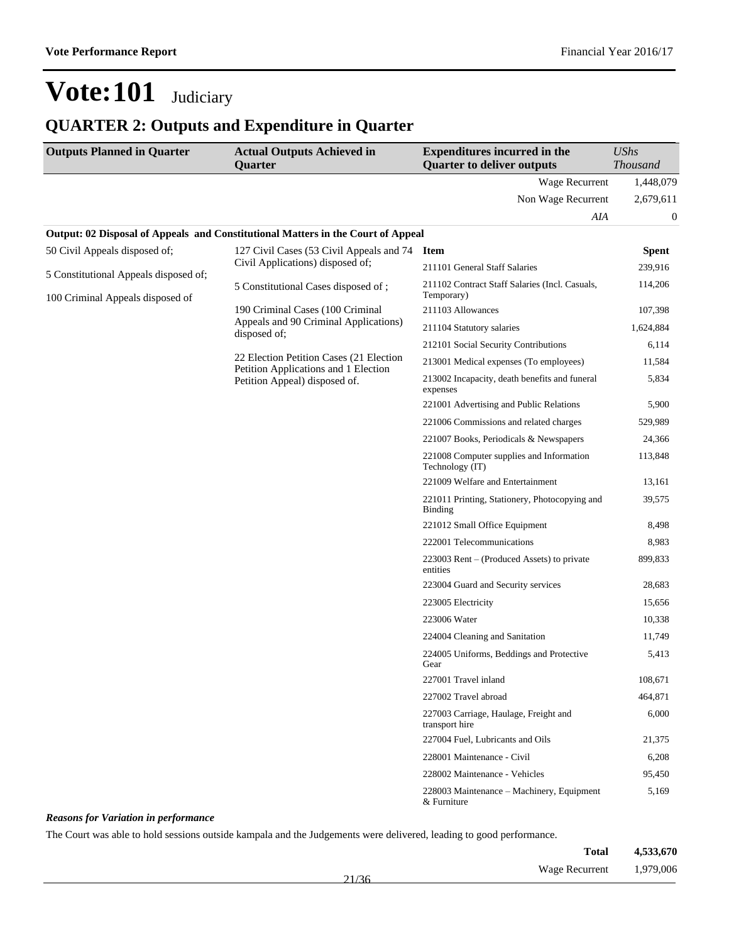### **QUARTER 2: Outputs and Expenditure in Quarter**

| <b>Outputs Planned in Quarter</b>     | <b>Actual Outputs Achieved in</b><br>Quarter                                     | <b>Expenditures incurred in the</b><br><b>Quarter to deliver outputs</b> | <b>UShs</b><br><b>Thousand</b> |
|---------------------------------------|----------------------------------------------------------------------------------|--------------------------------------------------------------------------|--------------------------------|
|                                       |                                                                                  | Wage Recurrent                                                           | 1,448,079                      |
|                                       |                                                                                  | Non Wage Recurrent                                                       | 2,679,611                      |
|                                       |                                                                                  | AIA                                                                      | $\boldsymbol{0}$               |
|                                       | Output: 02 Disposal of Appeals and Constitutional Matters in the Court of Appeal |                                                                          |                                |
| 50 Civil Appeals disposed of;         | 127 Civil Cases (53 Civil Appeals and 74                                         | <b>Item</b>                                                              | <b>Spent</b>                   |
| 5 Constitutional Appeals disposed of; | Civil Applications) disposed of;                                                 | 211101 General Staff Salaries                                            | 239,916                        |
| 100 Criminal Appeals disposed of      | 5 Constitutional Cases disposed of;                                              | 211102 Contract Staff Salaries (Incl. Casuals,<br>Temporary)             | 114,206                        |
|                                       | 190 Criminal Cases (100 Criminal                                                 | 211103 Allowances                                                        | 107,398                        |
|                                       | Appeals and 90 Criminal Applications)<br>disposed of;                            | 211104 Statutory salaries                                                | 1,624,884                      |
|                                       |                                                                                  | 212101 Social Security Contributions                                     | 6,114                          |
|                                       | 22 Election Petition Cases (21 Election<br>Petition Applications and 1 Election  | 213001 Medical expenses (To employees)                                   | 11,584                         |
|                                       | Petition Appeal) disposed of.                                                    | 213002 Incapacity, death benefits and funeral<br>expenses                | 5,834                          |
|                                       |                                                                                  | 221001 Advertising and Public Relations                                  | 5,900                          |
|                                       |                                                                                  | 221006 Commissions and related charges                                   | 529,989                        |
|                                       |                                                                                  | 221007 Books, Periodicals & Newspapers                                   | 24,366                         |
|                                       |                                                                                  | 221008 Computer supplies and Information<br>Technology (IT)              | 113,848                        |
|                                       |                                                                                  | 221009 Welfare and Entertainment                                         | 13,161                         |
|                                       |                                                                                  | 221011 Printing, Stationery, Photocopying and<br>Binding                 | 39,575                         |
|                                       |                                                                                  | 221012 Small Office Equipment                                            | 8,498                          |
|                                       |                                                                                  | 222001 Telecommunications                                                | 8,983                          |
|                                       |                                                                                  | 223003 Rent – (Produced Assets) to private<br>entities                   | 899,833                        |
|                                       |                                                                                  | 223004 Guard and Security services                                       | 28,683                         |
|                                       |                                                                                  | 223005 Electricity                                                       | 15,656                         |
|                                       |                                                                                  | 223006 Water                                                             | 10,338                         |
|                                       |                                                                                  | 224004 Cleaning and Sanitation                                           | 11,749                         |
|                                       |                                                                                  | 224005 Uniforms, Beddings and Protective<br>Gear                         | 5,413                          |
|                                       |                                                                                  | 227001 Travel inland                                                     | 108,671                        |
|                                       |                                                                                  | 227002 Travel abroad                                                     | 464,871                        |
|                                       |                                                                                  | 227003 Carriage, Haulage, Freight and<br>transport hire                  | 6,000                          |
|                                       |                                                                                  | 227004 Fuel, Lubricants and Oils                                         | 21,375                         |
|                                       |                                                                                  | 228001 Maintenance - Civil                                               | 6,208                          |
|                                       |                                                                                  | 228002 Maintenance - Vehicles                                            | 95,450                         |
|                                       |                                                                                  | 228003 Maintenance - Machinery, Equipment<br>& Furniture                 | 5,169                          |

#### *Reasons for Variation in performance*

The Court was able to hold sessions outside kampala and the Judgements were delivered, leading to good performance.

|       | <b>Total</b>   | 4,533,670 |
|-------|----------------|-----------|
| 21/36 | Wage Recurrent | 1,979,006 |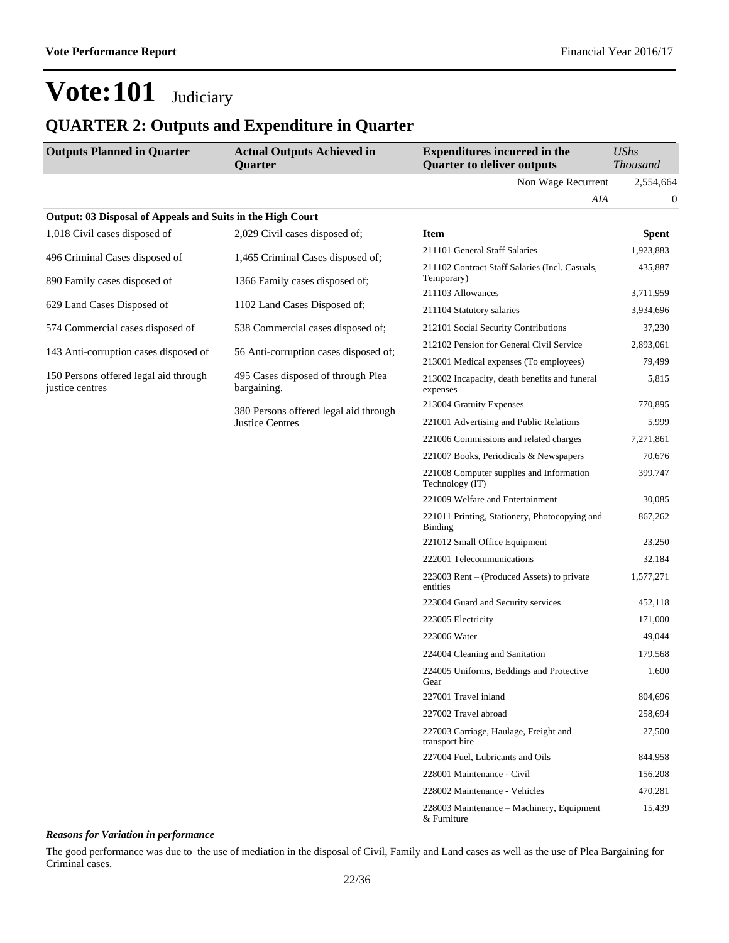### **QUARTER 2: Outputs and Expenditure in Quarter**

| <b>Outputs Planned in Quarter</b>                          | <b>Actual Outputs Achieved in</b><br><b>Quarter</b> | <b>Expenditures incurred in the</b><br><b>Quarter to deliver outputs</b> | <b>UShs</b><br>Thousand |
|------------------------------------------------------------|-----------------------------------------------------|--------------------------------------------------------------------------|-------------------------|
|                                                            |                                                     | Non Wage Recurrent                                                       | 2,554,664               |
|                                                            |                                                     | AIA                                                                      | 0                       |
| Output: 03 Disposal of Appeals and Suits in the High Court |                                                     |                                                                          |                         |
| 1,018 Civil cases disposed of                              | 2,029 Civil cases disposed of;                      | <b>Item</b>                                                              | <b>Spent</b>            |
| 496 Criminal Cases disposed of                             | 1,465 Criminal Cases disposed of;                   | 211101 General Staff Salaries                                            | 1,923,883               |
| 890 Family cases disposed of                               | 1366 Family cases disposed of;                      | 211102 Contract Staff Salaries (Incl. Casuals,<br>Temporary)             | 435,887                 |
| 629 Land Cases Disposed of                                 |                                                     | 211103 Allowances                                                        | 3,711,959               |
|                                                            | 1102 Land Cases Disposed of;                        | 211104 Statutory salaries                                                | 3,934,696               |
| 574 Commercial cases disposed of                           | 538 Commercial cases disposed of;                   | 212101 Social Security Contributions                                     | 37,230                  |
| 143 Anti-corruption cases disposed of                      | 56 Anti-corruption cases disposed of;               | 212102 Pension for General Civil Service                                 | 2,893,061               |
|                                                            |                                                     | 213001 Medical expenses (To employees)                                   | 79,499                  |
| 150 Persons offered legal aid through<br>justice centres   | 495 Cases disposed of through Plea<br>bargaining.   | 213002 Incapacity, death benefits and funeral<br>expenses                | 5,815                   |
|                                                            | 380 Persons offered legal aid through               | 213004 Gratuity Expenses                                                 | 770,895                 |
|                                                            | <b>Justice Centres</b>                              | 221001 Advertising and Public Relations                                  | 5,999                   |
|                                                            |                                                     | 221006 Commissions and related charges                                   | 7,271,861               |
|                                                            |                                                     | 221007 Books, Periodicals & Newspapers                                   | 70,676                  |
|                                                            |                                                     | 221008 Computer supplies and Information<br>Technology (IT)              | 399,747                 |
|                                                            |                                                     | 221009 Welfare and Entertainment                                         | 30,085                  |
|                                                            |                                                     | 221011 Printing, Stationery, Photocopying and<br><b>Binding</b>          | 867,262                 |
|                                                            |                                                     | 221012 Small Office Equipment                                            | 23,250                  |
|                                                            |                                                     | 222001 Telecommunications                                                | 32,184                  |
|                                                            |                                                     | 223003 Rent – (Produced Assets) to private<br>entities                   | 1,577,271               |
|                                                            |                                                     | 223004 Guard and Security services                                       | 452,118                 |
|                                                            |                                                     | 223005 Electricity                                                       | 171,000                 |
|                                                            |                                                     | 223006 Water                                                             | 49,044                  |
|                                                            |                                                     | 224004 Cleaning and Sanitation                                           | 179,568                 |
|                                                            |                                                     | 224005 Uniforms, Beddings and Protective<br>Gear                         | 1,600                   |
|                                                            |                                                     | 227001 Travel inland                                                     | 804,696                 |
|                                                            |                                                     | 227002 Travel abroad                                                     | 258,694                 |
|                                                            |                                                     | 227003 Carriage, Haulage, Freight and<br>transport hire                  | 27,500                  |
|                                                            |                                                     | 227004 Fuel, Lubricants and Oils                                         | 844,958                 |
|                                                            |                                                     | 228001 Maintenance - Civil                                               | 156,208                 |
|                                                            |                                                     | 228002 Maintenance - Vehicles                                            | 470,281                 |
|                                                            |                                                     | 228003 Maintenance - Machinery, Equipment<br>& Furniture                 | 15,439                  |

#### *Reasons for Variation in performance*

The good performance was due to the use of mediation in the disposal of Civil, Family and Land cases as well as the use of Plea Bargaining for Criminal cases.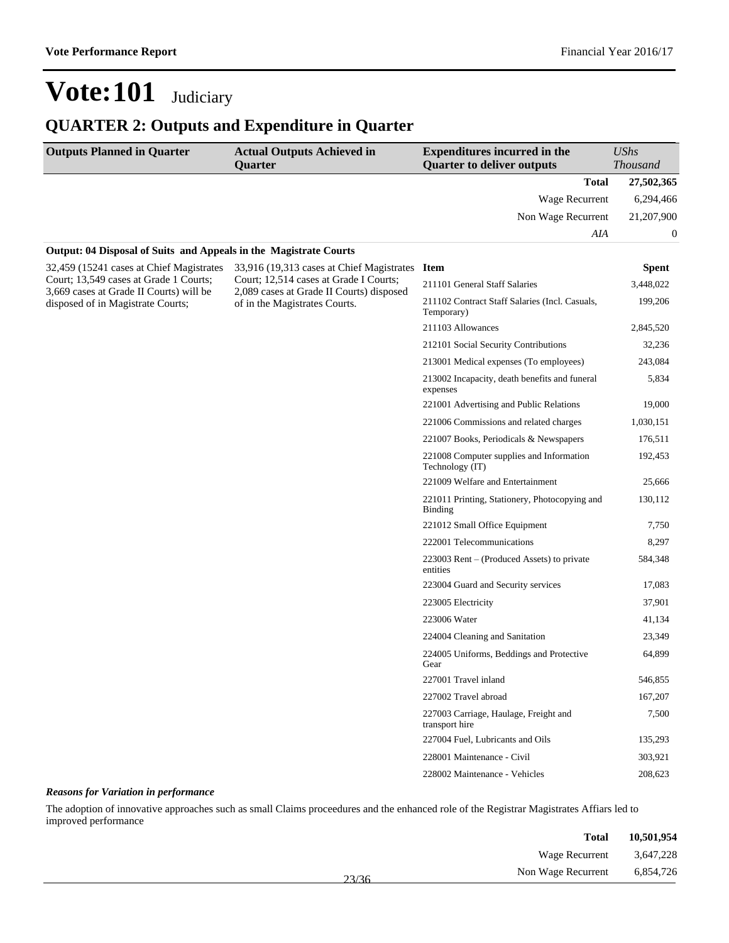### **QUARTER 2: Outputs and Expenditure in Quarter**

| <b>Outputs Planned in Quarter</b>                                                 | <b>Actual Outputs Achieved in</b><br><b>Quarter</b>                                | <b>Expenditures incurred in the</b><br><b>Quarter to deliver outputs</b> | <b>UShs</b><br><b>Thousand</b> |
|-----------------------------------------------------------------------------------|------------------------------------------------------------------------------------|--------------------------------------------------------------------------|--------------------------------|
|                                                                                   |                                                                                    | <b>Total</b>                                                             | 27,502,365                     |
|                                                                                   |                                                                                    | Wage Recurrent                                                           | 6,294,466                      |
|                                                                                   |                                                                                    | Non Wage Recurrent                                                       | 21,207,900                     |
|                                                                                   |                                                                                    | AIA                                                                      | $\boldsymbol{0}$               |
| Output: 04 Disposal of Suits and Appeals in the Magistrate Courts                 |                                                                                    |                                                                          |                                |
| 32,459 (15241 cases at Chief Magistrates                                          | 33,916 (19,313 cases at Chief Magistrates                                          | <b>Item</b>                                                              | <b>Spent</b>                   |
| Court; 13,549 cases at Grade 1 Courts;<br>3,669 cases at Grade II Courts) will be | Court; 12,514 cases at Grade I Courts;<br>2,089 cases at Grade II Courts) disposed | 211101 General Staff Salaries                                            | 3,448,022                      |
| disposed of in Magistrate Courts;                                                 | of in the Magistrates Courts.                                                      | 211102 Contract Staff Salaries (Incl. Casuals,<br>Temporary)             | 199,206                        |
|                                                                                   |                                                                                    | 211103 Allowances                                                        | 2,845,520                      |
|                                                                                   |                                                                                    | 212101 Social Security Contributions                                     | 32,236                         |
|                                                                                   |                                                                                    | 213001 Medical expenses (To employees)                                   | 243,084                        |
|                                                                                   |                                                                                    | 213002 Incapacity, death benefits and funeral<br>expenses                | 5,834                          |
|                                                                                   |                                                                                    | 221001 Advertising and Public Relations                                  | 19,000                         |
|                                                                                   |                                                                                    | 221006 Commissions and related charges                                   | 1,030,151                      |
|                                                                                   |                                                                                    | 221007 Books, Periodicals & Newspapers                                   | 176,511                        |
|                                                                                   |                                                                                    | 221008 Computer supplies and Information<br>Technology (IT)              | 192,453                        |
|                                                                                   |                                                                                    | 221009 Welfare and Entertainment                                         | 25,666                         |
|                                                                                   |                                                                                    | 221011 Printing, Stationery, Photocopying and<br><b>Binding</b>          | 130,112                        |
|                                                                                   |                                                                                    | 221012 Small Office Equipment                                            | 7,750                          |
|                                                                                   |                                                                                    | 222001 Telecommunications                                                | 8,297                          |
|                                                                                   |                                                                                    | 223003 Rent – (Produced Assets) to private<br>entities                   | 584,348                        |
|                                                                                   |                                                                                    | 223004 Guard and Security services                                       | 17,083                         |
|                                                                                   |                                                                                    | 223005 Electricity                                                       | 37,901                         |
|                                                                                   |                                                                                    | 223006 Water                                                             | 41,134                         |
|                                                                                   |                                                                                    | 224004 Cleaning and Sanitation                                           | 23,349                         |
|                                                                                   |                                                                                    | 224005 Uniforms, Beddings and Protective<br>Gear                         | 64,899                         |
|                                                                                   |                                                                                    | 227001 Travel inland                                                     | 546,855                        |
|                                                                                   |                                                                                    | 227002 Travel abroad                                                     | 167,207                        |
|                                                                                   |                                                                                    | 227003 Carriage, Haulage, Freight and<br>transport hire                  | 7,500                          |
|                                                                                   |                                                                                    | 227004 Fuel, Lubricants and Oils                                         | 135,293                        |
|                                                                                   |                                                                                    | 228001 Maintenance - Civil                                               | 303,921                        |
|                                                                                   |                                                                                    | 228002 Maintenance - Vehicles                                            | 208,623                        |

#### *Reasons for Variation in performance*

The adoption of innovative approaches such as small Claims proceedures and the enhanced role of the Registrar Magistrates Affiars led to improved performance

| 10,501,954 | <b>Total</b>       |       |
|------------|--------------------|-------|
| 3,647,228  | Wage Recurrent     |       |
| 6,854,726  | Non Wage Recurrent | 23/36 |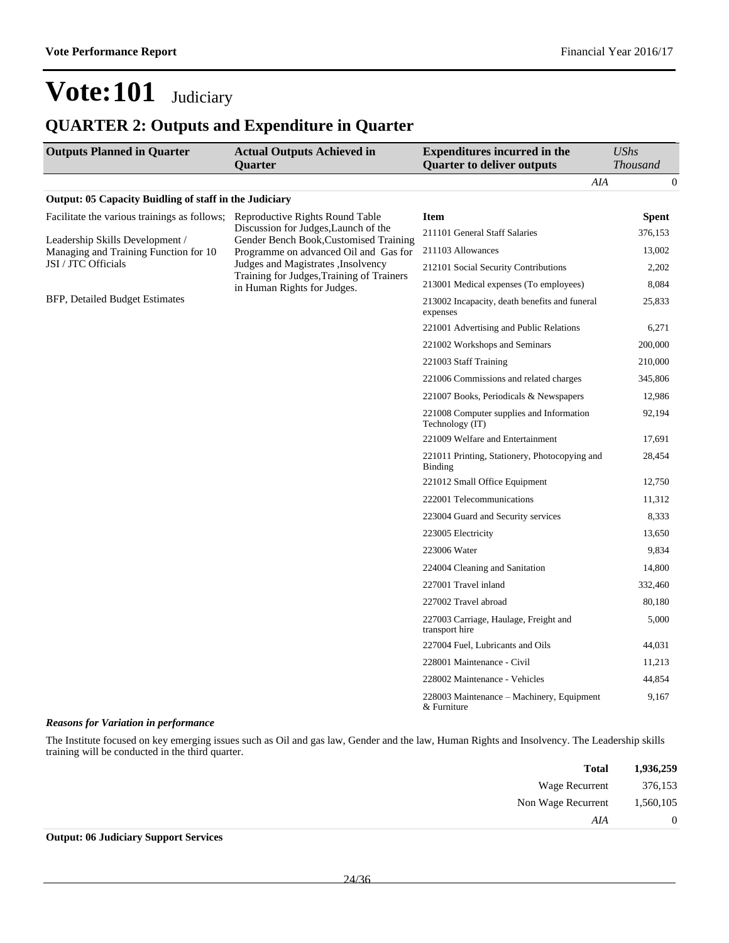### **QUARTER 2: Outputs and Expenditure in Quarter**

| <b>Outputs Planned in Quarter</b>                      | <b>Actual Outputs Achieved in</b><br>Quarter                                     | <b>Expenditures incurred in the</b><br><b>Quarter to deliver outputs</b> | <b>UShs</b><br><b>Thousand</b> |
|--------------------------------------------------------|----------------------------------------------------------------------------------|--------------------------------------------------------------------------|--------------------------------|
|                                                        |                                                                                  | AIA                                                                      | 0                              |
| Output: 05 Capacity Buidling of staff in the Judiciary |                                                                                  |                                                                          |                                |
| Facilitate the various trainings as follows;           | Reproductive Rights Round Table                                                  | Item                                                                     | <b>Spent</b>                   |
| Leadership Skills Development /                        | Discussion for Judges, Launch of the<br>Gender Bench Book, Customised Training   | 211101 General Staff Salaries                                            | 376,153                        |
| Managing and Training Function for 10                  | Programme on advanced Oil and Gas for                                            | 211103 Allowances                                                        | 13,002                         |
| JSI / JTC Officials                                    | Judges and Magistrates , Insolvency<br>Training for Judges, Training of Trainers | 212101 Social Security Contributions                                     | 2,202                          |
|                                                        | in Human Rights for Judges.                                                      | 213001 Medical expenses (To employees)                                   | 8,084                          |
| BFP, Detailed Budget Estimates                         |                                                                                  | 213002 Incapacity, death benefits and funeral<br>expenses                | 25,833                         |
|                                                        |                                                                                  | 221001 Advertising and Public Relations                                  | 6,271                          |
|                                                        |                                                                                  | 221002 Workshops and Seminars                                            | 200,000                        |
|                                                        |                                                                                  | 221003 Staff Training                                                    | 210,000                        |
|                                                        |                                                                                  | 221006 Commissions and related charges                                   | 345,806                        |
|                                                        |                                                                                  | 221007 Books, Periodicals & Newspapers                                   | 12,986                         |
|                                                        |                                                                                  | 221008 Computer supplies and Information<br>Technology (IT)              | 92,194                         |
|                                                        |                                                                                  | 221009 Welfare and Entertainment                                         | 17,691                         |
|                                                        |                                                                                  | 221011 Printing, Stationery, Photocopying and<br>Binding                 | 28,454                         |
|                                                        |                                                                                  | 221012 Small Office Equipment                                            | 12,750                         |
|                                                        |                                                                                  | 222001 Telecommunications                                                | 11,312                         |
|                                                        |                                                                                  | 223004 Guard and Security services                                       | 8,333                          |
|                                                        |                                                                                  | 223005 Electricity                                                       | 13,650                         |
|                                                        |                                                                                  | 223006 Water                                                             | 9,834                          |
|                                                        |                                                                                  | 224004 Cleaning and Sanitation                                           | 14,800                         |
|                                                        |                                                                                  | 227001 Travel inland                                                     | 332,460                        |
|                                                        |                                                                                  | 227002 Travel abroad                                                     | 80,180                         |
|                                                        |                                                                                  | 227003 Carriage, Haulage, Freight and<br>transport hire                  | 5,000                          |
|                                                        |                                                                                  | 227004 Fuel, Lubricants and Oils                                         | 44,031                         |
|                                                        |                                                                                  | 228001 Maintenance - Civil                                               | 11,213                         |
|                                                        |                                                                                  | 228002 Maintenance - Vehicles                                            | 44,854                         |
|                                                        |                                                                                  | 228003 Maintenance – Machinery, Equipment<br>& Furniture                 | 9,167                          |

#### *Reasons for Variation in performance*

The Institute focused on key emerging issues such as Oil and gas law, Gender and the law, Human Rights and Insolvency. The Leadership skills training will be conducted in the third quarter.

| 1,936,259 | Total              |
|-----------|--------------------|
| 376,153   | Wage Recurrent     |
| 1,560,105 | Non Wage Recurrent |
| $\theta$  | AIA                |
|           |                    |

#### **Output: 06 Judiciary Support Services**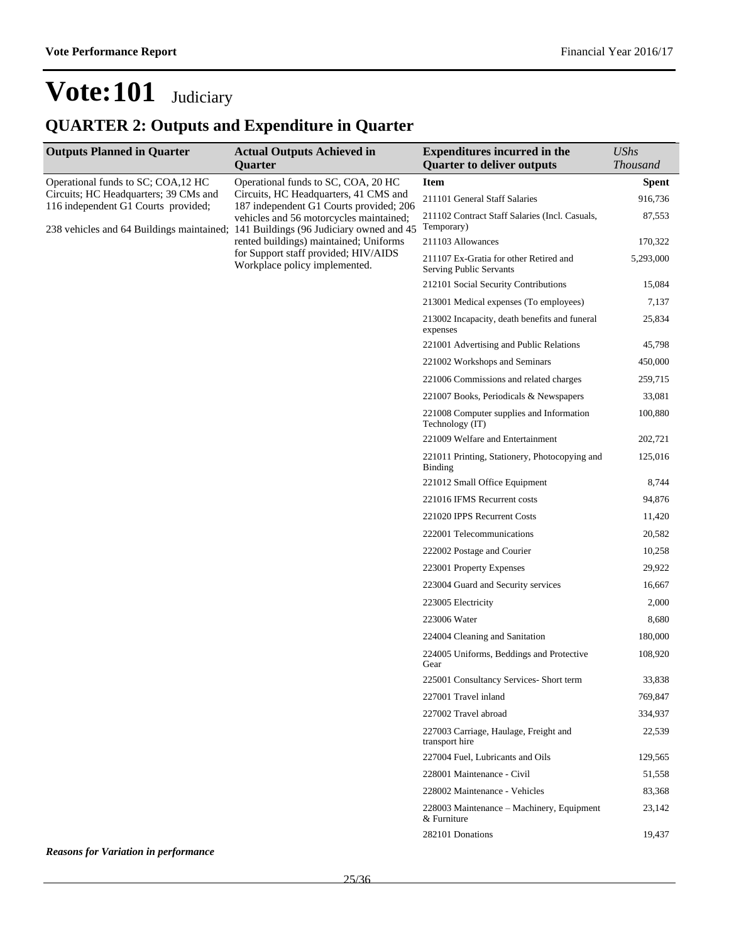### **QUARTER 2: Outputs and Expenditure in Quarter**

| <b>Outputs Planned in Quarter</b>     | <b>Actual Outputs Achieved in</b><br>Quarter                                                                                                                             | <b>Expenditures incurred in the</b><br><b>Quarter to deliver outputs</b> | <b>UShs</b><br><b>Thousand</b> |
|---------------------------------------|--------------------------------------------------------------------------------------------------------------------------------------------------------------------------|--------------------------------------------------------------------------|--------------------------------|
| Operational funds to SC; COA,12 HC    | Operational funds to SC, COA, 20 HC                                                                                                                                      | <b>Item</b>                                                              | <b>Spent</b>                   |
| Circuits; HC Headquarters; 39 CMs and | Circuits, HC Headquarters, 41 CMS and                                                                                                                                    | 211101 General Staff Salaries                                            | 916,736                        |
| 116 independent G1 Courts provided;   | 187 independent G1 Courts provided; 206<br>vehicles and 56 motorcycles maintained;<br>238 vehicles and 64 Buildings maintained; 141 Buildings (96 Judiciary owned and 45 | 211102 Contract Staff Salaries (Incl. Casuals,<br>Temporary)             | 87,553                         |
|                                       | rented buildings) maintained; Uniforms                                                                                                                                   | 211103 Allowances                                                        | 170,322                        |
|                                       | for Support staff provided; HIV/AIDS<br>Workplace policy implemented.                                                                                                    | 211107 Ex-Gratia for other Retired and<br>Serving Public Servants        | 5,293,000                      |
|                                       |                                                                                                                                                                          | 212101 Social Security Contributions                                     | 15,084                         |
|                                       |                                                                                                                                                                          | 213001 Medical expenses (To employees)                                   | 7,137                          |
|                                       |                                                                                                                                                                          | 213002 Incapacity, death benefits and funeral<br>expenses                | 25,834                         |
|                                       |                                                                                                                                                                          | 221001 Advertising and Public Relations                                  | 45,798                         |
|                                       |                                                                                                                                                                          | 221002 Workshops and Seminars                                            | 450,000                        |
|                                       |                                                                                                                                                                          | 221006 Commissions and related charges                                   | 259,715                        |
|                                       |                                                                                                                                                                          | 221007 Books, Periodicals & Newspapers                                   | 33,081                         |
|                                       |                                                                                                                                                                          | 221008 Computer supplies and Information<br>Technology (IT)              | 100,880                        |
|                                       |                                                                                                                                                                          | 221009 Welfare and Entertainment                                         | 202,721                        |
|                                       |                                                                                                                                                                          | 221011 Printing, Stationery, Photocopying and<br><b>Binding</b>          | 125,016                        |
|                                       |                                                                                                                                                                          | 221012 Small Office Equipment                                            | 8,744                          |
|                                       |                                                                                                                                                                          | 221016 IFMS Recurrent costs                                              | 94,876                         |
|                                       |                                                                                                                                                                          | 221020 IPPS Recurrent Costs                                              | 11,420                         |
|                                       |                                                                                                                                                                          | 222001 Telecommunications                                                | 20,582                         |
|                                       |                                                                                                                                                                          | 222002 Postage and Courier                                               | 10,258                         |
|                                       |                                                                                                                                                                          | 223001 Property Expenses                                                 | 29,922                         |
|                                       |                                                                                                                                                                          | 223004 Guard and Security services                                       | 16,667                         |
|                                       |                                                                                                                                                                          | 223005 Electricity                                                       | 2,000                          |
|                                       |                                                                                                                                                                          | 223006 Water                                                             | 8,680                          |
|                                       |                                                                                                                                                                          | 224004 Cleaning and Sanitation                                           | 180,000                        |
|                                       |                                                                                                                                                                          | 224005 Uniforms, Beddings and Protective<br>Gear                         | 108,920                        |
|                                       |                                                                                                                                                                          | 225001 Consultancy Services- Short term                                  | 33,838                         |
|                                       |                                                                                                                                                                          | 227001 Travel inland                                                     | 769,847                        |
|                                       |                                                                                                                                                                          | 227002 Travel abroad                                                     | 334,937                        |
|                                       |                                                                                                                                                                          | 227003 Carriage, Haulage, Freight and<br>transport hire                  | 22,539                         |
|                                       |                                                                                                                                                                          | 227004 Fuel, Lubricants and Oils                                         | 129,565                        |
|                                       |                                                                                                                                                                          | 228001 Maintenance - Civil                                               | 51,558                         |
|                                       |                                                                                                                                                                          | 228002 Maintenance - Vehicles                                            | 83,368                         |
|                                       |                                                                                                                                                                          | 228003 Maintenance - Machinery, Equipment<br>& Furniture                 | 23,142                         |
|                                       |                                                                                                                                                                          | 282101 Donations                                                         | 19,437                         |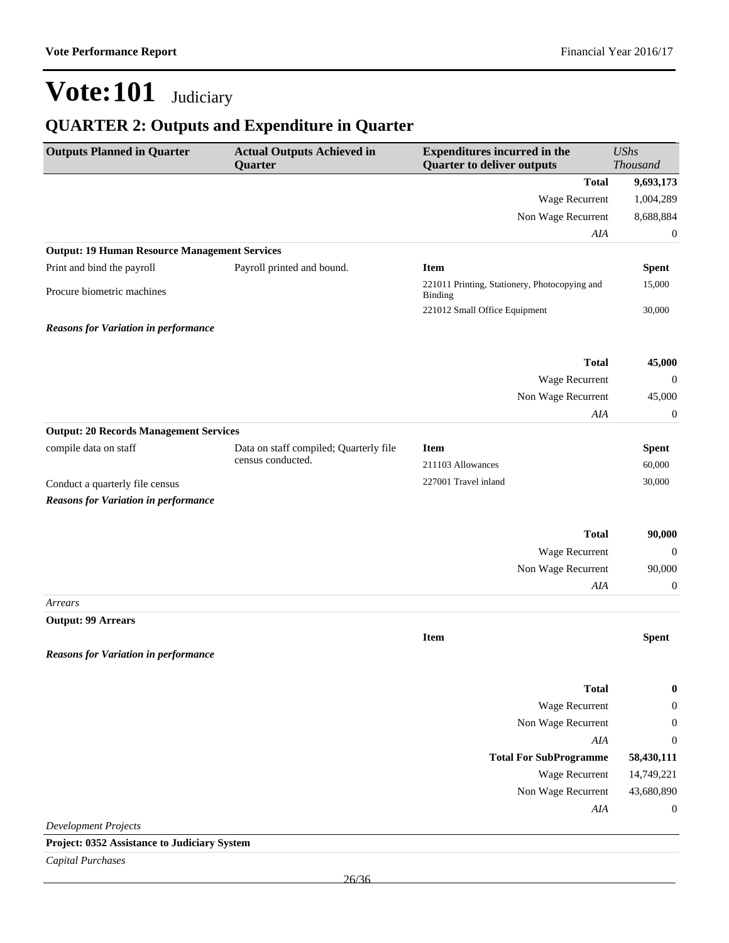### **QUARTER 2: Outputs and Expenditure in Quarter**

| <b>Total</b><br>9,693,173<br>Wage Recurrent<br>1,004,289<br>8,688,884<br>Non Wage Recurrent<br>AIA<br>$\boldsymbol{0}$<br><b>Output: 19 Human Resource Management Services</b><br>Print and bind the payroll<br>Payroll printed and bound.<br><b>Item</b><br><b>Spent</b><br>221011 Printing, Stationery, Photocopying and<br>15,000<br>Procure biometric machines<br>Binding<br>221012 Small Office Equipment<br>30,000<br><b>Total</b><br>45,000<br>Wage Recurrent<br>$\mathbf 0$<br>Non Wage Recurrent<br>45,000<br>AIA<br>$\boldsymbol{0}$<br><b>Output: 20 Records Management Services</b><br>compile data on staff<br>Data on staff compiled; Quarterly file<br><b>Item</b><br><b>Spent</b><br>census conducted.<br>211103 Allowances<br>60,000<br>227001 Travel inland<br>30,000<br>Conduct a quarterly file census<br><b>Reasons for Variation in performance</b><br><b>Total</b><br>90,000<br>Wage Recurrent<br>$\boldsymbol{0}$<br>Non Wage Recurrent<br>90,000<br>AIA<br>$\boldsymbol{0}$<br>Arrears<br><b>Output: 99 Arrears</b><br><b>Item</b><br><b>Spent</b><br><b>Total</b><br>$\boldsymbol{0}$<br>Wage Recurrent<br>$\boldsymbol{0}$<br>Non Wage Recurrent<br>$\boldsymbol{0}$<br>AIA<br>$\boldsymbol{0}$<br>58,430,111<br><b>Total For SubProgramme</b><br>Wage Recurrent<br>14,749,221<br>43,680,890<br>Non Wage Recurrent<br>AIA<br>$\mathbf{0}$<br><b>Development Projects</b><br>Project: 0352 Assistance to Judiciary System | <b>Outputs Planned in Quarter</b>           | <b>Actual Outputs Achieved in</b><br>Quarter | <b>Expenditures incurred in the</b><br><b>Quarter to deliver outputs</b> | <b>UShs</b><br>Thousand |
|-----------------------------------------------------------------------------------------------------------------------------------------------------------------------------------------------------------------------------------------------------------------------------------------------------------------------------------------------------------------------------------------------------------------------------------------------------------------------------------------------------------------------------------------------------------------------------------------------------------------------------------------------------------------------------------------------------------------------------------------------------------------------------------------------------------------------------------------------------------------------------------------------------------------------------------------------------------------------------------------------------------------------------------------------------------------------------------------------------------------------------------------------------------------------------------------------------------------------------------------------------------------------------------------------------------------------------------------------------------------------------------------------------------------------------------------------------|---------------------------------------------|----------------------------------------------|--------------------------------------------------------------------------|-------------------------|
|                                                                                                                                                                                                                                                                                                                                                                                                                                                                                                                                                                                                                                                                                                                                                                                                                                                                                                                                                                                                                                                                                                                                                                                                                                                                                                                                                                                                                                                     |                                             |                                              |                                                                          |                         |
|                                                                                                                                                                                                                                                                                                                                                                                                                                                                                                                                                                                                                                                                                                                                                                                                                                                                                                                                                                                                                                                                                                                                                                                                                                                                                                                                                                                                                                                     |                                             |                                              |                                                                          |                         |
|                                                                                                                                                                                                                                                                                                                                                                                                                                                                                                                                                                                                                                                                                                                                                                                                                                                                                                                                                                                                                                                                                                                                                                                                                                                                                                                                                                                                                                                     |                                             |                                              |                                                                          |                         |
|                                                                                                                                                                                                                                                                                                                                                                                                                                                                                                                                                                                                                                                                                                                                                                                                                                                                                                                                                                                                                                                                                                                                                                                                                                                                                                                                                                                                                                                     |                                             |                                              |                                                                          |                         |
|                                                                                                                                                                                                                                                                                                                                                                                                                                                                                                                                                                                                                                                                                                                                                                                                                                                                                                                                                                                                                                                                                                                                                                                                                                                                                                                                                                                                                                                     |                                             |                                              |                                                                          |                         |
|                                                                                                                                                                                                                                                                                                                                                                                                                                                                                                                                                                                                                                                                                                                                                                                                                                                                                                                                                                                                                                                                                                                                                                                                                                                                                                                                                                                                                                                     |                                             |                                              |                                                                          |                         |
|                                                                                                                                                                                                                                                                                                                                                                                                                                                                                                                                                                                                                                                                                                                                                                                                                                                                                                                                                                                                                                                                                                                                                                                                                                                                                                                                                                                                                                                     |                                             |                                              |                                                                          |                         |
|                                                                                                                                                                                                                                                                                                                                                                                                                                                                                                                                                                                                                                                                                                                                                                                                                                                                                                                                                                                                                                                                                                                                                                                                                                                                                                                                                                                                                                                     |                                             |                                              |                                                                          |                         |
|                                                                                                                                                                                                                                                                                                                                                                                                                                                                                                                                                                                                                                                                                                                                                                                                                                                                                                                                                                                                                                                                                                                                                                                                                                                                                                                                                                                                                                                     | <b>Reasons for Variation in performance</b> |                                              |                                                                          |                         |
|                                                                                                                                                                                                                                                                                                                                                                                                                                                                                                                                                                                                                                                                                                                                                                                                                                                                                                                                                                                                                                                                                                                                                                                                                                                                                                                                                                                                                                                     |                                             |                                              |                                                                          |                         |
|                                                                                                                                                                                                                                                                                                                                                                                                                                                                                                                                                                                                                                                                                                                                                                                                                                                                                                                                                                                                                                                                                                                                                                                                                                                                                                                                                                                                                                                     |                                             |                                              |                                                                          |                         |
|                                                                                                                                                                                                                                                                                                                                                                                                                                                                                                                                                                                                                                                                                                                                                                                                                                                                                                                                                                                                                                                                                                                                                                                                                                                                                                                                                                                                                                                     |                                             |                                              |                                                                          |                         |
|                                                                                                                                                                                                                                                                                                                                                                                                                                                                                                                                                                                                                                                                                                                                                                                                                                                                                                                                                                                                                                                                                                                                                                                                                                                                                                                                                                                                                                                     |                                             |                                              |                                                                          |                         |
|                                                                                                                                                                                                                                                                                                                                                                                                                                                                                                                                                                                                                                                                                                                                                                                                                                                                                                                                                                                                                                                                                                                                                                                                                                                                                                                                                                                                                                                     |                                             |                                              |                                                                          |                         |
|                                                                                                                                                                                                                                                                                                                                                                                                                                                                                                                                                                                                                                                                                                                                                                                                                                                                                                                                                                                                                                                                                                                                                                                                                                                                                                                                                                                                                                                     |                                             |                                              |                                                                          |                         |
|                                                                                                                                                                                                                                                                                                                                                                                                                                                                                                                                                                                                                                                                                                                                                                                                                                                                                                                                                                                                                                                                                                                                                                                                                                                                                                                                                                                                                                                     |                                             |                                              |                                                                          |                         |
|                                                                                                                                                                                                                                                                                                                                                                                                                                                                                                                                                                                                                                                                                                                                                                                                                                                                                                                                                                                                                                                                                                                                                                                                                                                                                                                                                                                                                                                     |                                             |                                              |                                                                          |                         |
|                                                                                                                                                                                                                                                                                                                                                                                                                                                                                                                                                                                                                                                                                                                                                                                                                                                                                                                                                                                                                                                                                                                                                                                                                                                                                                                                                                                                                                                     |                                             |                                              |                                                                          |                         |
|                                                                                                                                                                                                                                                                                                                                                                                                                                                                                                                                                                                                                                                                                                                                                                                                                                                                                                                                                                                                                                                                                                                                                                                                                                                                                                                                                                                                                                                     |                                             |                                              |                                                                          |                         |
|                                                                                                                                                                                                                                                                                                                                                                                                                                                                                                                                                                                                                                                                                                                                                                                                                                                                                                                                                                                                                                                                                                                                                                                                                                                                                                                                                                                                                                                     |                                             |                                              |                                                                          |                         |
|                                                                                                                                                                                                                                                                                                                                                                                                                                                                                                                                                                                                                                                                                                                                                                                                                                                                                                                                                                                                                                                                                                                                                                                                                                                                                                                                                                                                                                                     |                                             |                                              |                                                                          |                         |
|                                                                                                                                                                                                                                                                                                                                                                                                                                                                                                                                                                                                                                                                                                                                                                                                                                                                                                                                                                                                                                                                                                                                                                                                                                                                                                                                                                                                                                                     |                                             |                                              |                                                                          |                         |
|                                                                                                                                                                                                                                                                                                                                                                                                                                                                                                                                                                                                                                                                                                                                                                                                                                                                                                                                                                                                                                                                                                                                                                                                                                                                                                                                                                                                                                                     |                                             |                                              |                                                                          |                         |
|                                                                                                                                                                                                                                                                                                                                                                                                                                                                                                                                                                                                                                                                                                                                                                                                                                                                                                                                                                                                                                                                                                                                                                                                                                                                                                                                                                                                                                                     |                                             |                                              |                                                                          |                         |
|                                                                                                                                                                                                                                                                                                                                                                                                                                                                                                                                                                                                                                                                                                                                                                                                                                                                                                                                                                                                                                                                                                                                                                                                                                                                                                                                                                                                                                                     | <b>Reasons for Variation in performance</b> |                                              |                                                                          |                         |
|                                                                                                                                                                                                                                                                                                                                                                                                                                                                                                                                                                                                                                                                                                                                                                                                                                                                                                                                                                                                                                                                                                                                                                                                                                                                                                                                                                                                                                                     |                                             |                                              |                                                                          |                         |
|                                                                                                                                                                                                                                                                                                                                                                                                                                                                                                                                                                                                                                                                                                                                                                                                                                                                                                                                                                                                                                                                                                                                                                                                                                                                                                                                                                                                                                                     |                                             |                                              |                                                                          |                         |
|                                                                                                                                                                                                                                                                                                                                                                                                                                                                                                                                                                                                                                                                                                                                                                                                                                                                                                                                                                                                                                                                                                                                                                                                                                                                                                                                                                                                                                                     |                                             |                                              |                                                                          |                         |
|                                                                                                                                                                                                                                                                                                                                                                                                                                                                                                                                                                                                                                                                                                                                                                                                                                                                                                                                                                                                                                                                                                                                                                                                                                                                                                                                                                                                                                                     |                                             |                                              |                                                                          |                         |
|                                                                                                                                                                                                                                                                                                                                                                                                                                                                                                                                                                                                                                                                                                                                                                                                                                                                                                                                                                                                                                                                                                                                                                                                                                                                                                                                                                                                                                                     |                                             |                                              |                                                                          |                         |
|                                                                                                                                                                                                                                                                                                                                                                                                                                                                                                                                                                                                                                                                                                                                                                                                                                                                                                                                                                                                                                                                                                                                                                                                                                                                                                                                                                                                                                                     |                                             |                                              |                                                                          |                         |
|                                                                                                                                                                                                                                                                                                                                                                                                                                                                                                                                                                                                                                                                                                                                                                                                                                                                                                                                                                                                                                                                                                                                                                                                                                                                                                                                                                                                                                                     |                                             |                                              |                                                                          |                         |
|                                                                                                                                                                                                                                                                                                                                                                                                                                                                                                                                                                                                                                                                                                                                                                                                                                                                                                                                                                                                                                                                                                                                                                                                                                                                                                                                                                                                                                                     |                                             |                                              |                                                                          |                         |
|                                                                                                                                                                                                                                                                                                                                                                                                                                                                                                                                                                                                                                                                                                                                                                                                                                                                                                                                                                                                                                                                                                                                                                                                                                                                                                                                                                                                                                                     |                                             |                                              |                                                                          |                         |
|                                                                                                                                                                                                                                                                                                                                                                                                                                                                                                                                                                                                                                                                                                                                                                                                                                                                                                                                                                                                                                                                                                                                                                                                                                                                                                                                                                                                                                                     |                                             |                                              |                                                                          |                         |

*Capital Purchases*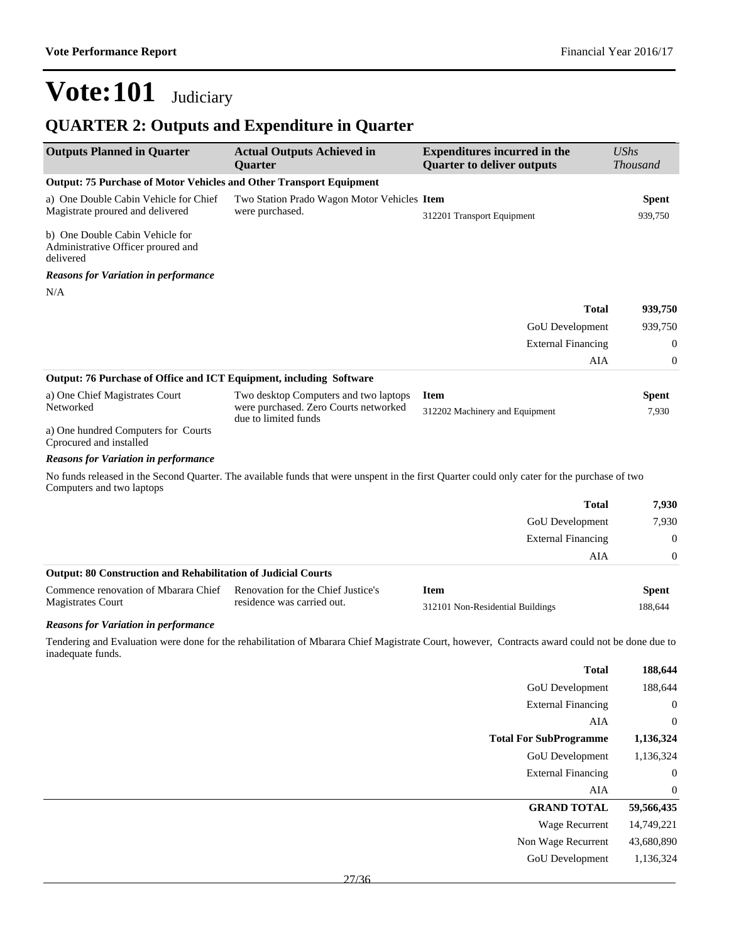### **QUARTER 2: Outputs and Expenditure in Quarter**

| <b>Outputs Planned in Quarter</b>                                                  | <b>Actual Outputs Achieved in</b><br>Quarter                                   | <b>Expenditures incurred in the</b><br><b>Quarter to deliver outputs</b>                                                                       | <b>UShs</b><br><b>Thousand</b> |
|------------------------------------------------------------------------------------|--------------------------------------------------------------------------------|------------------------------------------------------------------------------------------------------------------------------------------------|--------------------------------|
| Output: 75 Purchase of Motor Vehicles and Other Transport Equipment                |                                                                                |                                                                                                                                                |                                |
| a) One Double Cabin Vehicle for Chief                                              | Two Station Prado Wagon Motor Vehicles Item                                    |                                                                                                                                                | <b>Spent</b>                   |
| Magistrate proured and delivered                                                   | were purchased.                                                                | 312201 Transport Equipment                                                                                                                     | 939,750                        |
| b) One Double Cabin Vehicle for<br>Administrative Officer proured and<br>delivered |                                                                                |                                                                                                                                                |                                |
| <b>Reasons for Variation in performance</b>                                        |                                                                                |                                                                                                                                                |                                |
| N/A                                                                                |                                                                                |                                                                                                                                                |                                |
|                                                                                    |                                                                                | <b>Total</b>                                                                                                                                   | 939,750                        |
|                                                                                    |                                                                                | GoU Development                                                                                                                                | 939,750                        |
|                                                                                    |                                                                                | <b>External Financing</b>                                                                                                                      | $\mathbf{0}$                   |
|                                                                                    |                                                                                | AIA                                                                                                                                            | $\mathbf{0}$                   |
| Output: 76 Purchase of Office and ICT Equipment, including Software                |                                                                                |                                                                                                                                                |                                |
| a) One Chief Magistrates Court<br>Networked                                        | Two desktop Computers and two laptops<br>were purchased. Zero Courts networked | <b>Item</b>                                                                                                                                    | Spent                          |
|                                                                                    | due to limited funds                                                           | 312202 Machinery and Equipment                                                                                                                 | 7,930                          |
| a) One hundred Computers for Courts<br>Cprocured and installed                     |                                                                                |                                                                                                                                                |                                |
| <b>Reasons for Variation in performance</b>                                        |                                                                                |                                                                                                                                                |                                |
| Computers and two laptops                                                          |                                                                                | No funds released in the Second Quarter. The available funds that were unspent in the first Quarter could only cater for the purchase of two   |                                |
|                                                                                    |                                                                                | <b>Total</b>                                                                                                                                   | 7,930                          |
|                                                                                    |                                                                                | GoU Development                                                                                                                                | 7,930                          |
|                                                                                    |                                                                                | <b>External Financing</b>                                                                                                                      | $\mathbf{0}$                   |
|                                                                                    |                                                                                | AIA                                                                                                                                            | $\boldsymbol{0}$               |
| <b>Output: 80 Construction and Rehabilitation of Judicial Courts</b>               |                                                                                |                                                                                                                                                |                                |
| Commence renovation of Mbarara Chief<br><b>Magistrates Court</b>                   | Renovation for the Chief Justice's<br>residence was carried out.               | <b>Item</b><br>312101 Non-Residential Buildings                                                                                                | <b>Spent</b><br>188,644        |
| <b>Reasons for Variation in performance</b>                                        |                                                                                |                                                                                                                                                |                                |
|                                                                                    |                                                                                | Tendering and Evaluation were done for the rehabilitation of Mbarara Chief Magistrate Court, however, Contracts award could not be done due to |                                |
| inadequate funds.                                                                  |                                                                                | <b>Total</b>                                                                                                                                   | 188,644                        |
|                                                                                    |                                                                                | GoU Development                                                                                                                                | 188,644                        |
|                                                                                    |                                                                                | <b>External Financing</b>                                                                                                                      | $\mathbf{0}$                   |
|                                                                                    |                                                                                | ${\rm AIA}$                                                                                                                                    | $\boldsymbol{0}$               |
|                                                                                    |                                                                                | <b>Total For SubProgramme</b>                                                                                                                  | 1,136,324                      |
|                                                                                    |                                                                                | <b>GoU</b> Development                                                                                                                         | 1,136,324                      |
|                                                                                    |                                                                                | <b>External Financing</b>                                                                                                                      | $\mathbf 0$                    |
|                                                                                    |                                                                                | AIA                                                                                                                                            | $\boldsymbol{0}$               |
|                                                                                    |                                                                                | <b>GRAND TOTAL</b>                                                                                                                             | 59,566,435                     |
|                                                                                    |                                                                                | Wage Recurrent                                                                                                                                 | 14,749,221                     |
|                                                                                    |                                                                                | Non Wage Recurrent                                                                                                                             | 43,680,890                     |
|                                                                                    |                                                                                | <b>GoU</b> Development                                                                                                                         | 1,136,324                      |
|                                                                                    | 27/36                                                                          |                                                                                                                                                |                                |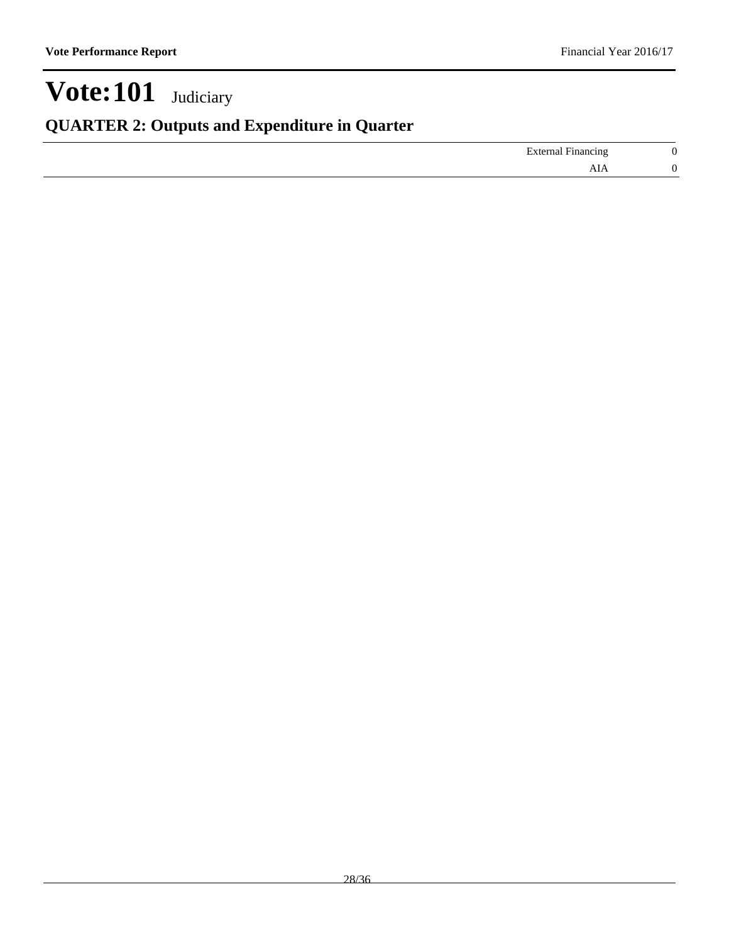### **QUARTER 2: Outputs and Expenditure in Quarter**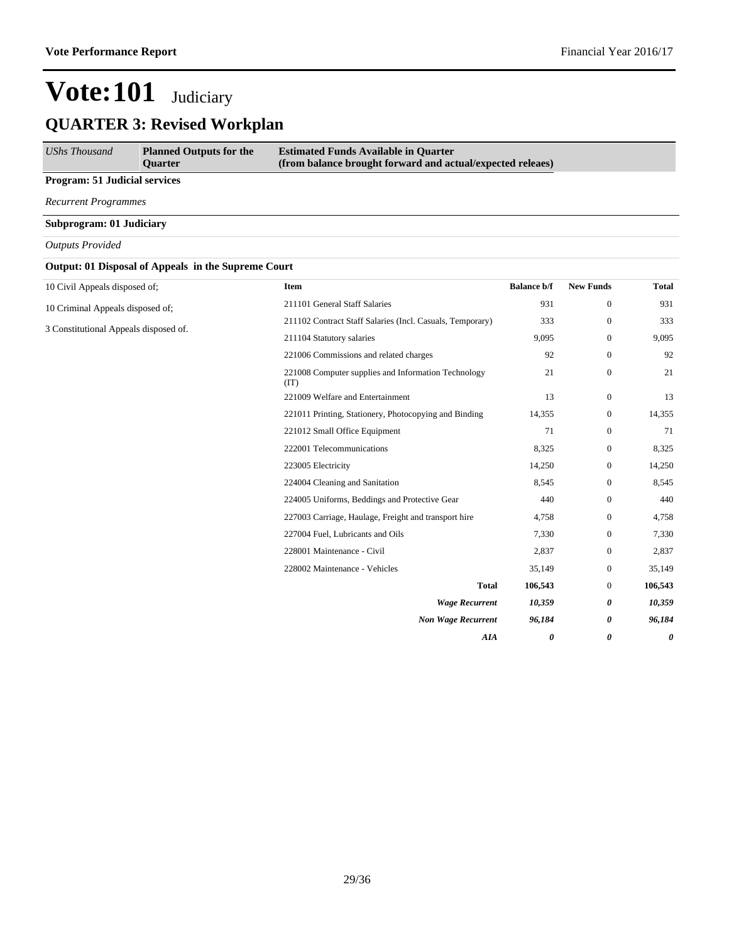| UShs Thousand                        | <b>Planned Outputs for the</b><br><b>Ouarter</b> | <b>Estimated Funds Available in Quarter</b><br>(from balance brought forward and actual/expected releaes) |
|--------------------------------------|--------------------------------------------------|-----------------------------------------------------------------------------------------------------------|
| <b>Program: 51 Judicial services</b> |                                                  |                                                                                                           |

*Recurrent Programmes*

**Subprogram: 01 Judiciary**

*Outputs Provided*

|  |  |  | Output: 01 Disposal of Appeals in the Supreme Court |
|--|--|--|-----------------------------------------------------|
|--|--|--|-----------------------------------------------------|

| 10 Civil Appeals disposed of;         | Item                                                        | <b>Balance b/f</b> | <b>New Funds</b> | <b>Total</b> |
|---------------------------------------|-------------------------------------------------------------|--------------------|------------------|--------------|
| 10 Criminal Appeals disposed of;      | 211101 General Staff Salaries                               | 931                | $\boldsymbol{0}$ | 931          |
| 3 Constitutional Appeals disposed of. | 211102 Contract Staff Salaries (Incl. Casuals, Temporary)   | 333                | $\mathbf{0}$     | 333          |
|                                       | 211104 Statutory salaries                                   | 9,095              | $\mathbf{0}$     | 9,095        |
|                                       | 221006 Commissions and related charges                      | 92                 | $\mathbf{0}$     | 92           |
|                                       | 221008 Computer supplies and Information Technology<br>(TT) | 21                 | $\mathbf{0}$     | 21           |
|                                       | 221009 Welfare and Entertainment                            | 13                 | $\overline{0}$   | 13           |
|                                       | 221011 Printing, Stationery, Photocopying and Binding       | 14,355             | $\mathbf{0}$     | 14,355       |
|                                       | 221012 Small Office Equipment                               | 71                 | $\mathbf{0}$     | 71           |
|                                       | 222001 Telecommunications                                   | 8,325              | $\mathbf{0}$     | 8,325        |
|                                       | 223005 Electricity                                          | 14,250             | $\mathbf{0}$     | 14,250       |
|                                       | 224004 Cleaning and Sanitation                              | 8,545              | $\mathbf{0}$     | 8,545        |
|                                       | 224005 Uniforms, Beddings and Protective Gear               | 440                | $\mathbf{0}$     | 440          |
|                                       | 227003 Carriage, Haulage, Freight and transport hire        | 4,758              | $\mathbf{0}$     | 4,758        |
|                                       | 227004 Fuel, Lubricants and Oils                            | 7,330              | $\mathbf{0}$     | 7,330        |
|                                       | 228001 Maintenance - Civil                                  | 2,837              | $\overline{0}$   | 2,837        |
|                                       | 228002 Maintenance - Vehicles                               | 35,149             | $\mathbf{0}$     | 35,149       |
|                                       | <b>Total</b>                                                | 106,543            | $\mathbf{0}$     | 106,543      |
|                                       | <b>Wage Recurrent</b>                                       | 10,359             | 0                | 10,359       |
|                                       | <b>Non Wage Recurrent</b>                                   | 96,184             | 0                | 96,184       |
|                                       | AIA                                                         | 0                  | 0                | 0            |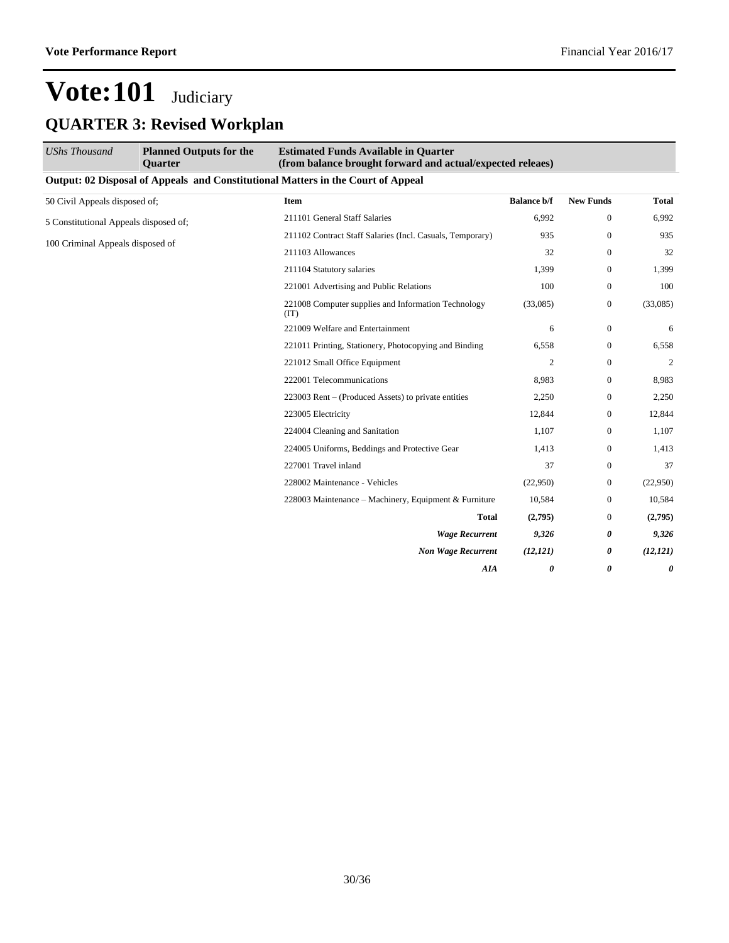| <b>UShs Thousand</b>                  | <b>Planned Outputs for the</b><br><b>Ouarter</b>            | <b>Estimated Funds Available in Quarter</b><br>(from balance brought forward and actual/expected releaes) |                       |                  |              |  |
|---------------------------------------|-------------------------------------------------------------|-----------------------------------------------------------------------------------------------------------|-----------------------|------------------|--------------|--|
|                                       |                                                             | Output: 02 Disposal of Appeals and Constitutional Matters in the Court of Appeal                          |                       |                  |              |  |
| 50 Civil Appeals disposed of;         |                                                             | Item                                                                                                      | <b>Balance b/f</b>    | <b>New Funds</b> | <b>Total</b> |  |
| 5 Constitutional Appeals disposed of; |                                                             | 211101 General Staff Salaries                                                                             | 6.992                 | $\mathbf{0}$     | 6,992        |  |
| 100 Criminal Appeals disposed of      | 211102 Contract Staff Salaries (Incl. Casuals, Temporary)   | 935                                                                                                       | $\mathbf{0}$          | 935              |              |  |
|                                       |                                                             | 211103 Allowances                                                                                         | 32                    | $\mathbf{0}$     | 32           |  |
|                                       | 211104 Statutory salaries                                   | 1,399                                                                                                     | $\Omega$              | 1,399            |              |  |
|                                       | 221001 Advertising and Public Relations                     | 100                                                                                                       | $\Omega$              | 100              |              |  |
|                                       | 221008 Computer supplies and Information Technology<br>(TT) | (33,085)                                                                                                  | $\overline{0}$        | (33,085)         |              |  |
|                                       | 221009 Welfare and Entertainment                            | 6                                                                                                         | $\overline{0}$        | 6                |              |  |
|                                       | 221011 Printing, Stationery, Photocopying and Binding       | 6,558                                                                                                     | $\overline{0}$        | 6,558            |              |  |
|                                       | 221012 Small Office Equipment                               | $\overline{c}$                                                                                            | $\mathbf{0}$          | 2                |              |  |
|                                       |                                                             | 222001 Telecommunications                                                                                 | 8,983                 | $\overline{0}$   | 8,983        |  |
|                                       |                                                             | 223003 Rent – (Produced Assets) to private entities                                                       | 2,250                 | $\boldsymbol{0}$ | 2,250        |  |
|                                       |                                                             | 223005 Electricity                                                                                        | 12,844                | $\mathbf{0}$     | 12,844       |  |
|                                       |                                                             | 224004 Cleaning and Sanitation                                                                            | 1,107                 | $\overline{0}$   | 1,107        |  |
|                                       |                                                             | 224005 Uniforms, Beddings and Protective Gear                                                             | 1,413                 | $\overline{0}$   | 1,413        |  |
|                                       |                                                             | 227001 Travel inland                                                                                      | 37                    | $\overline{0}$   | 37           |  |
|                                       |                                                             | 228002 Maintenance - Vehicles                                                                             | (22,950)              | $\mathbf{0}$     | (22,950)     |  |
|                                       |                                                             | 228003 Maintenance – Machinery, Equipment & Furniture                                                     | 10,584                | $\boldsymbol{0}$ | 10,584       |  |
|                                       |                                                             | <b>Total</b>                                                                                              | (2,795)               | $\mathbf{0}$     | (2,795)      |  |
|                                       |                                                             | <b>Wage Recurrent</b>                                                                                     | 9,326                 | 0                | 9,326        |  |
|                                       |                                                             | <b>Non Wage Recurrent</b>                                                                                 | (12, 121)             | 0                | (12, 121)    |  |
|                                       |                                                             | <b>AIA</b>                                                                                                | $\boldsymbol{\theta}$ | 0                | 0            |  |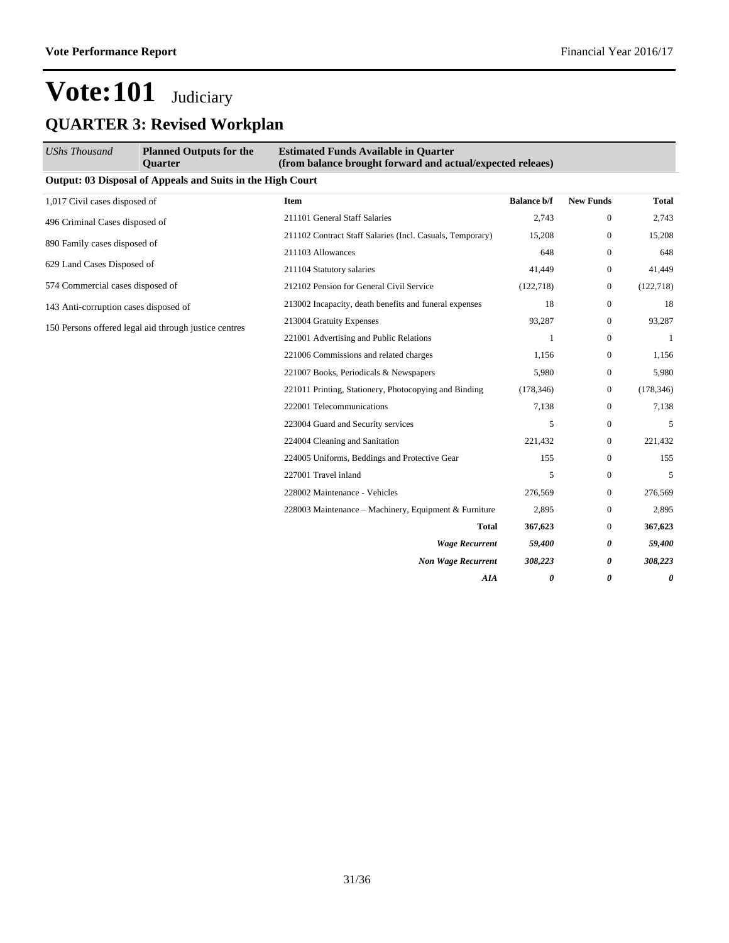| <b>UShs Thousand</b>                                  | <b>Planned Outputs for the</b><br><b>Ouarter</b>                  | <b>Estimated Funds Available in Quarter</b><br>(from balance brought forward and actual/expected releaes) |                    |                  |            |  |
|-------------------------------------------------------|-------------------------------------------------------------------|-----------------------------------------------------------------------------------------------------------|--------------------|------------------|------------|--|
|                                                       | <b>Output: 03 Disposal of Appeals and Suits in the High Court</b> |                                                                                                           |                    |                  |            |  |
| 1,017 Civil cases disposed of                         |                                                                   | <b>Item</b>                                                                                               | <b>Balance b/f</b> | <b>New Funds</b> | Total      |  |
| 496 Criminal Cases disposed of                        |                                                                   | 211101 General Staff Salaries                                                                             | 2,743              | $\mathbf{0}$     | 2,743      |  |
| 890 Family cases disposed of                          |                                                                   | 211102 Contract Staff Salaries (Incl. Casuals, Temporary)                                                 | 15,208             | $\boldsymbol{0}$ | 15,208     |  |
|                                                       |                                                                   | 211103 Allowances                                                                                         | 648                | $\overline{0}$   | 648        |  |
| 629 Land Cases Disposed of                            |                                                                   | 211104 Statutory salaries                                                                                 | 41,449             | $\overline{0}$   | 41,449     |  |
| 574 Commercial cases disposed of                      |                                                                   | 212102 Pension for General Civil Service                                                                  | (122, 718)         | $\boldsymbol{0}$ | (122, 718) |  |
| 143 Anti-corruption cases disposed of                 |                                                                   | 213002 Incapacity, death benefits and funeral expenses                                                    | 18                 | $\mathbf{0}$     | 18         |  |
|                                                       |                                                                   | 213004 Gratuity Expenses                                                                                  | 93,287             | $\boldsymbol{0}$ | 93,287     |  |
| 150 Persons offered legal aid through justice centres | 221001 Advertising and Public Relations                           | 1                                                                                                         | $\mathbf{0}$       | 1                |            |  |
|                                                       |                                                                   | 221006 Commissions and related charges                                                                    | 1,156              | $\boldsymbol{0}$ | 1,156      |  |
|                                                       |                                                                   | 221007 Books, Periodicals & Newspapers                                                                    | 5,980              | $\mathbf{0}$     | 5,980      |  |
|                                                       |                                                                   | 221011 Printing, Stationery, Photocopying and Binding                                                     | (178, 346)         | $\boldsymbol{0}$ | (178, 346) |  |
|                                                       |                                                                   | 222001 Telecommunications                                                                                 | 7,138              | $\mathbf{0}$     | 7,138      |  |
|                                                       |                                                                   | 223004 Guard and Security services                                                                        | 5                  | $\mathbf{0}$     | 5          |  |
|                                                       |                                                                   | 224004 Cleaning and Sanitation                                                                            | 221,432            | $\boldsymbol{0}$ | 221,432    |  |
|                                                       |                                                                   | 224005 Uniforms, Beddings and Protective Gear                                                             | 155                | $\mathbf{0}$     | 155        |  |
|                                                       |                                                                   | 227001 Travel inland                                                                                      | 5                  | $\mathbf{0}$     | 5          |  |
|                                                       |                                                                   | 228002 Maintenance - Vehicles                                                                             | 276,569            | $\mathbf{0}$     | 276,569    |  |
|                                                       |                                                                   | 228003 Maintenance - Machinery, Equipment & Furniture                                                     | 2,895              | $\mathbf{0}$     | 2,895      |  |
|                                                       |                                                                   | <b>Total</b>                                                                                              | 367,623            | $\mathbf{0}$     | 367,623    |  |
|                                                       |                                                                   | <b>Wage Recurrent</b>                                                                                     | 59,400             | 0                | 59,400     |  |
|                                                       |                                                                   | <b>Non Wage Recurrent</b>                                                                                 | 308,223            | 0                | 308,223    |  |
|                                                       |                                                                   | AIA                                                                                                       | 0                  | 0                | 0          |  |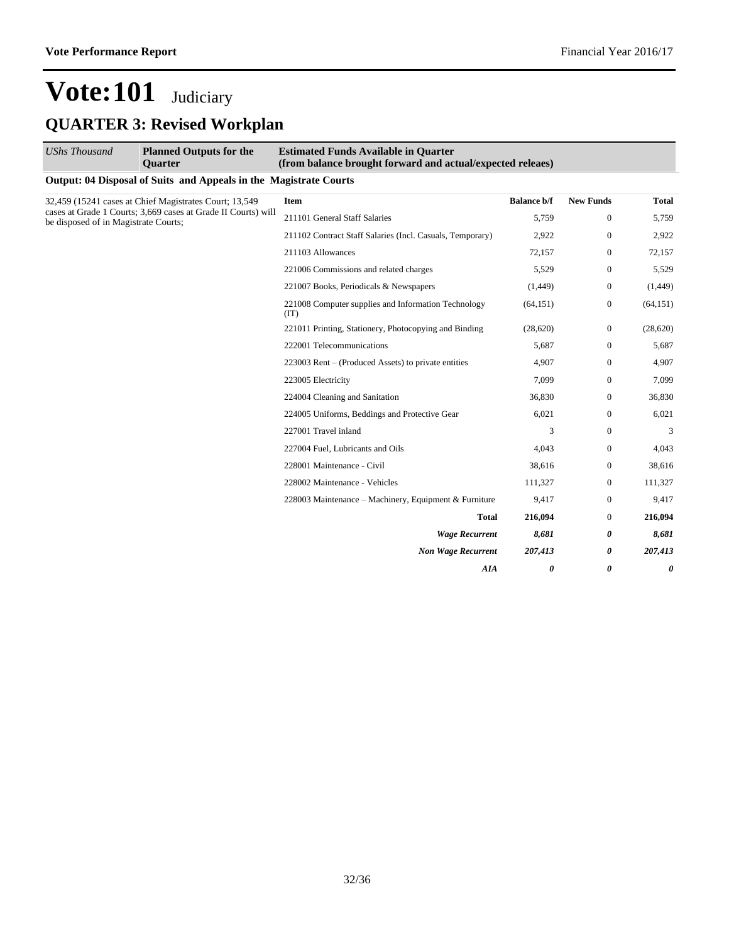| <b>UShs Thousand</b>                 | <b>Planned Outputs for the</b><br><b>Ouarter</b>                  | <b>Estimated Funds Available in Quarter</b><br>(from balance brought forward and actual/expected releaes) |                    |                  |              |  |
|--------------------------------------|-------------------------------------------------------------------|-----------------------------------------------------------------------------------------------------------|--------------------|------------------|--------------|--|
|                                      | Output: 04 Disposal of Suits and Appeals in the Magistrate Courts |                                                                                                           |                    |                  |              |  |
|                                      | 32,459 (15241 cases at Chief Magistrates Court; 13,549)           | <b>Item</b>                                                                                               | <b>Balance b/f</b> | <b>New Funds</b> | <b>Total</b> |  |
| be disposed of in Magistrate Courts; | cases at Grade 1 Courts; 3,669 cases at Grade II Courts) will     | 211101 General Staff Salaries                                                                             | 5,759              | 0                | 5,759        |  |
|                                      |                                                                   | 211102 Contract Staff Salaries (Incl. Casuals, Temporary)                                                 | 2,922              | 0                | 2,922        |  |
|                                      |                                                                   | 211103 Allowances                                                                                         | 72,157             | 0                | 72,157       |  |
|                                      |                                                                   | 221006 Commissions and related charges                                                                    | 5,529              | 0                | 5,529        |  |
|                                      |                                                                   | 221007 Books, Periodicals & Newspapers                                                                    | (1,449)            | 0                | (1,449)      |  |
|                                      |                                                                   | 221008 Computer supplies and Information Technology<br>(TT)                                               | (64, 151)          | 0                | (64, 151)    |  |
|                                      |                                                                   | 221011 Printing, Stationery, Photocopying and Binding                                                     | (28,620)           | $\mathbf{0}$     | (28, 620)    |  |
|                                      | 222001 Telecommunications                                         | 5,687                                                                                                     | $\overline{0}$     | 5,687            |              |  |
|                                      | 223003 Rent – (Produced Assets) to private entities               | 4,907                                                                                                     | 0                  | 4,907            |              |  |
|                                      |                                                                   | 223005 Electricity                                                                                        | 7,099              | $\overline{0}$   | 7,099        |  |
|                                      |                                                                   | 224004 Cleaning and Sanitation                                                                            | 36,830             | $\overline{0}$   | 36,830       |  |
|                                      |                                                                   | 224005 Uniforms, Beddings and Protective Gear                                                             | 6,021              | $\overline{0}$   | 6,021        |  |
|                                      |                                                                   | 227001 Travel inland                                                                                      | 3                  | $\overline{0}$   | 3            |  |
|                                      |                                                                   | 227004 Fuel, Lubricants and Oils                                                                          | 4,043              | $\overline{0}$   | 4,043        |  |
|                                      |                                                                   | 228001 Maintenance - Civil                                                                                | 38,616             | $\overline{0}$   | 38,616       |  |
|                                      |                                                                   | 228002 Maintenance - Vehicles                                                                             | 111,327            | $\overline{0}$   | 111,327      |  |
|                                      |                                                                   | 228003 Maintenance - Machinery, Equipment & Furniture                                                     | 9,417              | $\overline{0}$   | 9,417        |  |
|                                      |                                                                   | <b>Total</b>                                                                                              | 216,094            | $\overline{0}$   | 216,094      |  |
|                                      |                                                                   | <b>Wage Recurrent</b>                                                                                     | 8,681              | 0                | 8,681        |  |
|                                      |                                                                   | <b>Non Wage Recurrent</b>                                                                                 | 207,413            | 0                | 207,413      |  |
|                                      |                                                                   | AIA                                                                                                       | 0                  | 0                | 0            |  |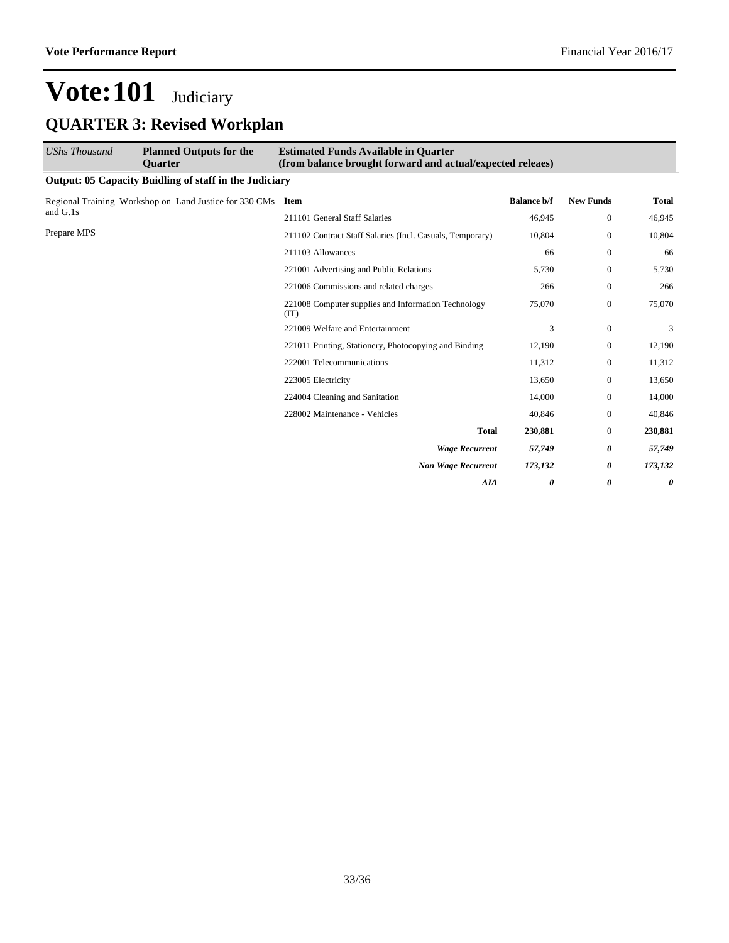| <b>UShs Thousand</b>                                   | <b>Planned Outputs for the</b><br><b>Ouarter</b>       | <b>Estimated Funds Available in Quarter</b><br>(from balance brought forward and actual/expected releaes) |                    |                       |              |  |  |  |
|--------------------------------------------------------|--------------------------------------------------------|-----------------------------------------------------------------------------------------------------------|--------------------|-----------------------|--------------|--|--|--|
| Output: 05 Capacity Buidling of staff in the Judiciary |                                                        |                                                                                                           |                    |                       |              |  |  |  |
| and G.1s                                               | Regional Training Workshop on Land Justice for 330 CMs | Item                                                                                                      | <b>Balance b/f</b> | <b>New Funds</b>      | <b>Total</b> |  |  |  |
|                                                        |                                                        | 211101 General Staff Salaries                                                                             | 46,945             | $\boldsymbol{0}$      | 46,945       |  |  |  |
| Prepare MPS                                            |                                                        | 211102 Contract Staff Salaries (Incl. Casuals, Temporary)                                                 | 10,804             | $\mathbf{0}$          | 10,804       |  |  |  |
|                                                        |                                                        | 211103 Allowances                                                                                         | 66                 | $\mathbf{0}$          | 66           |  |  |  |
|                                                        |                                                        | 221001 Advertising and Public Relations                                                                   | 5,730              | $\mathbf{0}$          | 5,730        |  |  |  |
|                                                        |                                                        | 221006 Commissions and related charges                                                                    | 266                | $\mathbf{0}$          | 266          |  |  |  |
|                                                        |                                                        | 221008 Computer supplies and Information Technology<br>(TT)                                               | 75,070             | $\mathbf{0}$          | 75,070       |  |  |  |
|                                                        |                                                        | 221009 Welfare and Entertainment                                                                          | 3                  | $\theta$              | 3            |  |  |  |
|                                                        |                                                        | 221011 Printing, Stationery, Photocopying and Binding                                                     | 12,190             | $\mathbf{0}$          | 12,190       |  |  |  |
|                                                        |                                                        | 222001 Telecommunications                                                                                 | 11,312             | $\mathbf{0}$          | 11,312       |  |  |  |
|                                                        |                                                        | 223005 Electricity                                                                                        | 13,650             | $\overline{0}$        | 13,650       |  |  |  |
|                                                        |                                                        | 224004 Cleaning and Sanitation                                                                            | 14,000             | $\mathbf{0}$          | 14,000       |  |  |  |
|                                                        |                                                        | 228002 Maintenance - Vehicles                                                                             | 40,846             | $\mathbf{0}$          | 40,846       |  |  |  |
|                                                        |                                                        | <b>Total</b>                                                                                              | 230,881            | $\mathbf{0}$          | 230,881      |  |  |  |
|                                                        |                                                        | <b>Wage Recurrent</b>                                                                                     | 57,749             | 0                     | 57,749       |  |  |  |
|                                                        |                                                        | <b>Non Wage Recurrent</b>                                                                                 | 173,132            | 0                     | 173,132      |  |  |  |
|                                                        |                                                        | AIA                                                                                                       | 0                  | $\boldsymbol{\theta}$ | 0            |  |  |  |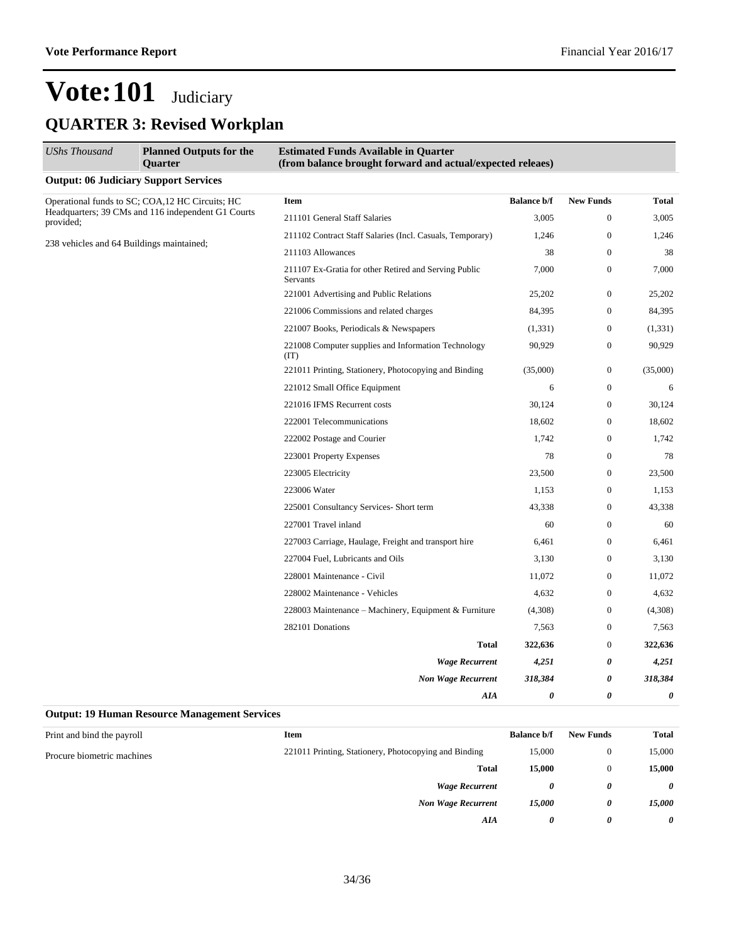$\overline{a}$ 

## **Vote:101** Judiciary **QUARTER 3: Revised Workplan**

| <b>Output: 06 Judiciary Support Services</b><br>Operational funds to SC; COA,12 HC Circuits; HC<br><b>Item</b><br>Headquarters; 39 CMs and 116 independent G1 Courts<br>211101 General Staff Salaries<br>provided:<br>211102 Contract Staff Salaries (Incl. Casuals, Temporary)<br>238 vehicles and 64 Buildings maintained;<br>211103 Allowances | 3,005<br>1,246<br>38<br>7,000                                                                                                                                                                                                                                                                                                                                                                                                                                                                                                                                                                                                                | <b>New Funds</b><br>$\overline{0}$<br>$\boldsymbol{0}$<br>$\boldsymbol{0}$<br>$\boldsymbol{0}$ | <b>Total</b><br>3,005<br>1,246<br>38 |
|---------------------------------------------------------------------------------------------------------------------------------------------------------------------------------------------------------------------------------------------------------------------------------------------------------------------------------------------------|----------------------------------------------------------------------------------------------------------------------------------------------------------------------------------------------------------------------------------------------------------------------------------------------------------------------------------------------------------------------------------------------------------------------------------------------------------------------------------------------------------------------------------------------------------------------------------------------------------------------------------------------|------------------------------------------------------------------------------------------------|--------------------------------------|
|                                                                                                                                                                                                                                                                                                                                                   |                                                                                                                                                                                                                                                                                                                                                                                                                                                                                                                                                                                                                                              |                                                                                                |                                      |
|                                                                                                                                                                                                                                                                                                                                                   |                                                                                                                                                                                                                                                                                                                                                                                                                                                                                                                                                                                                                                              |                                                                                                |                                      |
|                                                                                                                                                                                                                                                                                                                                                   |                                                                                                                                                                                                                                                                                                                                                                                                                                                                                                                                                                                                                                              |                                                                                                |                                      |
|                                                                                                                                                                                                                                                                                                                                                   |                                                                                                                                                                                                                                                                                                                                                                                                                                                                                                                                                                                                                                              |                                                                                                |                                      |
|                                                                                                                                                                                                                                                                                                                                                   |                                                                                                                                                                                                                                                                                                                                                                                                                                                                                                                                                                                                                                              |                                                                                                |                                      |
| 211107 Ex-Gratia for other Retired and Serving Public<br>Servants                                                                                                                                                                                                                                                                                 | <b>Balance b/f</b><br>$\overline{0}$<br>25,202<br>84,395<br>0<br>$\boldsymbol{0}$<br>(1, 331)<br>90,929<br>$\boldsymbol{0}$<br>(35,000)<br>$\boldsymbol{0}$<br>6<br>$\boldsymbol{0}$<br>30,124<br>$\boldsymbol{0}$<br>18,602<br>$\overline{0}$<br>1,742<br>$\boldsymbol{0}$<br>$\overline{0}$<br>78<br>23,500<br>$\overline{0}$<br>$\overline{0}$<br>1,153<br>$\boldsymbol{0}$<br>43,338<br>$\boldsymbol{0}$<br>60<br>$\overline{0}$<br>6,461<br>3,130<br>$\boldsymbol{0}$<br>11,072<br>$\boldsymbol{0}$<br>4,632<br>$\boldsymbol{0}$<br>$\boldsymbol{0}$<br>(4,308)<br>$\boldsymbol{0}$<br>7,563<br>$\overline{0}$<br>322,636<br>0<br>4,251 | 7,000                                                                                          |                                      |
| 221001 Advertising and Public Relations                                                                                                                                                                                                                                                                                                           |                                                                                                                                                                                                                                                                                                                                                                                                                                                                                                                                                                                                                                              |                                                                                                | 25,202                               |
| 221006 Commissions and related charges                                                                                                                                                                                                                                                                                                            |                                                                                                                                                                                                                                                                                                                                                                                                                                                                                                                                                                                                                                              |                                                                                                | 84,395                               |
| 221007 Books, Periodicals & Newspapers                                                                                                                                                                                                                                                                                                            |                                                                                                                                                                                                                                                                                                                                                                                                                                                                                                                                                                                                                                              |                                                                                                | (1, 331)                             |
| 221008 Computer supplies and Information Technology<br>(TT)                                                                                                                                                                                                                                                                                       |                                                                                                                                                                                                                                                                                                                                                                                                                                                                                                                                                                                                                                              |                                                                                                | 90,929                               |
| 221011 Printing, Stationery, Photocopying and Binding                                                                                                                                                                                                                                                                                             |                                                                                                                                                                                                                                                                                                                                                                                                                                                                                                                                                                                                                                              |                                                                                                | (35,000)                             |
| 221012 Small Office Equipment                                                                                                                                                                                                                                                                                                                     |                                                                                                                                                                                                                                                                                                                                                                                                                                                                                                                                                                                                                                              |                                                                                                | 6                                    |
| 221016 IFMS Recurrent costs                                                                                                                                                                                                                                                                                                                       |                                                                                                                                                                                                                                                                                                                                                                                                                                                                                                                                                                                                                                              |                                                                                                | 30,124                               |
| 222001 Telecommunications                                                                                                                                                                                                                                                                                                                         |                                                                                                                                                                                                                                                                                                                                                                                                                                                                                                                                                                                                                                              |                                                                                                | 18,602                               |
| 222002 Postage and Courier                                                                                                                                                                                                                                                                                                                        |                                                                                                                                                                                                                                                                                                                                                                                                                                                                                                                                                                                                                                              |                                                                                                | 1,742                                |
| 223001 Property Expenses                                                                                                                                                                                                                                                                                                                          |                                                                                                                                                                                                                                                                                                                                                                                                                                                                                                                                                                                                                                              |                                                                                                | 78                                   |
| 223005 Electricity                                                                                                                                                                                                                                                                                                                                |                                                                                                                                                                                                                                                                                                                                                                                                                                                                                                                                                                                                                                              |                                                                                                | 23,500                               |
| 223006 Water                                                                                                                                                                                                                                                                                                                                      |                                                                                                                                                                                                                                                                                                                                                                                                                                                                                                                                                                                                                                              |                                                                                                | 1,153                                |
| 225001 Consultancy Services- Short term                                                                                                                                                                                                                                                                                                           |                                                                                                                                                                                                                                                                                                                                                                                                                                                                                                                                                                                                                                              |                                                                                                | 43,338                               |
| 227001 Travel inland                                                                                                                                                                                                                                                                                                                              |                                                                                                                                                                                                                                                                                                                                                                                                                                                                                                                                                                                                                                              |                                                                                                | 60                                   |
| 227003 Carriage, Haulage, Freight and transport hire                                                                                                                                                                                                                                                                                              |                                                                                                                                                                                                                                                                                                                                                                                                                                                                                                                                                                                                                                              |                                                                                                | 6,461                                |
| 227004 Fuel, Lubricants and Oils                                                                                                                                                                                                                                                                                                                  |                                                                                                                                                                                                                                                                                                                                                                                                                                                                                                                                                                                                                                              |                                                                                                | 3,130                                |
| 228001 Maintenance - Civil                                                                                                                                                                                                                                                                                                                        |                                                                                                                                                                                                                                                                                                                                                                                                                                                                                                                                                                                                                                              |                                                                                                | 11,072                               |
| 228002 Maintenance - Vehicles                                                                                                                                                                                                                                                                                                                     |                                                                                                                                                                                                                                                                                                                                                                                                                                                                                                                                                                                                                                              |                                                                                                | 4,632                                |
| 228003 Maintenance - Machinery, Equipment & Furniture                                                                                                                                                                                                                                                                                             |                                                                                                                                                                                                                                                                                                                                                                                                                                                                                                                                                                                                                                              |                                                                                                | (4,308)                              |
| 282101 Donations                                                                                                                                                                                                                                                                                                                                  |                                                                                                                                                                                                                                                                                                                                                                                                                                                                                                                                                                                                                                              |                                                                                                | 7,563                                |
| <b>Total</b>                                                                                                                                                                                                                                                                                                                                      |                                                                                                                                                                                                                                                                                                                                                                                                                                                                                                                                                                                                                                              |                                                                                                | 322,636                              |
| <b>Wage Recurrent</b>                                                                                                                                                                                                                                                                                                                             |                                                                                                                                                                                                                                                                                                                                                                                                                                                                                                                                                                                                                                              |                                                                                                | 4,251                                |
| <b>Non Wage Recurrent</b>                                                                                                                                                                                                                                                                                                                         | 318,384                                                                                                                                                                                                                                                                                                                                                                                                                                                                                                                                                                                                                                      | 0                                                                                              | 318,384                              |
| AIA                                                                                                                                                                                                                                                                                                                                               | 0                                                                                                                                                                                                                                                                                                                                                                                                                                                                                                                                                                                                                                            | $\theta$                                                                                       | $\boldsymbol{\theta}$                |

#### **Output: 19 Human Resource Management Services**

| <b>Item</b>                                           | <b>Balance b/f</b> | <b>New Funds</b> | Total                 |
|-------------------------------------------------------|--------------------|------------------|-----------------------|
| 221011 Printing, Stationery, Photocopying and Binding | 15,000             | $\theta$         | 15,000                |
| <b>Total</b>                                          | 15,000             | $\mathbf{0}$     | 15,000                |
| <b>Wage Recurrent</b>                                 | 0                  | 0                | $\boldsymbol{\theta}$ |
| <b>Non Wage Recurrent</b>                             | 15,000             | 0                | 15,000                |
| AIA                                                   | 0                  | 0                | $\theta$              |
|                                                       |                    |                  |                       |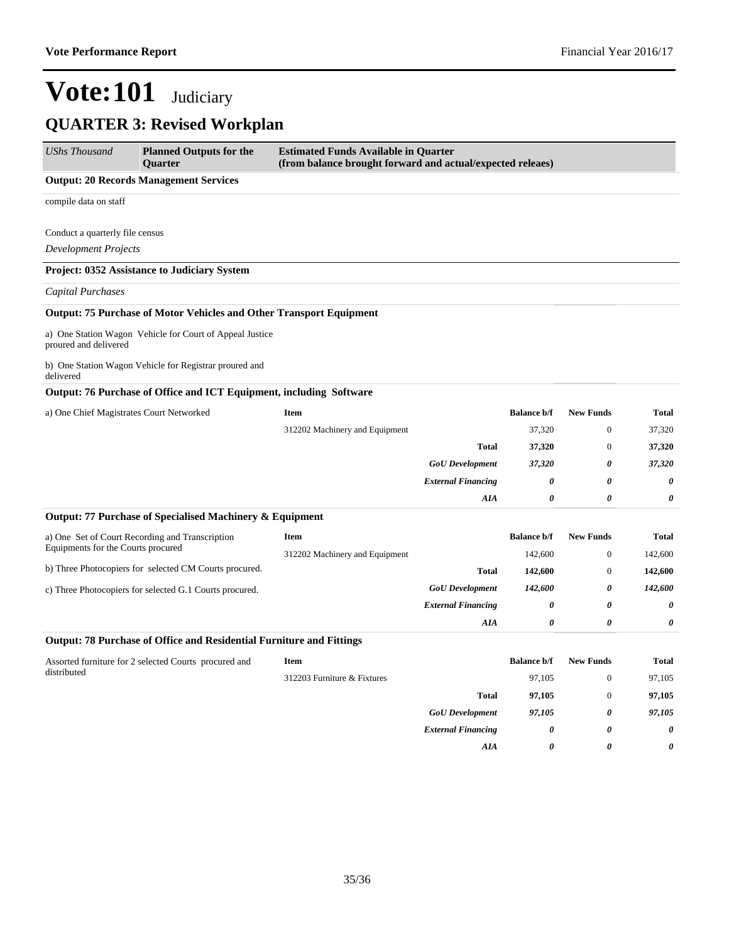| <b>UShs Thousand</b>                     | <b>Planned Outputs for the</b><br>Quarter                                   | <b>Estimated Funds Available in Quarter</b><br>(from balance brought forward and actual/expected releaes) |                           |                    |                  |              |
|------------------------------------------|-----------------------------------------------------------------------------|-----------------------------------------------------------------------------------------------------------|---------------------------|--------------------|------------------|--------------|
|                                          | <b>Output: 20 Records Management Services</b>                               |                                                                                                           |                           |                    |                  |              |
| compile data on staff                    |                                                                             |                                                                                                           |                           |                    |                  |              |
| Conduct a quarterly file census          |                                                                             |                                                                                                           |                           |                    |                  |              |
| <b>Development Projects</b>              |                                                                             |                                                                                                           |                           |                    |                  |              |
|                                          | Project: 0352 Assistance to Judiciary System                                |                                                                                                           |                           |                    |                  |              |
| <b>Capital Purchases</b>                 |                                                                             |                                                                                                           |                           |                    |                  |              |
|                                          | <b>Output: 75 Purchase of Motor Vehicles and Other Transport Equipment</b>  |                                                                                                           |                           |                    |                  |              |
| proured and delivered                    | a) One Station Wagon Vehicle for Court of Appeal Justice                    |                                                                                                           |                           |                    |                  |              |
| delivered                                | b) One Station Wagon Vehicle for Registrar proured and                      |                                                                                                           |                           |                    |                  |              |
|                                          | Output: 76 Purchase of Office and ICT Equipment, including Software         |                                                                                                           |                           |                    |                  |              |
| a) One Chief Magistrates Court Networked |                                                                             | Item                                                                                                      |                           | <b>Balance b/f</b> | <b>New Funds</b> | <b>Total</b> |
|                                          |                                                                             | 312202 Machinery and Equipment                                                                            |                           | 37,320             | $\boldsymbol{0}$ | 37,320       |
|                                          |                                                                             |                                                                                                           | <b>Total</b>              | 37,320             | $\boldsymbol{0}$ | 37,320       |
|                                          |                                                                             |                                                                                                           | <b>GoU</b> Development    | 37,320             | 0                | 37,320       |
|                                          |                                                                             |                                                                                                           | <b>External Financing</b> | 0                  | 0                | 0            |
|                                          |                                                                             |                                                                                                           | AIA                       | 0                  | 0                | 0            |
|                                          | Output: 77 Purchase of Specialised Machinery & Equipment                    |                                                                                                           |                           |                    |                  |              |
|                                          | a) One Set of Court Recording and Transcription                             | Item                                                                                                      |                           | <b>Balance b/f</b> | <b>New Funds</b> | Total        |
| Equipments for the Courts procured       |                                                                             | 312202 Machinery and Equipment                                                                            |                           | 142,600            | $\boldsymbol{0}$ | 142,600      |
|                                          | b) Three Photocopiers for selected CM Courts procured.                      |                                                                                                           | <b>Total</b>              | 142,600            | $\theta$         | 142,600      |
|                                          | c) Three Photocopiers for selected G.1 Courts procured.                     |                                                                                                           | <b>GoU</b> Development    | 142,600            | 0                | 142,600      |
|                                          |                                                                             |                                                                                                           | <b>External Financing</b> | 0                  | 0                | 0            |
|                                          |                                                                             |                                                                                                           | AIA                       | 0                  | 0                | 0            |
|                                          | <b>Output: 78 Purchase of Office and Residential Furniture and Fittings</b> |                                                                                                           |                           |                    |                  |              |
|                                          | Assorted furniture for 2 selected Courts procured and                       | Item                                                                                                      |                           | <b>Balance b/f</b> | <b>New Funds</b> | Total        |
| distributed                              |                                                                             | 312203 Furniture & Fixtures                                                                               |                           | 97,105             | $\boldsymbol{0}$ | 97,105       |
|                                          |                                                                             |                                                                                                           | <b>Total</b>              | 97,105             | $\boldsymbol{0}$ | 97,105       |
|                                          |                                                                             |                                                                                                           | <b>GoU</b> Development    | 97,105             | 0                | 97,105       |
|                                          |                                                                             |                                                                                                           | <b>External Financing</b> | 0                  | 0                | 0            |
|                                          |                                                                             |                                                                                                           | AIA                       | 0                  | 0                | 0            |